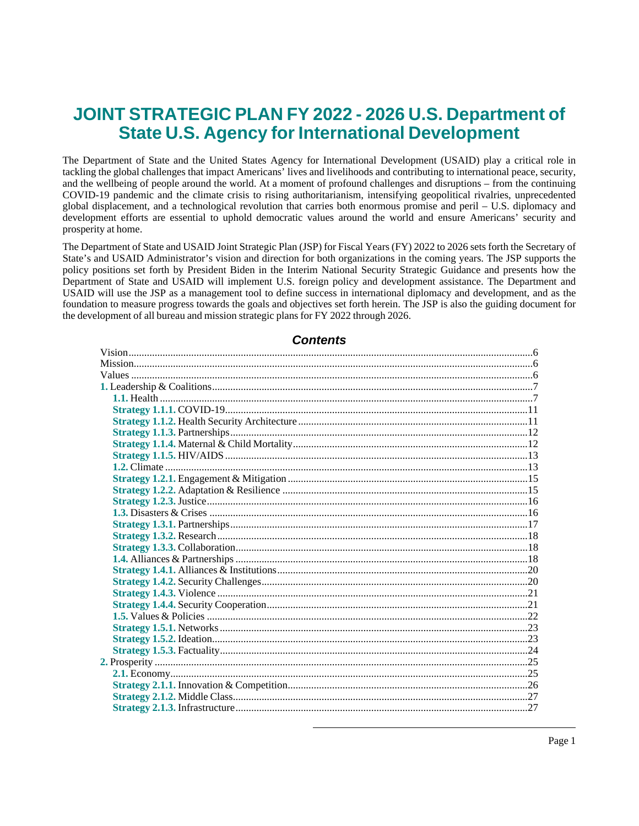# **JOINT STRATEGIC PLAN FY 2022 - 2026 U.S. Department of State U.S. Agency for International Development**

The Department of State and the United States Agency for International Development (USAID) play a critical role in tackling the global challenges that impact Americans' lives and livelihoods and contributing to international peace, security, and the wellbeing of people around the world. At a moment of profound challenges and disruptions – from the continuing COVID-19 pandemic and the climate crisis to rising authoritarianism, intensifying geopolitical rivalries, unprecedented global displacement, and a technological revolution that carries both enormous promise and peril – U.S. diplomacy and development efforts are essential to uphold democratic values around the world and ensure Americans' security and prosperity at home.

The Department of State and USAID Joint Strategic Plan (JSP) for Fiscal Years (FY) 2022 to 2026 sets forth the Secretary of State's and USAID Administrator's vision and direction for both organizations in the coming years. The JSP supports the policy positions set forth by President Biden in the Interim National Security Strategic Guidance and presents how the Department of State and USAID will implement U.S. foreign policy and development assistance. The Department and USAID will use the JSP as a management tool to define success in international diplomacy and development, and as the foundation to measure progress towards the goals and objectives set forth herein. The JSP is also the guiding document for the development of all bureau and mission strategic plans forFY 2022 through 2026.

### **Contents**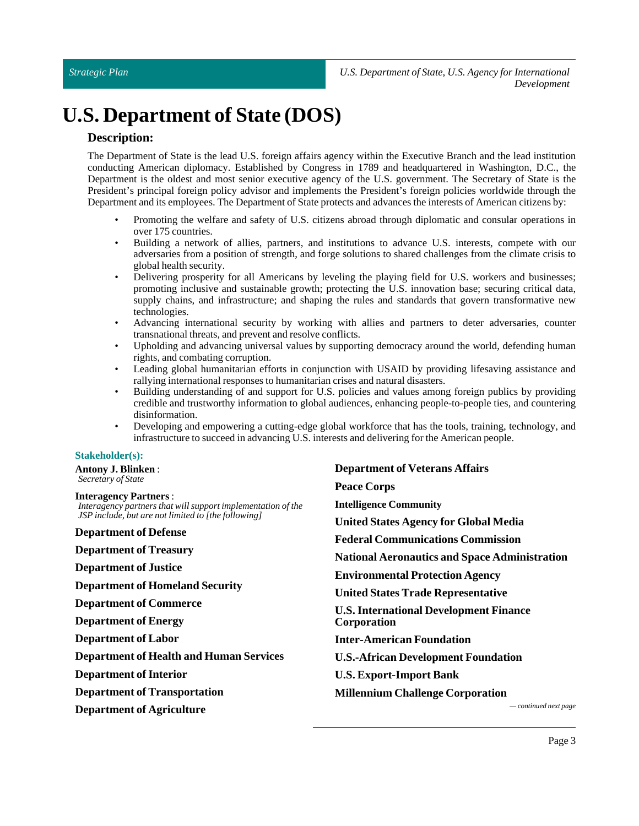# **U.S. Department of State (DOS)**

### **Description:**

The Department of State is the lead U.S. foreign affairs agency within the Executive Branch and the lead institution conducting American diplomacy. Established by Congress in 1789 and headquartered in Washington, D.C., the Department is the oldest and most senior executive agency of the U.S. government. The Secretary of State is the President's principal foreign policy advisor and implements the President's foreign policies worldwide through the Department and its employees. The Department of State protects and advances the interests of American citizens by:

- Promoting the welfare and safety of U.S. citizens abroad through diplomatic and consular operations in over 175 countries.
- Building a network of allies, partners, and institutions to advance U.S. interests, compete with our adversaries from a position of strength, and forge solutions to shared challenges from the climate crisis to global health security.
- Delivering prosperity for all Americans by leveling the playing field for U.S. workers and businesses; promoting inclusive and sustainable growth; protecting the U.S. innovation base; securing critical data, supply chains, and infrastructure; and shaping the rules and standards that govern transformative new technologies.
- Advancing international security by working with allies and partners to deter adversaries, counter transnational threats, and prevent and resolve conflicts.
- Upholding and advancing universal values by supporting democracy around the world, defending human rights, and combating corruption.
- Leading global humanitarian efforts in conjunction with USAID by providing lifesaving assistance and rallying international responses to humanitarian crises and natural disasters.
- Building understanding of and support for U.S. policies and values among foreign publics by providing credible and trustworthy information to global audiences, enhancing people-to-people ties, and countering disinformation.
- Developing and empowering a cutting-edge global workforce that has the tools, training, technology, and infrastructure to succeed in advancing U.S. interests and delivering for the American people.

### **Stakeholder(s):**

**Antony J. Blinken**: *Secretary of State*

#### **Interagency Partners** :

*Interagency partners that will support implementation of the JSP include, but are not limited to [the following]*

**Department of Defense**

**Department of Treasury**

**Department of Justice**

**Department of Homeland Security**

**Department of Commerce**

**Department of Energy**

**Department of Labor**

**Department of Health and Human Services**

**Department** of Interior

**Department of Transportation**

**Department of Agriculture** *— continued next page*

**Department of Veterans Affairs Peace Corps Intelligence Community United States Agency for Global Media Federal Communications Commission National Aeronautics and Space Administration Environmental Protection Agency United States Trade Representative U.S. International Development Finance Corporation Inter-American Foundation U.S.-African Development Foundation U.S. Export-Import Bank Millennium Challenge Corporation**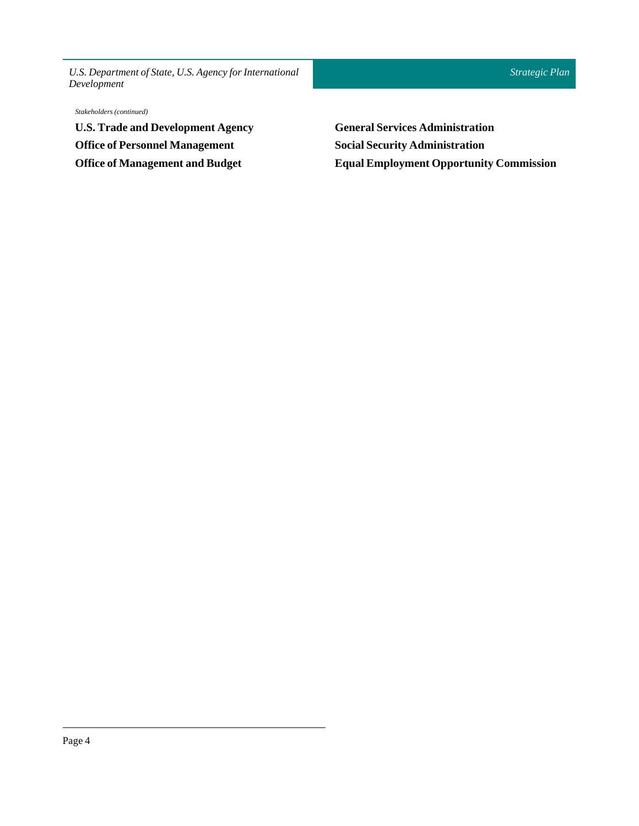*Stakeholders (continued)*

**U.S. Trade and Development Agency Office of Personnel Management Office of Management and Budget**

**General Services Administration Social Security Administration Equal Employment Opportunity Commission**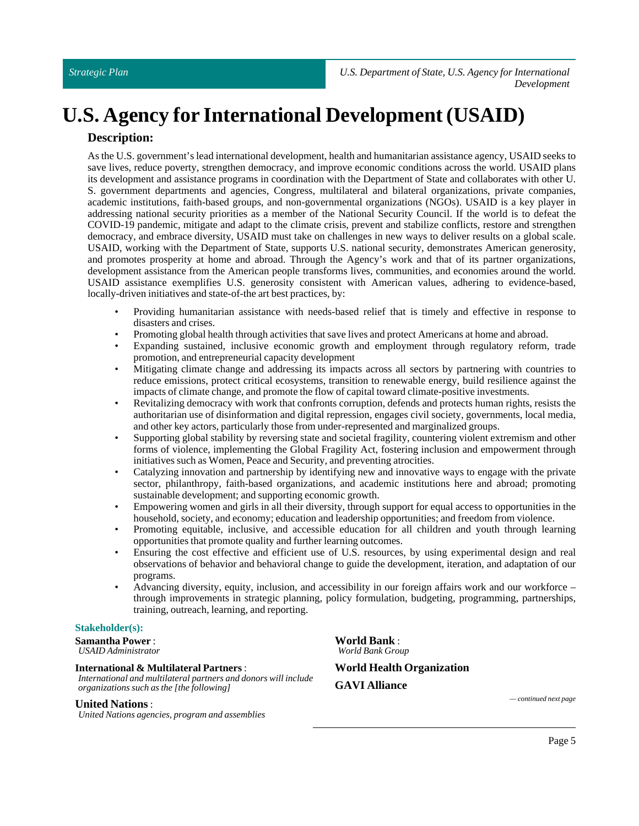# **U.S. Agency for International Development (USAID)**

### **Description:**

As the U.S. government's lead international development, health and humanitarian assistance agency, USAID seeks to save lives, reduce poverty, strengthen democracy, and improve economic conditions across the world. USAID plans its development and assistance programs in coordination with the Department of State and collaborates with other U. S. government departments and agencies, Congress, multilateral and bilateral organizations, private companies, academic institutions, faith-based groups, and non-governmental organizations (NGOs). USAID is a key player in addressing national security priorities as a member of the National Security Council. If the world is to defeat the COVID-19 pandemic, mitigate and adapt to the climate crisis, prevent and stabilize conflicts, restore and strengthen democracy, and embrace diversity, USAID must take on challenges in new ways to deliver results on a global scale. USAID, working with the Department of State, supports U.S. national security, demonstrates American generosity, and promotes prosperity at home and abroad. Through the Agency's work and that of its partner organizations, development assistance from the American people transforms lives, communities, and economies around the world. USAID assistance exemplifies U.S. generosity consistent with American values, adhering to evidence-based, locally-driven initiatives and state-of-the art best practices, by:

- Providing humanitarian assistance with needs-based relief that is timely and effective in response to disasters and crises.
- Promoting global health through activities that save lives and protect Americans at home and abroad.
- Expanding sustained, inclusive economic growth and employment through regulatory reform, trade promotion, and entrepreneurial capacity development
- Mitigating climate change and addressing its impacts across all sectors by partnering with countries to reduce emissions, protect critical ecosystems, transition to renewable energy, build resilience against the impacts of climate change, and promote the flow of capital toward climate-positive investments.
- Revitalizing democracy with work that confronts corruption, defends and protects human rights, resists the authoritarian use of disinformation and digital repression, engages civil society, governments, local media, and other key actors, particularly those from under-represented and marginalized groups.
- Supporting global stability by reversing state and societal fragility, countering violent extremism and other forms of violence, implementing the Global Fragility Act, fostering inclusion and empowerment through initiatives such as Women, Peace and Security, and preventing atrocities.
- Catalyzing innovation and partnership by identifying new and innovative ways to engage with the private sector, philanthropy, faith-based organizations, and academic institutions here and abroad; promoting sustainable development; and supporting economic growth.
- Empowering women and girls in all their diversity, through support for equal access to opportunities in the household, society, and economy; education and leadership opportunities; and freedom from violence.
- Promoting equitable, inclusive, and accessible education for all children and youth through learning opportunities that promote quality and further learning outcomes.
- Ensuring the cost effective and efficient use of U.S. resources, by using experimental design and real observations of behavior and behavioral change to guide the development, iteration, and adaptation of our programs.
- Advancing diversity, equity, inclusion, and accessibility in our foreign affairs work and our workforce through improvements in strategic planning, policy formulation, budgeting, programming, partnerships, training, outreach, learning, and reporting.

### **Stakeholder(s):**

**Samantha Power** : *USAID Administrator*

### **International & Multilateral Partners**:

*International and multilateral partners and donors will include organizations such as the [the following]*

**United Nations**:

*United Nations agencies, program and assemblies*

**World Bank** : *World Bank Group* **World Health Organization**

**GAVI Alliance**

*— continued next page*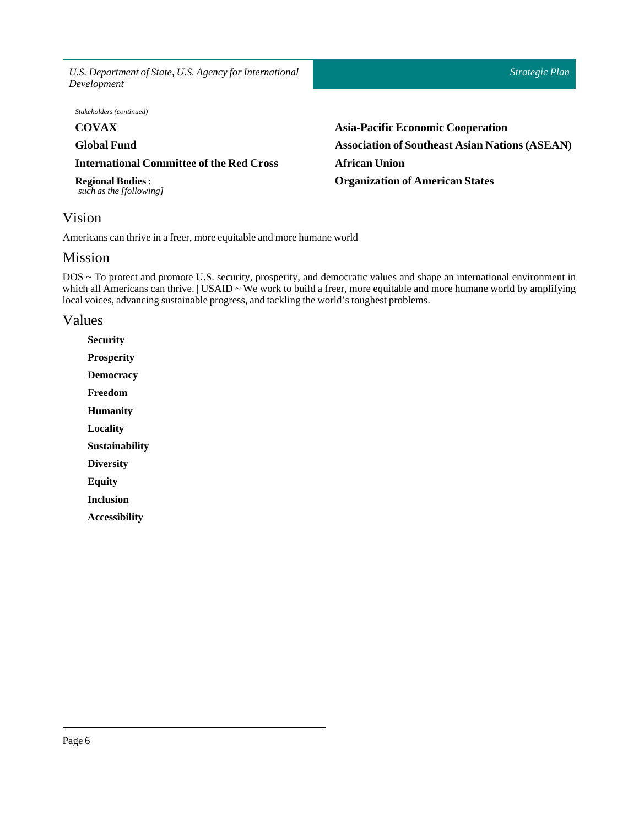*U.S. Department of State, U.S. Agency for International Development Strategic Plan* **COVAX Global Fund International Committee of the Red Cross Regional Bodies** : *such as the [following]* **Asia-Pacific Economic Cooperation Association of Southeast Asian Nations (ASEAN) African Union Organization of American States** *Stakeholders (continued)*

<span id="page-5-0"></span>Vision

Americans can thrive in a freer, more equitable and more humane world

### <span id="page-5-1"></span>Mission

DOS ~ To protect and promote U.S. security, prosperity, and democratic values and shape an international environment in which all Americans can thrive. | USAID ~ We work to build a freer, more equitable and more humane world by amplifying local voices, advancing sustainable progress, and tackling the world's toughest problems.

### <span id="page-5-2"></span>Values

**Security Prosperity Democracy Freedom Humanity Locality Sustainability Diversity Equity Inclusion Accessibility**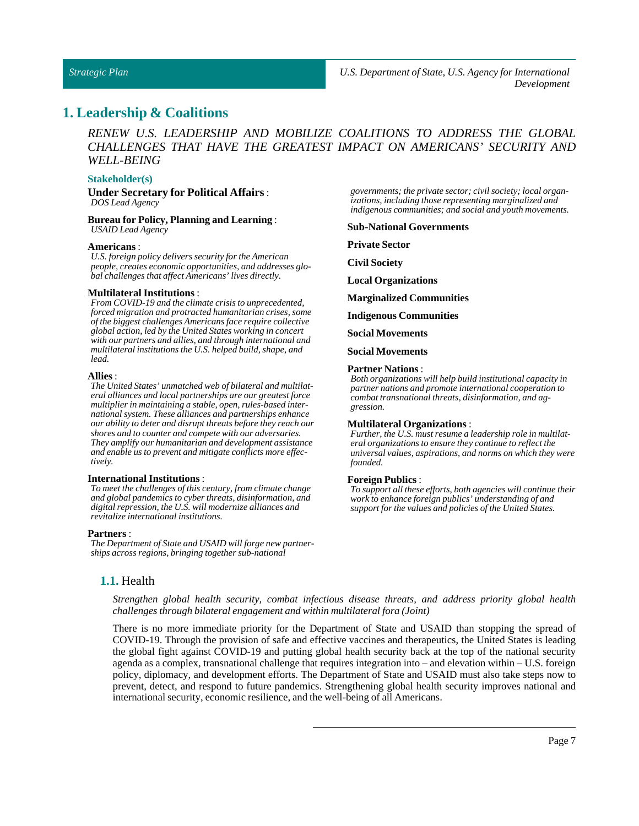### <span id="page-6-0"></span>**1. Leadership & Coalitions**

*RENEW U.S. LEADERSHIP AND MOBILIZE COALITIONS TO ADDRESS THE GLOBAL CHALLENGES THAT HAVE THE GREATEST IMPACT ON AMERICANS' SECURITY AND WELL-BEING*

### **Stakeholder(s)**

#### **Under Secretary for Political Affairs**: *DOS Lead Agency*

**Bureaufor Policy, Planning and Learning** : *USAID Lead Agency*

#### **Americans** :

*U.S. foreign policy delivers security for the American people, creates economic opportunities, and addresses global challenges that affect Americans' lives directly.*

#### **Multilateral Institutions**:

*From COVID-19 and the climate crisis to unprecedented, forced migration and protracted humanitarian crises, some of the biggest challenges Americans face require collective global action, led by the United States working in concert with our partners and allies, and through international and multilateral institutions the U.S. helped build, shape, and lead.*

#### **Allies**:

*The United States' unmatched web of bilateral and multilateral alliances and local partnerships are our greatest force multiplier in maintaining a stable, open, rules-based international system. These alliances and partnerships enhance our ability to deter and disrupt threats before they reach our shores and to counter and compete with our adversaries. They amplify our humanitarian and development assistance and enable us to prevent and mitigate conflicts more effectively.*

#### **International Institutions**:

*To meet the challenges of this century, from climate change and global pandemics to cyber threats, disinformation, and digital repression, the U.S. will modernize alliances and revitalize international institutions.*

#### **Partners** :

<span id="page-6-1"></span>*The Department of State and USAID will forge new partnerships across regions, bringing together sub-national*

*governments; the private sector; civil society; local organizations, including those representing marginalized and indigenous communities; and social and youth movements.*

#### **Sub-National Governments**

**Private Sector** 

**CivilSociety**

**Local Organizations**

**Marginalized Communities**

**Indigenous Communities**

**Social Movements**

**Social Movements**

#### **Partner Nations** :

*Both organizations will help build institutional capacity in partner nations and promote international cooperation to combat transnational threats, disinformation, and aggression.*

#### **Multilateral Organizations** :

*Further, the U.S. must resume a leadership role in multilateral organizations to ensure they continue to reflect the universal values, aspirations, and norms on which they were founded.*

#### **Foreign Publics** :

*To support all these efforts, both agencies will continue their work to enhance foreign publics' understanding of and support for the values and policies of the United States.*

### **1.1.** Health

*Strengthen global health security, combat infectious disease threats, and address priority global health challenges through bilateral engagement and within multilateralfora (Joint)*

There is no more immediate priority for the Department of State and USAID than stopping the spread of COVID-19. Through the provision of safe and effective vaccines and therapeutics, the United States is leading the global fight against COVID-19 and putting global health security back at the top of the national security agenda as a complex, transnational challenge that requires integration into – and elevation within – U.S. foreign policy, diplomacy, and development efforts. The Department of State and USAID must also take steps now to prevent, detect, and respond to future pandemics. Strengthening global health security improves national and international security, economic resilience, and the well-being of all Americans.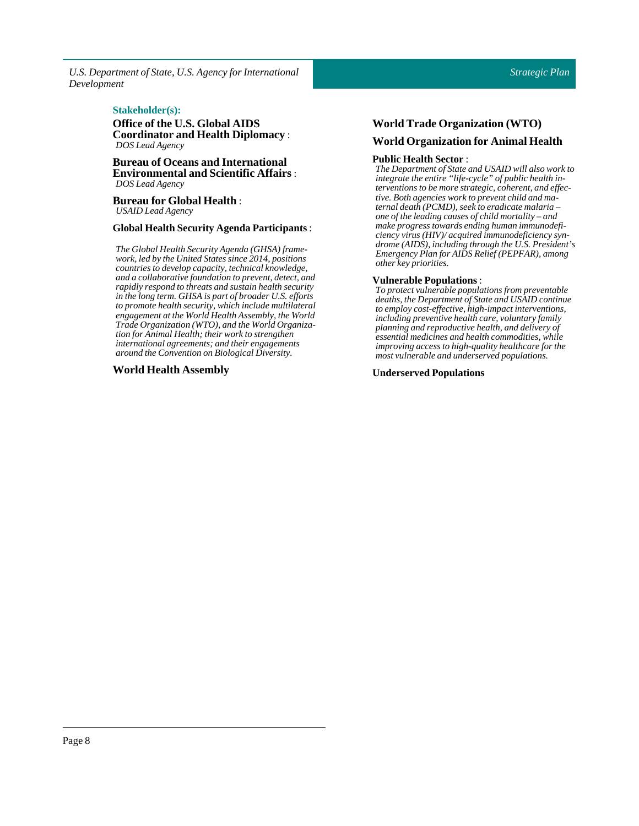### $Stakeholder(s):$

**Office of the U.S. Global AIDS Coordinator and Health Diplomacy** : *DOS Lead Agency*

**Bureau of Oceans and International Environmental and Scientific Affairs** : *DOS Lead Agency*

**Bureau for Global Health** : *USAID Lead Agency*

### **Global HealthSecurity Agenda Participants** :

*The Global Health Security Agenda (GHSA) framework, led by the United States since 2014, positions countries to develop capacity, technical knowledge, and a collaborative foundation to prevent, detect, and rapidly respond to threats and sustain health security in the long term. GHSA is part of broader U.S. efforts to promote health security, which include multilateral engagement at the World Health Assembly, the World Trade Organization (WTO), and the World Organization for Animal Health; their work to strengthen international agreements; and their engagements around the Convention on Biological Diversity.*

### **World Health Assembly**

### **World Trade Organization (WTO) World Organization for Animal Health**

### **Public Health Sector:**

*The Department of State and USAID will also work to integrate the entire "life-cycle" of public health interventions to be more strategic, coherent, and effective. Both agencies work to prevent child and maternal death (PCMD), seek to eradicate malaria – one of the leading causes of child mortality – and make progress towards ending human immunodeficiency virus (HIV)/ acquired immunodeficiency syndrome (AIDS), including through the U.S. President's Emergency Plan for AIDS Relief (PEPFAR), among other key priorities.*

### **Vulnerable Populations** :

*To protect vulnerable populations from preventable deaths, the Department of State and USAID continue to employ cost-effective, high-impact interventions, including preventive health care, voluntary family planning and reproductive health, and delivery of essential medicines and health commodities, while improving access to high-quality healthcare for the most vulnerable and underserved populations.*

**Underserved Populations**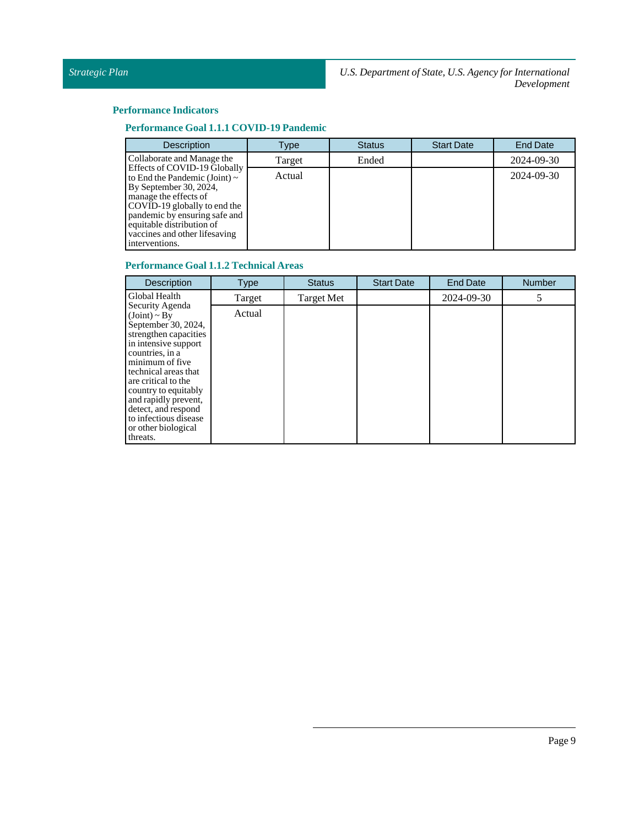### **Performance Indicators**

### **Performance Goal 1.1.1 COVID-19 Pandemic**

| <b>Description</b>                                                                                                                                                                                                                                                     | Type   | <b>Status</b> | <b>Start Date</b> | <b>End Date</b> |
|------------------------------------------------------------------------------------------------------------------------------------------------------------------------------------------------------------------------------------------------------------------------|--------|---------------|-------------------|-----------------|
| Collaborate and Manage the                                                                                                                                                                                                                                             | Target | Ended         |                   | 2024-09-30      |
| Effects of COVID-19 Globally<br>to End the Pandemic (Joint) $\sim$<br>By September 30, 2024,<br>manage the effects of<br>COVID-19 globally to end the<br>pandemic by ensuring safe and<br>equitable distribution of<br>vaccines and other lifesaving<br>interventions. | Actual |               |                   | 2024-09-30      |

### **Performance Goal 1.1.2 Technical Areas**

| <b>Description</b>                                                                                                                                                                                                                                                                                                                   | <b>Type</b> | <b>Status</b> | <b>Start Date</b> | <b>End Date</b> | <b>Number</b> |
|--------------------------------------------------------------------------------------------------------------------------------------------------------------------------------------------------------------------------------------------------------------------------------------------------------------------------------------|-------------|---------------|-------------------|-----------------|---------------|
| Global Health                                                                                                                                                                                                                                                                                                                        | Target      | Target Met    |                   | 2024-09-30      |               |
| Security Agenda<br>$(Joint) \sim By$<br>September 30, 2024,<br>strengthen capacities<br>in intensive support<br>countries, in a<br>minimum of five<br>technical areas that<br>are critical to the<br>country to equitably<br>and rapidly prevent,<br>detect, and respond<br>to infectious disease<br>or other biological<br>threats. | Actual      |               |                   |                 |               |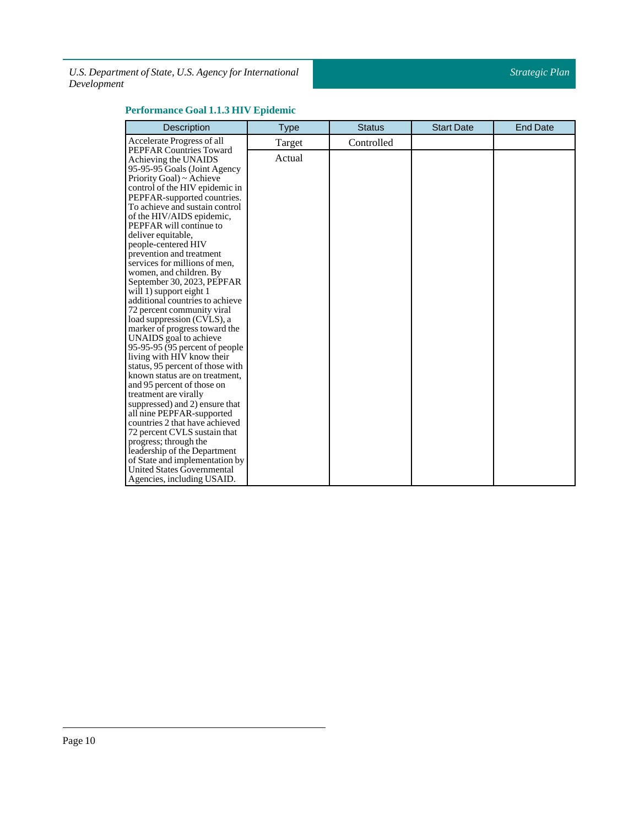### **Performance Goal 1.1.3 HIV Epidemic**

| <b>Description</b>                                         | <b>Type</b> | <b>Status</b> | <b>Start Date</b> | <b>End Date</b> |
|------------------------------------------------------------|-------------|---------------|-------------------|-----------------|
| Accelerate Progress of all                                 | Target      | Controlled    |                   |                 |
| <b>PEPFAR Countries Toward</b>                             | Actual      |               |                   |                 |
| Achieving the UNAIDS                                       |             |               |                   |                 |
| 95-95-95 Goals (Joint Agency                               |             |               |                   |                 |
| Priority Goal) ~ Achieve<br>control of the HIV epidemic in |             |               |                   |                 |
| PEPFAR-supported countries.                                |             |               |                   |                 |
| To achieve and sustain control                             |             |               |                   |                 |
| of the HIV/AIDS epidemic,                                  |             |               |                   |                 |
| PEPFAR will continue to                                    |             |               |                   |                 |
| deliver equitable,                                         |             |               |                   |                 |
| people-centered HIV                                        |             |               |                   |                 |
| prevention and treatment                                   |             |               |                   |                 |
| services for millions of men,                              |             |               |                   |                 |
| women, and children. By                                    |             |               |                   |                 |
| September 30, 2023, PEPFAR                                 |             |               |                   |                 |
| will 1) support eight 1                                    |             |               |                   |                 |
| additional countries to achieve                            |             |               |                   |                 |
| 72 percent community viral                                 |             |               |                   |                 |
| load suppression (CVLS), a                                 |             |               |                   |                 |
| marker of progress toward the                              |             |               |                   |                 |
| UNAIDS goal to achieve<br>95-95-95 (95 percent of people)  |             |               |                   |                 |
| living with HIV know their                                 |             |               |                   |                 |
| status, 95 percent of those with                           |             |               |                   |                 |
| known status are on treatment,                             |             |               |                   |                 |
| and 95 percent of those on                                 |             |               |                   |                 |
| treatment are virally                                      |             |               |                   |                 |
| suppressed) and 2) ensure that                             |             |               |                   |                 |
| all nine PEPFAR-supported                                  |             |               |                   |                 |
| countries 2 that have achieved                             |             |               |                   |                 |
| 72 percent CVLS sustain that                               |             |               |                   |                 |
| progress; through the                                      |             |               |                   |                 |
| leadership of the Department                               |             |               |                   |                 |
| of State and implementation by                             |             |               |                   |                 |
| <b>United States Governmental</b>                          |             |               |                   |                 |
| Agencies, including USAID.                                 |             |               |                   |                 |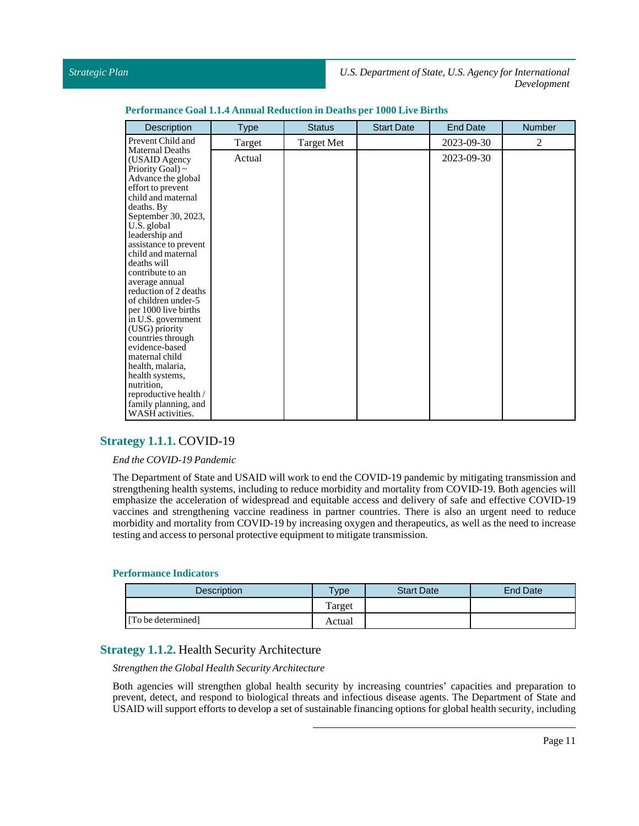| Description                                  | <b>Type</b> | <b>Status</b>     | <b>Start Date</b> | <b>End Date</b> | <b>Number</b> |
|----------------------------------------------|-------------|-------------------|-------------------|-----------------|---------------|
| Prevent Child and                            | Target      | <b>Target Met</b> |                   | 2023-09-30      | 2             |
| <b>Maternal Deaths</b><br>(USAID Agency)     | Actual      |                   |                   | 2023-09-30      |               |
| Priority Goal) $\sim$                        |             |                   |                   |                 |               |
| Advance the global                           |             |                   |                   |                 |               |
| effort to prevent                            |             |                   |                   |                 |               |
| child and maternal                           |             |                   |                   |                 |               |
| deaths. By                                   |             |                   |                   |                 |               |
| September 30, 2023,<br>U.S. global           |             |                   |                   |                 |               |
| leadership and                               |             |                   |                   |                 |               |
| assistance to prevent                        |             |                   |                   |                 |               |
| child and maternal                           |             |                   |                   |                 |               |
| deaths will                                  |             |                   |                   |                 |               |
| contribute to an                             |             |                   |                   |                 |               |
| average annual                               |             |                   |                   |                 |               |
| reduction of 2 deaths<br>of children under-5 |             |                   |                   |                 |               |
| per 1000 live births                         |             |                   |                   |                 |               |
| in U.S. government                           |             |                   |                   |                 |               |
| (USG) priority                               |             |                   |                   |                 |               |
| countries through                            |             |                   |                   |                 |               |
| evidence-based                               |             |                   |                   |                 |               |
| maternal child                               |             |                   |                   |                 |               |
| health, malaria,                             |             |                   |                   |                 |               |
| health systems,<br>nutrition,                |             |                   |                   |                 |               |
| reproductive health /                        |             |                   |                   |                 |               |
| family planning, and                         |             |                   |                   |                 |               |
| WASH activities.                             |             |                   |                   |                 |               |

### **Performance Goal 1.1.4 Annual Reductionin Deathsper 1000 Live Births**

### <span id="page-10-0"></span>**Strategy 1.1.1.** COVID-19

### *End the COVID-19 Pandemic*

The Department of State and USAID will work to end the COVID-19 pandemic by mitigating transmission and strengthening health systems, including to reduce morbidity and mortality from COVID-19. Both agencies will emphasize the acceleration of widespread and equitable access and delivery of safe and effective COVID-19 vaccines and strengthening vaccine readiness in partner countries. There is also an urgent need to reduce morbidity and mortality from COVID-19 by increasing oxygen and therapeutics, as well as the need to increase testing and access to personal protective equipment to mitigate transmission.

### **Performance Indicators**

| <b>Description</b> | Type   | <b>Start Date</b> | End Date |
|--------------------|--------|-------------------|----------|
|                    | Target |                   |          |
| [To be determined] | Actual |                   |          |

### <span id="page-10-1"></span>**Strategy 1.1.2.** Health Security Architecture

### *Strengthen the Global Health Security Architecture*

Both agencies will strengthen global health security by increasing countries' capacities and preparation to prevent, detect, and respond to biological threats and infectious disease agents. The Department of State and USAID will support efforts to develop a set of sustainable financing options for global health security, including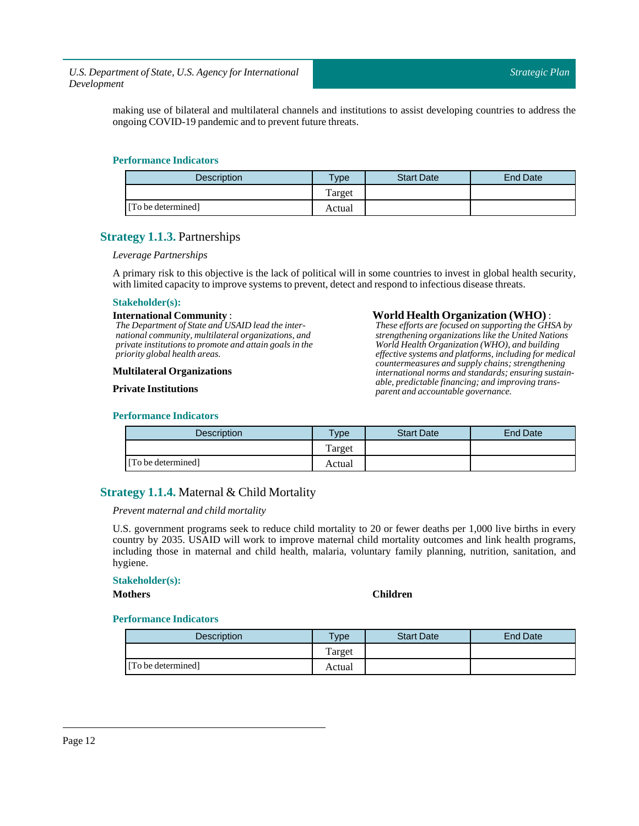making use of bilateral and multilateral channels and institutions to assist developing countries to address the ongoing COVID-19 pandemic and to prevent future threats.

### **Performance Indicators**

| <b>Description</b> | Type   | <b>Start Date</b> | End Date |
|--------------------|--------|-------------------|----------|
|                    | Target |                   |          |
| [To be determined] | Actual |                   |          |

### <span id="page-11-0"></span>**Strategy 1.1.3.** Partnerships

### *Leverage Partnerships*

A primary risk to this objective is the lack of political will in some countries to invest in global health security, with limited capacity to improve systems to prevent, detect and respond to infectious disease threats.

### **Stakeholder(s):**

#### **International Community** :

*The Department of State and USAID lead the international community, multilateral organizations, and private institutions to promote and attain goals in the priority global health areas.*

### **Multilateral Organizations**

### **Private Institutions**

### **Performance Indicators**

## Description Type Start Date Find Date Target [To be determined] Actual

### <span id="page-11-1"></span>**Strategy 1.1.4.** Maternal & Child Mortality

### *Prevent maternal and child mortality*

U.S. government programs seek to reduce child mortality to 20 or fewer deaths per 1,000 live births in every country by 2035. USAID will work to improve maternal child mortality outcomes and link health programs, including those in maternal and child health, malaria, voluntary family planning, nutrition, sanitation, and hygiene.

### **Stakeholder(s):**

**Mothers Children**

**World Health Organization (WHO)** : *These efforts are focused on supporting the GHSA by strengthening organizations like the United Nations World Health Organization (WHO), and building effective systems and platforms, including for medical countermeasures and supply chains; strengthening international norms and standards; ensuring sustainable, predictable financing; and improving trans-*

*parent and accountable governance.*

| Description        | <b>Type</b> | <b>Start Date</b> | End Date |
|--------------------|-------------|-------------------|----------|
|                    | Target      |                   |          |
| [To be determined] | Actual      |                   |          |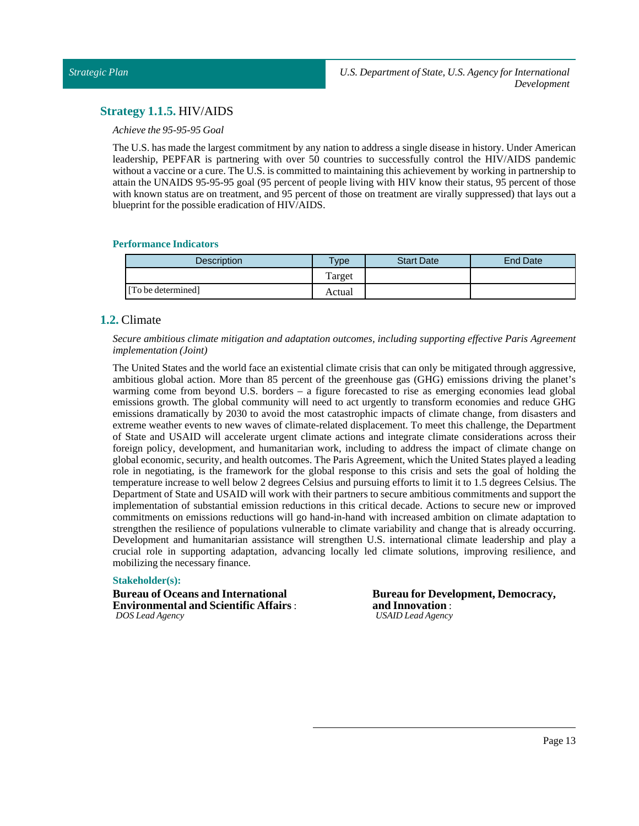### <span id="page-12-0"></span>**Strategy 1.1.5.** HIV/AIDS

### *Achieve the 95-95-95 Goal*

The U.S. has made the largest commitment by any nation to address a single disease in history. Under American leadership, PEPFAR is partnering with over 50 countries to successfully control the HIV/AIDS pandemic without a vaccine or a cure. The U.S. is committed to maintaining this achievement by working in partnership to attain the UNAIDS 95-95-95 goal (95 percent of people living with HIV know their status, 95 percent of those with known status are on treatment, and 95 percent of those on treatment are virally suppressed) that lays out a blueprint for the possible eradication of HIV/AIDS.

### **Performance Indicators**

| Description        | $T$ <sub>ype</sub> | <b>Start Date</b> | End Date |
|--------------------|--------------------|-------------------|----------|
|                    | Target             |                   |          |
| [To be determined] | Actual             |                   |          |

### <span id="page-12-1"></span>**1.2.** Climate

*Secure ambitious climate mitigation and adaptation outcomes, including supporting effective Paris Agreement implementation (Joint)*

The United States and the world face an existential climate crisis that can only be mitigated through aggressive, ambitious global action. More than 85 percent of the greenhouse gas (GHG) emissions driving the planet's warming come from beyond U.S. borders – a figure forecasted to rise as emerging economies lead global emissions growth. The global community will need to act urgently to transform economies and reduce GHG emissions dramatically by 2030 to avoid the most catastrophic impacts of climate change, from disasters and extreme weather events to new waves of climate-related displacement. To meet this challenge, the Department of State and USAID will accelerate urgent climate actions and integrate climate considerations across their foreign policy, development, and humanitarian work, including to address the impact of climate change on global economic, security, and health outcomes. The Paris Agreement, which the United States played a leading role in negotiating, is the framework for the global response to this crisis and sets the goal of holding the temperature increase to well below 2 degrees Celsius and pursuing efforts to limit it to 1.5 degrees Celsius. The Department of State and USAID will work with their partners to secure ambitious commitments and support the implementation of substantial emission reductions in this critical decade. Actions to secure new or improved commitments on emissions reductions will go hand-in-hand with increased ambition on climate adaptation to strengthen the resilience of populations vulnerable to climate variability and change that is already occurring. Development and humanitarian assistance will strengthen U.S. international climate leadership and play a crucial role in supporting adaptation, advancing locally led climate solutions, improving resilience, and mobilizing the necessary finance.

### **Stakeholder(s):**

**Bureau of Oceans and International Environmental and Scientific Affairs** : *DOS Lead Agency*

**Bureau for Development, Democracy, and Innovation** : *USAID Lead Agency*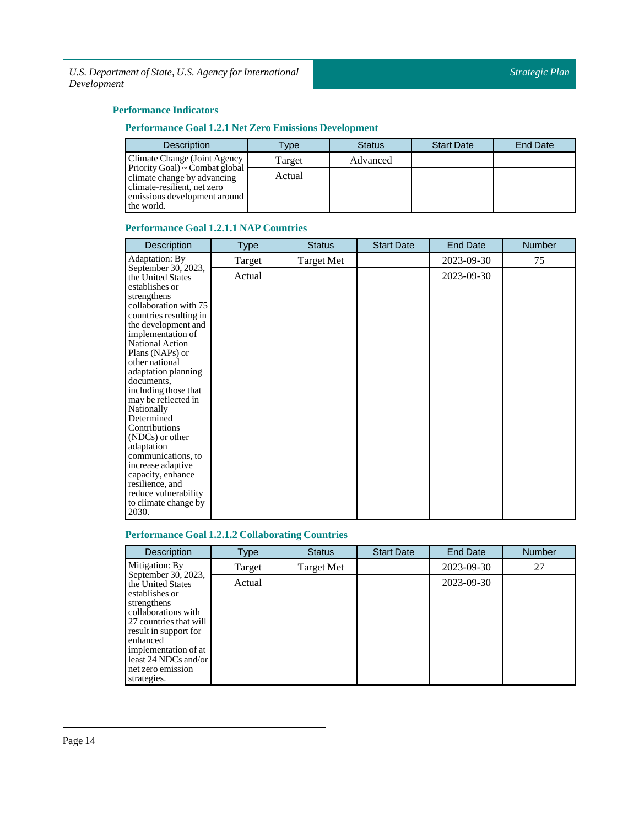### **Performance Indicators**

### **Performance Goal 1.2.1 Net Zero Emissions Development**

| <b>Description</b>                                                                                                                         | Type   | <b>Status</b> | <b>Start Date</b> | <b>End Date</b> |
|--------------------------------------------------------------------------------------------------------------------------------------------|--------|---------------|-------------------|-----------------|
| Climate Change (Joint Agency                                                                                                               | Target | Advanced      |                   |                 |
| Priority Goal) ~ Combat global<br>climate change by advancing<br>climate-resilient, net zero<br>emissions development around<br>the world. | Actual |               |                   |                 |

### **Performance Goal 1.2.1.1 NAP Countries**

| Description                                                                                                                                                                                                                                                                                                                                                                                                                                                                                                                                      | <b>Type</b> | <b>Status</b>     | <b>Start Date</b> | <b>End Date</b> | <b>Number</b> |
|--------------------------------------------------------------------------------------------------------------------------------------------------------------------------------------------------------------------------------------------------------------------------------------------------------------------------------------------------------------------------------------------------------------------------------------------------------------------------------------------------------------------------------------------------|-------------|-------------------|-------------------|-----------------|---------------|
| Adaptation: By                                                                                                                                                                                                                                                                                                                                                                                                                                                                                                                                   | Target      | <b>Target Met</b> |                   | 2023-09-30      | 75            |
| September 30, 2023,<br>the United States<br>establishes or<br>strengthens<br>collaboration with 75<br>countries resulting in<br>the development and<br>implementation of<br>National Action<br>Plans (NAPs) or<br>other national<br>adaptation planning<br>documents,<br>including those that<br>may be reflected in<br>Nationally<br>Determined<br>Contributions<br>$(NDCs)$ or other<br>adaptation<br>communications, to<br>increase adaptive<br>capacity, enhance<br>resilience, and<br>reduce vulnerability<br>to climate change by<br>2030. | Actual      |                   |                   | 2023-09-30      |               |

### **Performance Goal 1.2.1.2 Collaborating Countries**

| <b>Description</b>                                                                                                                                                                                                                                  | Type   | <b>Status</b>     | <b>Start Date</b> | <b>End Date</b> | <b>Number</b> |
|-----------------------------------------------------------------------------------------------------------------------------------------------------------------------------------------------------------------------------------------------------|--------|-------------------|-------------------|-----------------|---------------|
| Mitigation: By                                                                                                                                                                                                                                      | Target | <b>Target Met</b> |                   | 2023-09-30      | 27            |
| September 30, 2023,<br>the United States<br>establishes or<br>strengthens<br>collaborations with<br>27 countries that will<br>result in support for<br>enhanced<br>implementation of at<br>least 24 NDCs and/or<br>net zero emission<br>strategies. | Actual |                   |                   | 2023-09-30      |               |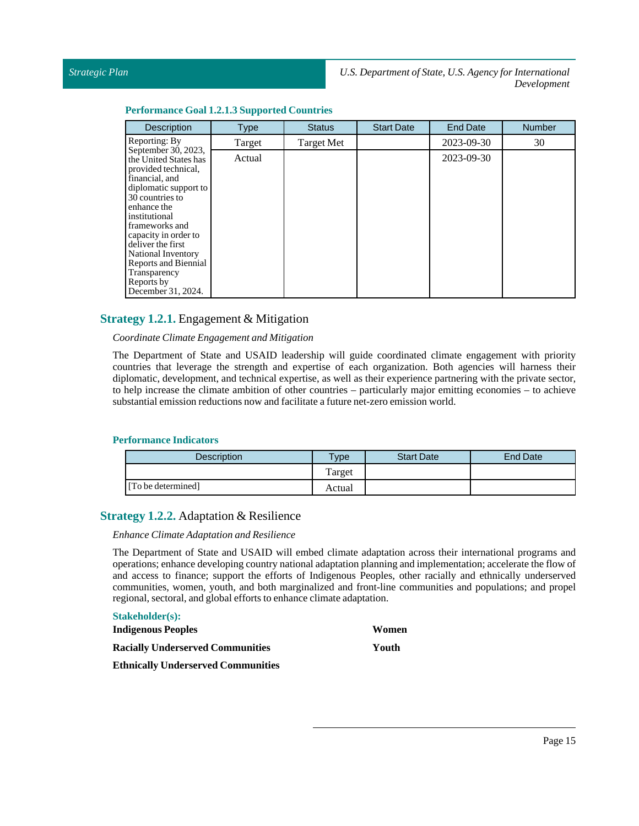### **Performance Goal 1.2.1.3Supported Countries**

| <b>Description</b>                                                                                                                                                                                                                                                                                                                 | <b>Type</b> | <b>Status</b>     | <b>Start Date</b> | <b>End Date</b> | <b>Number</b> |
|------------------------------------------------------------------------------------------------------------------------------------------------------------------------------------------------------------------------------------------------------------------------------------------------------------------------------------|-------------|-------------------|-------------------|-----------------|---------------|
| Reporting: By                                                                                                                                                                                                                                                                                                                      | Target      | <b>Target Met</b> |                   | 2023-09-30      | 30            |
| September 30, 2023,<br>the United States has<br>provided technical,<br>financial, and<br>diplomatic support to<br>30 countries to<br>enhance the<br>institutional<br>frameworks and<br>capacity in order to<br>deliver the first<br>National Inventory<br>Reports and Biennial<br>Transparency<br>Reports by<br>December 31, 2024. | Actual      |                   |                   | 2023-09-30      |               |

### <span id="page-14-0"></span>**Strategy 1.2.1.** Engagement & Mitigation

### *Coordinate Climate Engagement and Mitigation*

The Department of State and USAID leadership will guide coordinated climate engagement with priority countries that leverage the strength and expertise of each organization. Both agencies will harness their diplomatic, development, and technical expertise, as well as their experience partnering with the private sector, to help increase the climate ambition of other countries – particularly major emitting economies – to achieve substantial emission reductions now and facilitate a future net-zero emission world.

### **Performance Indicators**

| <b>Description</b> | $v_{\rm p}$ | <b>Start Date</b> | End Date |
|--------------------|-------------|-------------------|----------|
|                    | Target      |                   |          |
| [To be determined] | Actual      |                   |          |

### <span id="page-14-1"></span>**Strategy 1.2.2.** Adaptation & Resilience

### *Enhance Climate Adaptation and Resilience*

The Department of State and USAID will embed climate adaptation across their international programs and operations; enhance developing country national adaptation planning and implementation; accelerate the flow of and access to finance; support the efforts of Indigenous Peoples, other racially and ethnically underserved communities, women, youth, and both marginalized and front-line communities and populations; and propel regional, sectoral, and global efforts to enhance climate adaptation.

### **Stakeholder(s): Indigenous Peoples Racially Underserved Communities Women Youth**

**Ethnically Underserved Communities**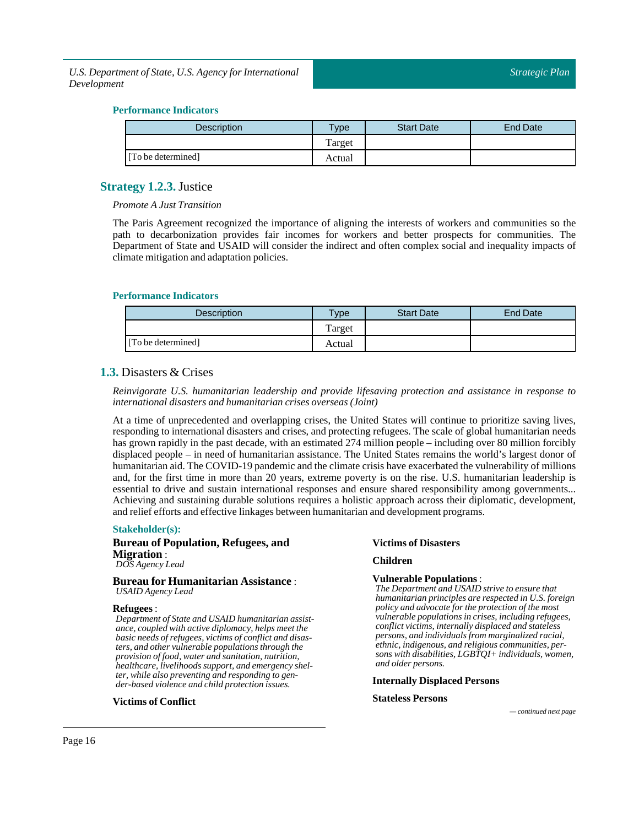### **Performance Indicators**

| <b>Description</b> | <b>Type</b> | <b>Start Date</b> | End Date |
|--------------------|-------------|-------------------|----------|
|                    | Target      |                   |          |
| [To be determined] | Actual      |                   |          |

### <span id="page-15-0"></span>**Strategy 1.2.3.** Justice

*Promote A JustTransition*

The Paris Agreement recognized the importance of aligning the interests of workers and communities so the path to decarbonization provides fair incomes for workers and better prospects for communities. The Department of State and USAID will consider the indirect and often complex social and inequality impacts of climate mitigation and adaptation policies.

### **Performance Indicators**

| <b>Description</b> | $T$ ype | <b>Start Date</b> | End Date |
|--------------------|---------|-------------------|----------|
|                    | Target  |                   |          |
| [To be determined] | Actual  |                   |          |

### <span id="page-15-1"></span>**1.3.** Disasters & Crises

*Reinvigorate U.S. humanitarian leadership and provide lifesaving protection and assistance in response to international disasters and humanitarian crises overseas (Joint)*

At a time of unprecedented and overlapping crises, the United States will continue to prioritize saving lives, responding to international disasters and crises, and protecting refugees. The scale of global humanitarian needs has grown rapidly in the past decade, with an estimated 274 million people – including over 80 million forcibly displaced people – in need of humanitarian assistance. The United States remains the world's largest donor of humanitarian aid. The COVID-19 pandemic and the climate crisis have exacerbated the vulnerability of millions and, for the first time in more than 20 years, extreme poverty is on the rise. U.S. humanitarian leadership is essential to drive and sustain international responses and ensure shared responsibility among governments... Achieving and sustaining durable solutions requires a holistic approach across their diplomatic, development, and relief efforts and effective linkages between humanitarian and development programs.

### **Stakeholder(s):**

### **Bureau of Population, Refugees, and Migration** : *DOS Agency Lead*

**Bureau for Humanitarian Assistance** : *USAID Agency Lead*

### **Refugees** :

*Department of State and USAID humanitarian assistance, coupled with active diplomacy, helps meet the basic needs of refugees, victims of conflict and disasters, and other vulnerable populations through the provision of food, water and sanitation, nutrition, healthcare, livelihoods support, and emergency shelter, while also preventing and responding to gender-based violence and child protection issues.*

### **Victims of Conflict**

### **Victims of Disasters**

### **Children**

### **Vulnerable Populations** :

*The Department and USAID strive to ensure that humanitarian principles are respected in U.S. foreign policy and advocate for the protection of the most vulnerable populations in crises, including refugees, conflict victims, internally displaced and stateless persons, and individuals from marginalized racial, ethnic, indigenous, and religious communities, persons with disabilities, LGBTQI+ individuals, women, and older persons.*

### **Internally Displaced Persons**

### **Stateless Persons**

*— continued next page*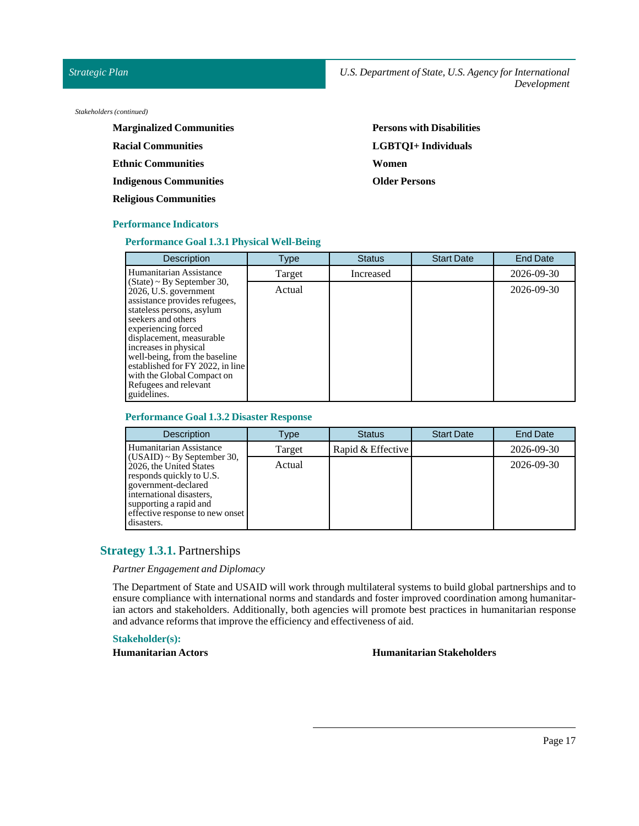### *Strategic Plan*

*Stakeholders (continued)*

| <b>Marginalized Communities</b> | <b>Persons with Disabilities</b> |
|---------------------------------|----------------------------------|
| <b>Racial Communities</b>       | LGBTOI+ Individuals              |
| <b>Ethnic Communities</b>       | Women                            |
| <b>Indigenous Communities</b>   | <b>Older Persons</b>             |
| <b>Religious Communities</b>    |                                  |

### **Performance Indicators**

### **Performance Goal 1.3.1 Physical Well-Being**

| <b>Description</b>                                                                                                                                                                                                                                                                                                                                                   | <b>Type</b> | <b>Status</b> | <b>Start Date</b> | <b>End Date</b> |
|----------------------------------------------------------------------------------------------------------------------------------------------------------------------------------------------------------------------------------------------------------------------------------------------------------------------------------------------------------------------|-------------|---------------|-------------------|-----------------|
| Humanitarian Assistance                                                                                                                                                                                                                                                                                                                                              | Target      | Increased     |                   | 2026-09-30      |
| $(State) \sim By September 30$ ,<br>2026, U.S. government<br>assistance provides refugees,<br>stateless persons, asylum<br>seekers and others<br>experiencing forced<br>displacement, measurable<br>increases in physical<br>well-being, from the baseline<br>established for FY 2022, in line<br>with the Global Compact on<br>Refugees and relevant<br>guidelines. | Actual      |               |                   | 2026-09-30      |

### **Performance Goal 1.3.2 Disaster Response**

| <b>Description</b>                                                                                                                                                                                                    | Type   | <b>Status</b>     | <b>Start Date</b> | End Date   |
|-----------------------------------------------------------------------------------------------------------------------------------------------------------------------------------------------------------------------|--------|-------------------|-------------------|------------|
| Humanitarian Assistance                                                                                                                                                                                               | Target | Rapid & Effective |                   | 2026-09-30 |
| $(CSAID) \sim By September 30$ ,<br>2026, the United States<br>responds quickly to U.S.<br>government-declared<br>international disasters.<br>supporting a rapid and<br>effective response to new onset<br>disasters. | Actual |                   |                   | 2026-09-30 |

### <span id="page-16-0"></span>**Strategy 1.3.1.** Partnerships

*Partner Engagement and Diplomacy*

The Department of State and USAID will work through multilateral systems to build global partnerships and to ensure compliance with international norms and standards and foster improved coordination among humanitarian actors and stakeholders. Additionally, both agencies will promote best practices in humanitarian response and advance reforms thatimprove the efficiency and effectiveness of aid.

### **Stakeholder(s):**

### **Humanitarian Actors Music Equation 2.1 Million 2.1 Million 2.1 Million 2.1 Million 2.1 Million 2.1 Million 2.1 Million 2.1 Million 2.1 Million 2.1 Million 2.1 Million 2.1 Million 2.1 Million 2.1 Million 2.1 Million 2.1**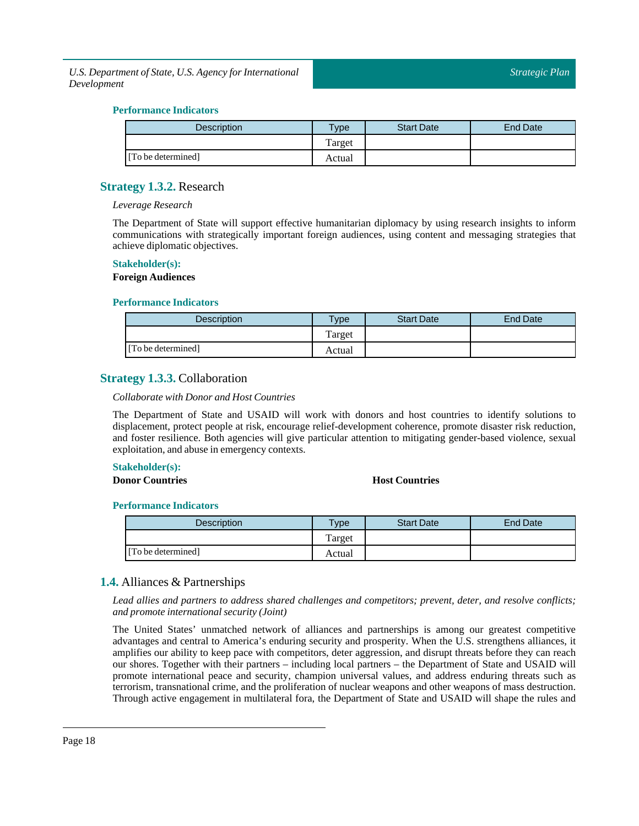### **Performance Indicators**

| <b>Description</b> | $T$ ype | <b>Start Date</b> | End Date |
|--------------------|---------|-------------------|----------|
|                    | Target  |                   |          |
| [To be determined] | Actual  |                   |          |

### <span id="page-17-0"></span>**Strategy 1.3.2.** Research

### *Leverage Research*

The Department of State will support effective humanitarian diplomacy by using research insights to inform communications with strategically important foreign audiences, using content and messaging strategies that achieve diplomatic objectives.

#### **Stakeholder(s):**

#### **Foreign Audiences**

### **Performance Indicators**

| <b>Description</b> | $v$ pe | <b>Start Date</b> | End Date |
|--------------------|--------|-------------------|----------|
|                    | Target |                   |          |
| [To be determined] | Actual |                   |          |

### <span id="page-17-1"></span>**Strategy 1.3.3.** Collaboration

### *Collaborate with Donor and Host Countries*

The Department of State and USAID will work with donors and host countries to identify solutions to displacement, protect people at risk, encourage relief-development coherence, promote disaster risk reduction, and foster resilience. Both agencies will give particular attention to mitigating gender-based violence, sexual exploitation, and abuse in emergency contexts.

### **Stakeholder(s):**

### **Donor Countries Host Countries**

### **Performance Indicators**

| <b>Description</b> | <b>Vpe</b> | <b>Start Date</b> | <b>End Date</b> |
|--------------------|------------|-------------------|-----------------|
|                    | l'arget    |                   |                 |
| [To be determined] | Actual     |                   |                 |

### <span id="page-17-2"></span>**1.4.** Alliances & Partnerships

*Lead allies and partners to address shared challenges and competitors; prevent, deter, and resolve conflicts; and promote international security (Joint)*

The United States' unmatched network of alliances and partnerships is among our greatest competitive advantages and central to America's enduring security and prosperity. When the U.S. strengthens alliances, it amplifies our ability to keep pace with competitors, deter aggression, and disrupt threats before they can reach our shores. Together with their partners – including local partners – the Department of State and USAID will promote international peace and security, champion universal values, and address enduring threats such as terrorism, transnational crime, and the proliferation of nuclear weapons and other weapons of mass destruction. Through active engagement in multilateral fora, the Department of State and USAID will shape the rules and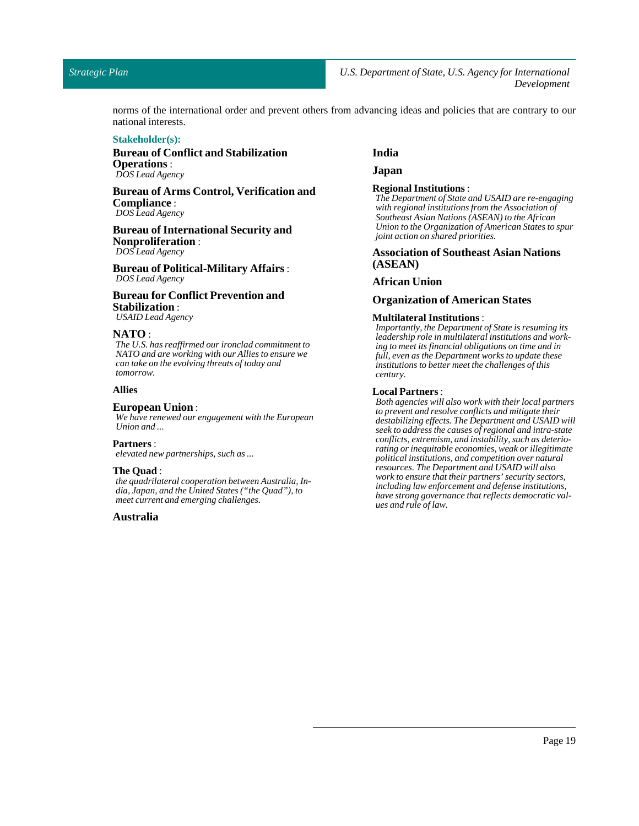### *Strategic Plan*

norms of the international order and prevent others from advancing ideas and policies that are contrary to our national interests.

#### **Stakeholder(s):**

### **Bureau of Conflict and Stabilization Operations** : *DOS Lead Agency*

### **Bureau of Arms Control, Verification and Compliance** : *DOS Lead Agency*

**Bureau of International Security and Nonproliferation** :

*DOS Lead Agency*

**Bureau of Political-Military Affairs** : *DOS Lead Agency*

### **Bureau for Conflict Prevention and Stabilization** :

*USAID Lead Agency*

### **NATO** :

*The U.S. has reaffirmed our ironclad commitment to NATO and are working with our Allies to ensure we can take on the evolving threats of today and tomorrow.*

#### **Allies**

#### **European Union** :

*We have renewed our engagement with the European Union and ...*

#### **Partners** :

*elevated new partnerships, such as ...*

### **The Quad**:

*the quadrilateral cooperation between Australia, India, Japan, and the United States ("the Quad"), to meet current and emerging challenges.*

### **Australia**

### **India**

**Japan**

#### **Regional Institutions**:

*The Department of State and USAID are re-engaging with regional institutions from the Association of Southeast Asian Nations (ASEAN) to the African Union to the Organization of American States to spur joint action on shared priorities.*

### **Association of Southeast Asian Nations (ASEAN)**

### **African Union**

#### **Organization of American States**

#### **Multilateral Institutions**:

*Importantly, the Department of State is resuming its leadership role in multilateral institutions and working to meet its financial obligations on time and in full, even as the Department works to update these institutions to better meet the challenges of this century.*

#### **Local Partners** :

*Both agencies will also work with their local partners to prevent and resolve conflicts and mitigate their destabilizing effects. The Department and USAID will seek to address the causes of regional and intra-state conflicts, extremism, and instability, such as deteriorating or inequitable economies, weak or illegitimate political institutions, and competition over natural resources. The Department and USAID will also work to ensure that their partners'security sectors, including law enforcement and defense institutions, have strong governance that reflects democratic values and rule of law.*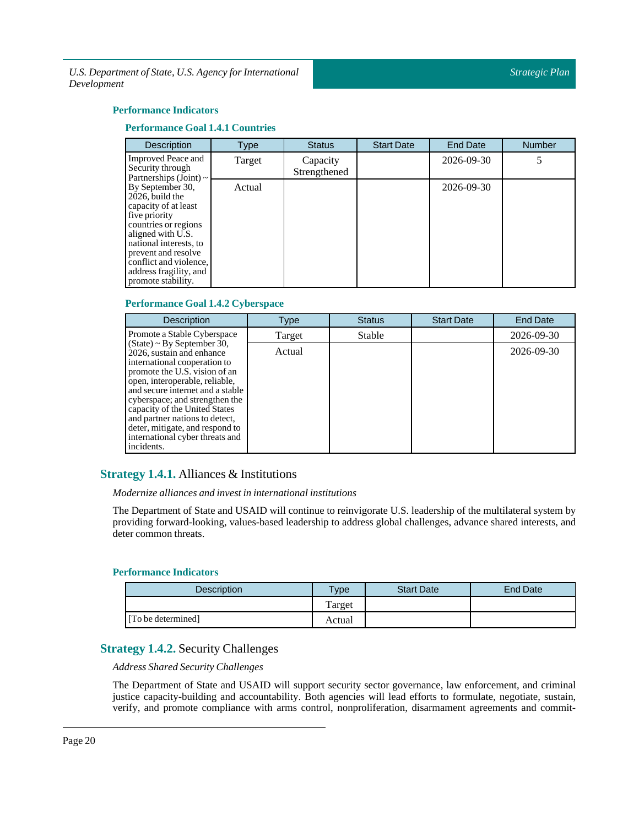### **Performance Indicators**

### **Performance Goal 1.4.1 Countries**

| <b>Description</b>                                                                                                                                                                                                                                   | Type   | <b>Status</b>            | <b>Start Date</b> | <b>End Date</b> | <b>Number</b> |
|------------------------------------------------------------------------------------------------------------------------------------------------------------------------------------------------------------------------------------------------------|--------|--------------------------|-------------------|-----------------|---------------|
| <b>Improved Peace and</b><br>Security through<br>Partnerships (Joint) $\sim$                                                                                                                                                                         | Target | Capacity<br>Strengthened |                   | 2026-09-30      |               |
| By September 30,<br>2026, build the<br>capacity of at least<br>five priority<br>countries or regions<br>aligned with U.S.<br>national interests, to<br>prevent and resolve<br>conflict and violence,<br>address fragility, and<br>promote stability. | Actual |                          |                   | 2026-09-30      |               |

### **Performance Goal 1.4.2 Cyberspace**

| <b>Description</b>                                                                                                                                                                                                                                                                                                                                                                        | Type   | <b>Status</b> | <b>Start Date</b> | <b>End Date</b> |
|-------------------------------------------------------------------------------------------------------------------------------------------------------------------------------------------------------------------------------------------------------------------------------------------------------------------------------------------------------------------------------------------|--------|---------------|-------------------|-----------------|
| Promote a Stable Cyberspace                                                                                                                                                                                                                                                                                                                                                               | Target | Stable        |                   | 2026-09-30      |
| $(State)$ ~ By September 30,<br>2026, sustain and enhance<br>international cooperation to<br>promote the U.S. vision of an<br>open, interoperable, reliable,<br>and secure internet and a stable<br>cyberspace; and strengthen the<br>capacity of the United States<br>and partner nations to detect,<br>deter, mitigate, and respond to<br>international cyber threats and<br>incidents. | Actual |               |                   | 2026-09-30      |

### <span id="page-19-0"></span>**Strategy 1.4.1.** Alliances & Institutions

### *Modernize alliances and investin internationalinstitutions*

The Department of State and USAID will continue to reinvigorate U.S. leadership of the multilateral system by providing forward-looking, values-based leadership to address global challenges, advance shared interests, and deter common threats.

### **Performance Indicators**

| <b>Description</b> | $v$ pe | <b>Start Date</b> | End Date |
|--------------------|--------|-------------------|----------|
|                    | Target |                   |          |
| [To be determined] | Actual |                   |          |

### <span id="page-19-1"></span>**Strategy 1.4.2.** Security Challenges

*Address Shared Security Challenges*

The Department of State and USAID will support security sector governance, law enforcement, and criminal justice capacity-building and accountability. Both agencies will lead efforts to formulate, negotiate, sustain, verify, and promote compliance with arms control, nonproliferation, disarmament agreements and commit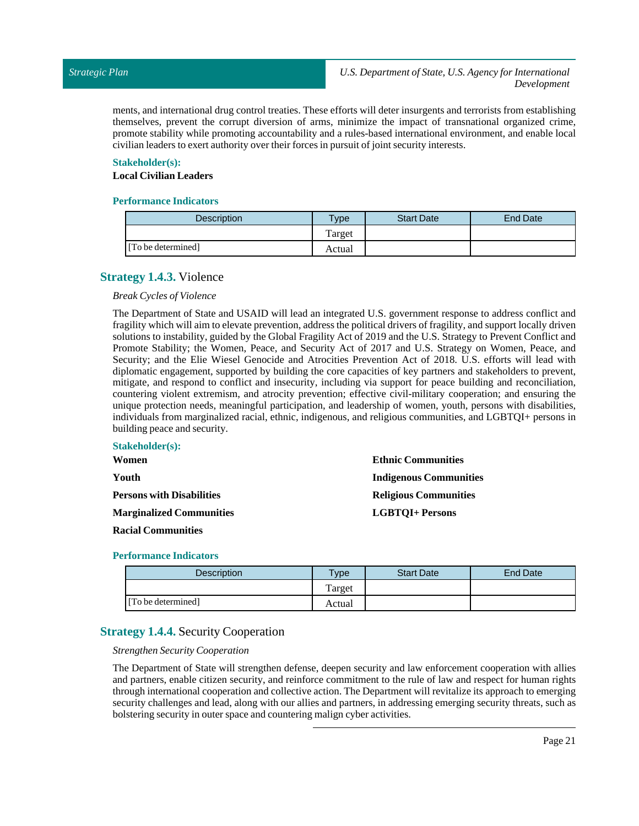ments, and international drug control treaties. These efforts will deter insurgents and terrorists from establishing themselves, prevent the corrupt diversion of arms, minimize the impact of transnational organized crime, promote stability while promoting accountability and a rules-based international environment, and enable local civilian leaders to exert authority over their forces in pursuit of joint security interests.

### **Stakeholder(s):**

### **Local Civilian Leaders**

### **Performance Indicators**

| <b>Description</b> | <b>Type</b> | <b>Start Date</b> | End Date |
|--------------------|-------------|-------------------|----------|
|                    | Target      |                   |          |
| [To be determined] | Actual      |                   |          |

### <span id="page-20-0"></span>**Strategy 1.4.3.** Violence

### *Break Cycles of Violence*

The Department of State and USAID will lead an integrated U.S. government response to address conflict and fragility which will aim to elevate prevention, address the political drivers of fragility, and support locally driven solutions to instability, guided by the Global Fragility Act of 2019 and the U.S. Strategy to Prevent Conflict and Promote Stability; the Women, Peace, and Security Act of 2017 and U.S. Strategy on Women, Peace, and Security; and the Elie Wiesel Genocide and Atrocities Prevention Act of 2018. U.S. efforts will lead with diplomatic engagement, supported by building the core capacities of key partners and stakeholders to prevent, mitigate, and respond to conflict and insecurity, including via support for peace building and reconciliation, countering violent extremism, and atrocity prevention; effective civil-military cooperation; and ensuring the unique protection needs, meaningful participation, and leadership of women, youth, persons with disabilities, individuals from marginalized racial, ethnic, indigenous, and religious communities, and LGBTQI+ persons in building peace and security.

| <b>Stakeholder(s):</b>           |                               |
|----------------------------------|-------------------------------|
| Women                            | <b>Ethnic Communities</b>     |
| Youth.                           | <b>Indigenous Communities</b> |
| <b>Persons with Disabilities</b> | <b>Religious Communities</b>  |
| <b>Marginalized Communities</b>  | <b>LGBTOI+ Persons</b>        |
|                                  |                               |

### **Racial Communities**

### **Performance Indicators**

| Description        | $T$ <sub>ype</sub> | <b>Start Date</b> | End Date |
|--------------------|--------------------|-------------------|----------|
|                    | Target             |                   |          |
| [To be determined] | Actual             |                   |          |

### <span id="page-20-1"></span>**Strategy 1.4.4.** Security Cooperation

### *Strengthen Security Cooperation*

The Department of State will strengthen defense, deepen security and law enforcement cooperation with allies and partners, enable citizen security, and reinforce commitment to the rule of law and respect for human rights through international cooperation and collective action. The Department will revitalize its approach to emerging security challenges and lead, along with our allies and partners, in addressing emerging security threats, such as bolstering security in outer space and countering malign cyber activities.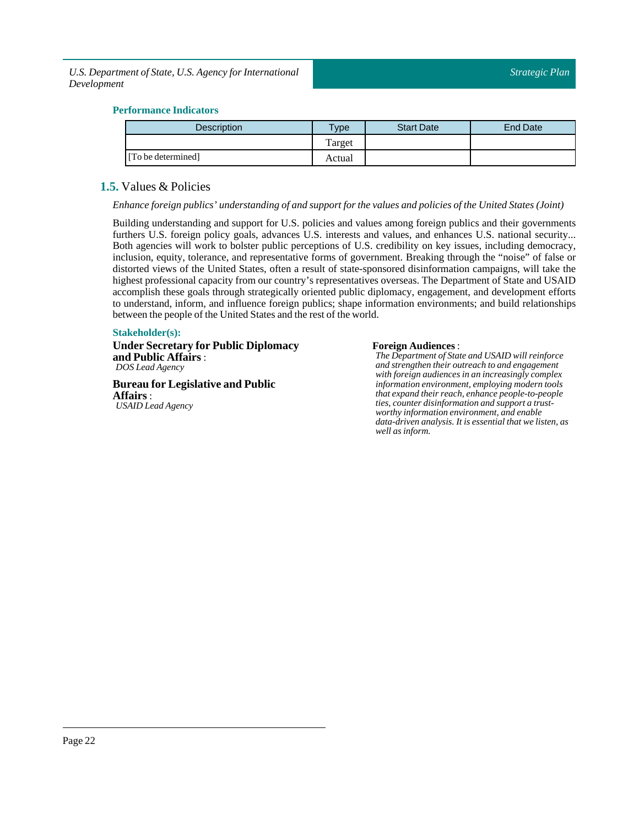### **Performance Indicators**

| <b>Description</b> | Type   | <b>Start Date</b> | End Date |
|--------------------|--------|-------------------|----------|
|                    | Target |                   |          |
| [To be determined] | Actual |                   |          |

### <span id="page-21-0"></span>**1.5.** Values & Policies

*Enhance foreign publics' understanding of and supportfor the values and policies ofthe United States (Joint)*

Building understanding and support for U.S. policies and values among foreign publics and their governments furthers U.S. foreign policy goals, advances U.S. interests and values, and enhances U.S. national security... Both agencies will work to bolster public perceptions of U.S. credibility on key issues, including democracy, inclusion, equity, tolerance, and representative forms of government. Breaking through the "noise" of false or distorted views of the United States, often a result of state-sponsored disinformation campaigns, will take the highest professional capacity from our country's representatives overseas. The Department of State and USAID accomplish these goals through strategically oriented public diplomacy, engagement, and development efforts to understand, inform, and influence foreign publics; shape information environments; and build relationships between the people of the United States and the rest of the world.

### **Stakeholder(s):**

**Under Secretary for Public Diplomacy and Public Affairs**: *DOS Lead Agency*

**Bureau for Legislative and Public Affairs**: *USAID Lead Agency*

### **Foreign Audiences** :

*The Department of State and USAID will reinforce and strengthen their outreach to and engagement with foreign audiences in an increasingly complex information environment, employing modern tools that expand their reach, enhance people-to-people ties, counter disinformation and support a trustworthy information environment, and enable data-driven analysis. It is essential that we listen, as well as inform.*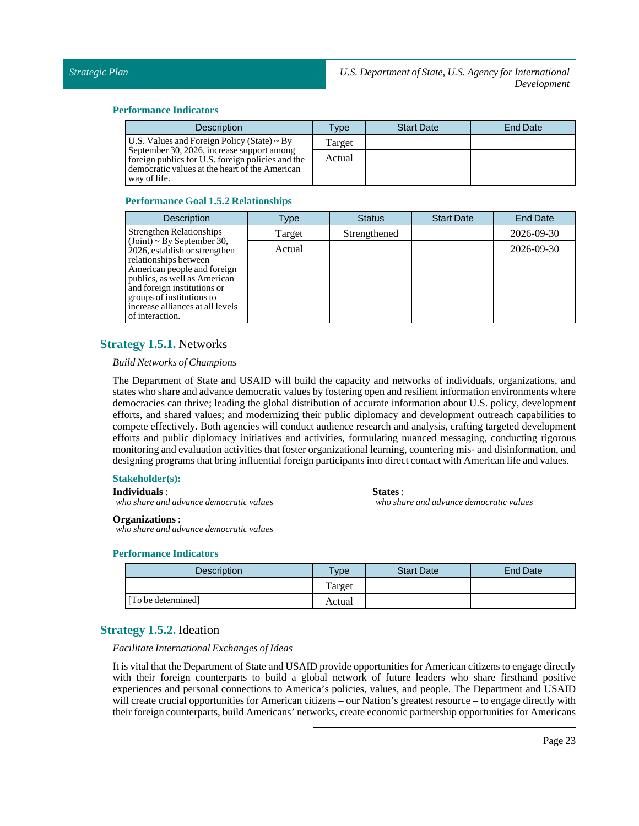### **Performance Indicators**

| <b>Description</b>                                                                                                                                                | Type   | <b>Start Date</b> | End Date |
|-------------------------------------------------------------------------------------------------------------------------------------------------------------------|--------|-------------------|----------|
| U.S. Values and Foreign Policy (State) $\sim$ By                                                                                                                  | Target |                   |          |
| September 30, 2026, increase support among<br>foreign publics for U.S. foreign policies and the<br>democratic values at the heart of the American<br>way of life. | Actual |                   |          |

### **Performance Goal 1.5.2 Relationships**

| <b>Description</b>                                                                                                                                                                                                                                                          | Type   | <b>Status</b> | <b>Start Date</b> | <b>End Date</b> |
|-----------------------------------------------------------------------------------------------------------------------------------------------------------------------------------------------------------------------------------------------------------------------------|--------|---------------|-------------------|-----------------|
| <b>Strengthen Relationships</b>                                                                                                                                                                                                                                             | Target | Strengthened  |                   | 2026-09-30      |
| $(Joint) \sim By September 30,$<br>2026, establish or strengthen<br>relationships between<br>American people and foreign<br>publics, as well as American<br>and foreign institutions or<br>groups of institutions to<br>increase alliances at all levels<br>of interaction. | Actual |               |                   | 2026-09-30      |

### <span id="page-22-0"></span>**Strategy 1.5.1.** Networks

### *Build Networks of Champions*

The Department of State and USAID will build the capacity and networks of individuals, organizations, and states who share and advance democratic values by fostering open and resilient information environments where democracies can thrive; leading the global distribution of accurate information about U.S. policy, development efforts, and shared values; and modernizing their public diplomacy and development outreach capabilities to compete effectively. Both agencies will conduct audience research and analysis, crafting targeted development efforts and public diplomacy initiatives and activities, formulating nuanced messaging, conducting rigorous monitoring and evaluation activities that foster organizational learning, countering mis- and disinformation, and designing programs that bring influential foreign participants into direct contact with American life and values.

### **Stakeholder(s):**

**Individuals**:

*who share and advance democratic values*

**States** :

*who share and advance democratic values*

### **Organizations**:

*who share and advance democratic values*

### **Performance Indicators**

| <b>Description</b> | $v$ pe | <b>Start Date</b> | End Date |
|--------------------|--------|-------------------|----------|
|                    | Target |                   |          |
| [To be determined] | Actual |                   |          |

### <span id="page-22-1"></span>**Strategy 1.5.2.** Ideation

### *Facilitate International Exchanges of Ideas*

It is vital that the Department of State and USAID provide opportunities for American citizens to engage directly with their foreign counterparts to build a global network of future leaders who share firsthand positive experiences and personal connections to America's policies, values, and people. The Department and USAID will create crucial opportunities for American citizens – our Nation's greatest resource – to engage directly with their foreign counterparts, build Americans' networks, create economic partnership opportunities for Americans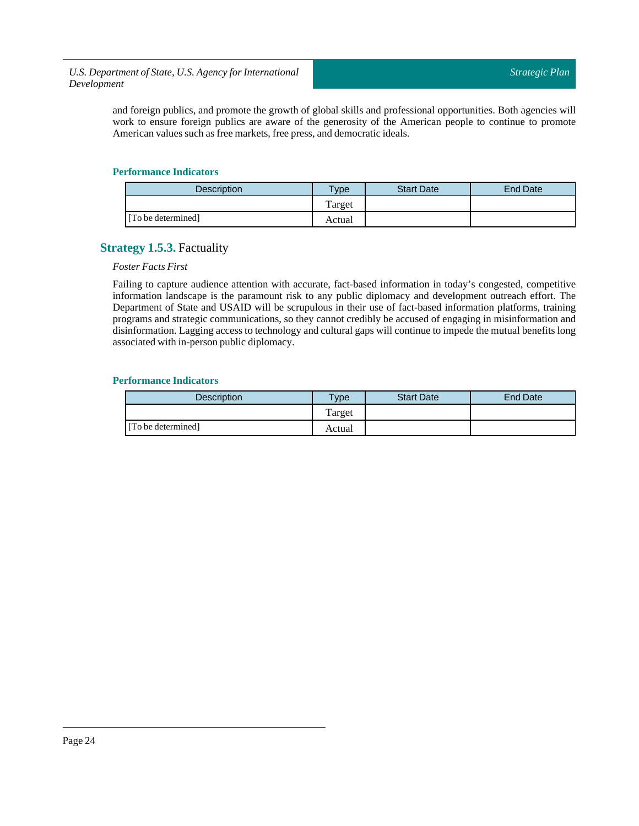and foreign publics, and promote the growth of global skills and professional opportunities. Both agencies will work to ensure foreign publics are aware of the generosity of the American people to continue to promote American values such as free markets, free press, and democratic ideals.

### **Performance Indicators**

| <b>Description</b> | $T$ ype | <b>Start Date</b> | <b>End Date</b> |
|--------------------|---------|-------------------|-----------------|
|                    | Target  |                   |                 |
| [To be determined] | Actual  |                   |                 |

### <span id="page-23-0"></span>**Strategy 1.5.3.** Factuality

### *Foster Facts First*

Failing to capture audience attention with accurate, fact-based information in today's congested, competitive information landscape is the paramount risk to any public diplomacy and development outreach effort. The Department of State and USAID will be scrupulous in their use of fact-based information platforms, training programs and strategic communications, so they cannot credibly be accused of engaging in misinformation and disinformation. Lagging access to technology and cultural gaps will continue to impede the mutual benefits long associated with in-person public diplomacy.

| <b>Description</b> | <b>Type</b> | <b>Start Date</b> | End Date |
|--------------------|-------------|-------------------|----------|
|                    | Target      |                   |          |
| [To be determined] | Actual      |                   |          |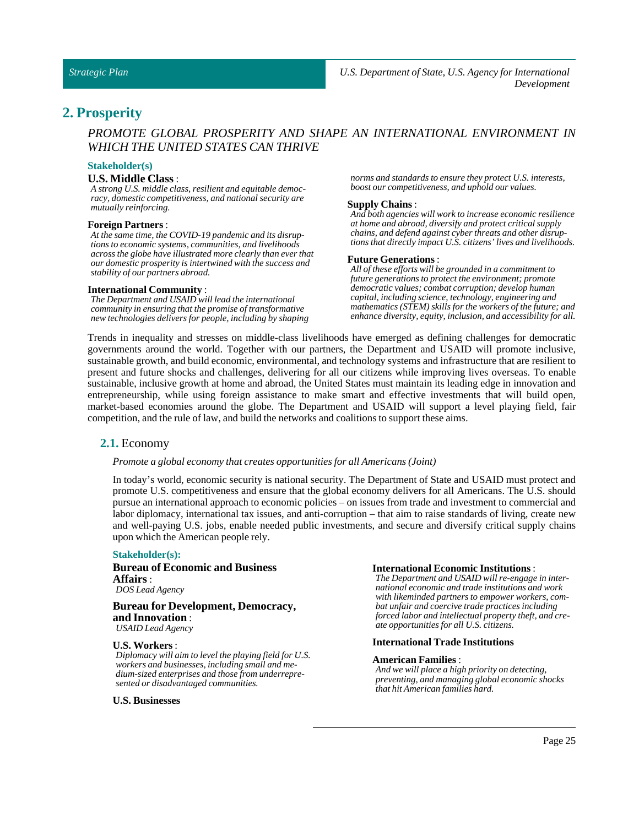### <span id="page-24-0"></span>**2. Prosperity**

### *PROMOTE GLOBAL PROSPERITY AND SHAPE AN INTERNATIONAL ENVIRONMENT IN WHICH THE UNITED STATES CAN THRIVE*

### **Stakeholder(s)**

### **U.S. Middle Class** :

*A strong U.S. middle class, resilient and equitable democracy, domestic competitiveness, and national security are mutually reinforcing.*

#### **Foreign Partners** :

*At the same time, the COVID-19 pandemic and its disruptions to economic systems, communities, and livelihoods across the globe have illustrated more clearly than ever that our domestic prosperity is intertwined with the success and stability of our partners abroad.*

### **International Community** :

*The Department and USAID will lead the international community in ensuring that the promise of transformative new technologies delivers for people, including by shaping* *norms and standards to ensure they protect U.S. interests, boost our competitiveness, and uphold our values.*

#### **Supply Chains** :

*And both agencies will work to increase economic resilience at home and abroad, diversify and protect critical supply chains, and defend against cyber threats and other disruptions that directly impact U.S. citizens' lives and livelihoods.*

### **Future Generations**:

*All of these efforts will be grounded in a commitment to future generations to protect the environment; promote democratic values; combat corruption; develop human capital, including science, technology, engineering and mathematics (STEM) skills for the workers of the future; and enhance diversity, equity, inclusion, and accessibility for all.*

Trends in inequality and stresses on middle-class livelihoods have emerged as defining challenges for democratic governments around the world. Together with our partners, the Department and USAID will promote inclusive, sustainable growth, and build economic, environmental, and technology systems and infrastructure that are resilient to present and future shocks and challenges, delivering for all our citizens while improving lives overseas. To enable sustainable, inclusive growth at home and abroad, the United States must maintain its leading edge in innovation and entrepreneurship, while using foreign assistance to make smart and effective investments that will build open, market-based economies around the globe. The Department and USAID will support a level playing field, fair competition, and the rule of law, and build the networks and coalitions to support these aims.

### <span id="page-24-1"></span>**2.1.** Economy

#### *Promote a global economy that creates opportunities for all Americans (Joint)*

In today's world, economic security is national security. The Department of State and USAID must protect and promote U.S. competitiveness and ensure that the global economy delivers for all Americans. The U.S. should pursue an international approach to economic policies – on issues from trade and investment to commercial and labor diplomacy, international tax issues, and anti-corruption – that aim to raise standards of living, create new and well-paying U.S. jobs, enable needed public investments, and secure and diversify critical supply chains upon which the American people rely.

#### **Stakeholder(s):**

**Bureau of Economic and Business Affairs**: *DOS Lead Agency*

### **Bureau for Development, Democracy, and Innovation** : *USAID Lead Agency*

#### **U.S. Workers** :

*Diplomacy will aim to level the playing field for U.S. workers and businesses, including small and medium-sized enterprises and those from underrepresented or disadvantaged communities.*

#### **U.S. Businesses**

#### **International Economic Institutions**:

*The Department and USAID will re-engage in international economic and trade institutions and work with likeminded partners to empower workers, combat unfair and coercive trade practices including forced labor and intellectual property theft, and create opportunities for all U.S. citizens.*

### **International Trade Institutions**

#### **American Families** :

*And we will place a high priority on detecting, preventing, and managing global economic shocks that hit American families hard.*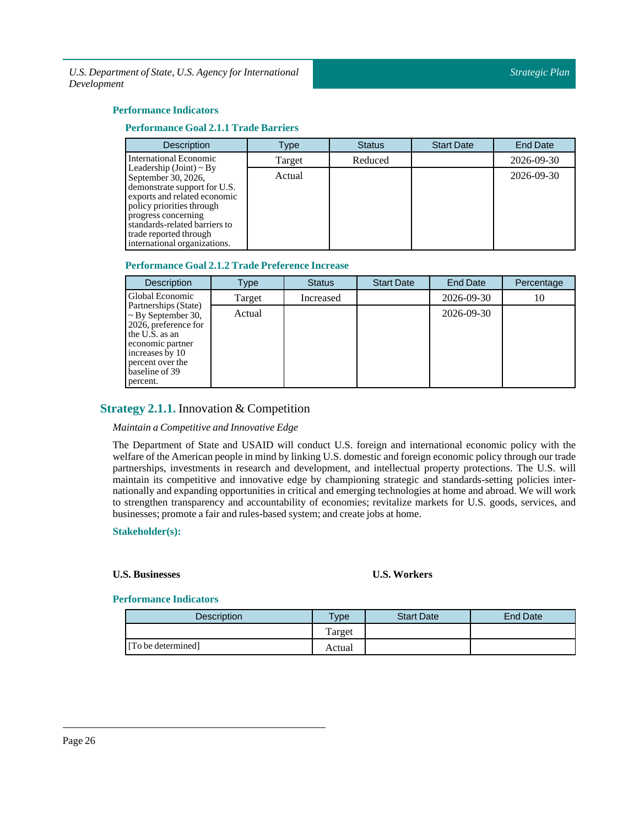### **Performance Indicators**

### **Performance Goal 2.1.1 Trade Barriers**

| <b>Description</b>                                                                                                                                                                                                                                                 | Type   | <b>Status</b> | <b>Start Date</b> | <b>End Date</b>  |
|--------------------------------------------------------------------------------------------------------------------------------------------------------------------------------------------------------------------------------------------------------------------|--------|---------------|-------------------|------------------|
| International Economic                                                                                                                                                                                                                                             | Target | Reduced       |                   | 2026-09-30       |
| Leadership (Joint) $\sim$ By<br>September 30, 2026,<br>demonstrate support for U.S.<br>exports and related economic<br>policy priorities through<br>progress concerning<br>standards-related barriers to<br>trade reported through<br>international organizations. | Actual |               |                   | $2026 - 09 - 30$ |

### **Performance Goal 2.1.2 Trade Preference Increase**

| <b>Description</b>                                                                                                                                                                 | Type   | <b>Status</b> | <b>Start Date</b> | <b>End Date</b>  | Percentage |
|------------------------------------------------------------------------------------------------------------------------------------------------------------------------------------|--------|---------------|-------------------|------------------|------------|
| Global Economic                                                                                                                                                                    | Target | Increased     |                   | 2026-09-30       | 10         |
| Partnerships (State)<br>$\sim$ By September 30,<br>2026, preference for<br>the U.S. as an<br>economic partner<br>increases by 10<br>percent over the<br>baseline of 39<br>percent. | Actual |               |                   | $2026 - 09 - 30$ |            |

### <span id="page-25-0"></span>**Strategy 2.1.1.** Innovation & Competition

### *Maintain a Competitive and Innovative Edge*

The Department of State and USAID will conduct U.S. foreign and international economic policy with the welfare of the American people in mind by linking U.S. domestic and foreign economic policy through our trade partnerships, investments in research and development, and intellectual property protections. The U.S. will maintain its competitive and innovative edge by championing strategic and standards-setting policies internationally and expanding opportunities in critical and emerging technologies at home and abroad. We will work to strengthen transparency and accountability of economies; revitalize markets for U.S. goods, services, and businesses; promote a fair and rules-based system; and create jobs at home.

### **Stakeholder(s):**

### **U.S. Businesses U.S. Workers**

| Description        | <b>Type</b> | <b>Start Date</b> | End Date |
|--------------------|-------------|-------------------|----------|
|                    | Target      |                   |          |
| [To be determined] | Actual      |                   |          |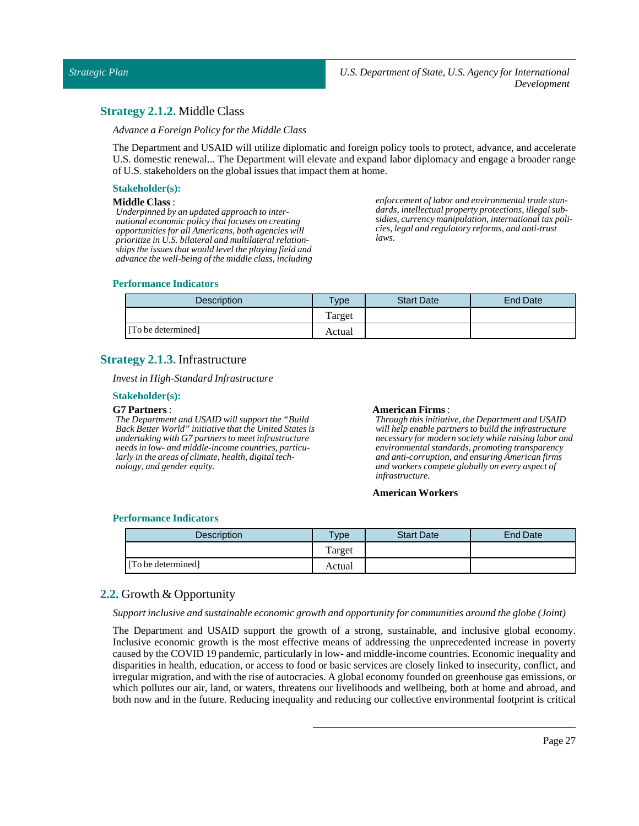### <span id="page-26-0"></span>**Strategy 2.1.2.** Middle Class

*Advance a Foreign Policy for the Middle Class*

The Department and USAID will utilize diplomatic and foreign policy tools to protect, advance, and accelerate U.S. domestic renewal... The Department will elevate and expand labor diplomacy and engage a broader range of U.S. stakeholders on the global issues that impact them at home.

### **Stakeholder(s):**

### **Middle Class** :

*Underpinned by an updated approach to international economic policy that focuses on creating opportunities for all Americans, both agencies will prioritize in U.S. bilateral and multilateral relationships the issues that would level the playing field and advance the well-being of the middle class, including* *enforcement of labor and environmental trade standards, intellectual property protections, illegal subsidies, currency manipulation, international tax policies, legal and regulatory reforms, and anti-trust laws.*

### **Performance Indicators**

| <b>Description</b> | <b>Type</b> | <b>Start Date</b> | End Date |
|--------------------|-------------|-------------------|----------|
|                    | Target      |                   |          |
| [To be determined] | Actual      |                   |          |

### <span id="page-26-1"></span>**Strategy 2.1.3.** Infrastructure

*Investin High-Standard Infrastructure*

### **Stakeholder(s):**

### **G7 Partners**:

*The Department and USAID will support the "Build Back Better World" initiative that the United States is undertaking with G7 partners to meet infrastructure needs in low- and middle-income countries, particularly in the areas of climate, health, digital technology, and gender equity.*

### **American Firms**:

*Through this initiative, the Department and USAID will help enable partners to build the infrastructure necessary for modern society while raising labor and environmental standards, promoting transparency and anti-corruption, and ensuring American firms and workers compete globally on every aspect of infrastructure.*

### **American Workers**

### **Performance Indicators**

| <b>Description</b> | <b>Vpe</b> | <b>Start Date</b> | End Date |
|--------------------|------------|-------------------|----------|
|                    | Target     |                   |          |
| [To be determined] | Actual     |                   |          |

### <span id="page-26-2"></span>**2.2.** Growth & Opportunity

*Supportinclusive and sustainable economic growth and opportunity for communities around the globe (Joint)*

The Department and USAID support the growth of a strong, sustainable, and inclusive global economy. Inclusive economic growth is the most effective means of addressing the unprecedented increase in poverty caused by the COVID 19 pandemic, particularly in low- and middle-income countries. Economic inequality and disparities in health, education, or access to food or basic services are closely linked to insecurity, conflict, and irregular migration, and with the rise of autocracies. A global economy founded on greenhouse gas emissions, or which pollutes our air, land, or waters, threatens our livelihoods and wellbeing, both at home and abroad, and both now and in the future. Reducing inequality and reducing our collective environmental footprint is critical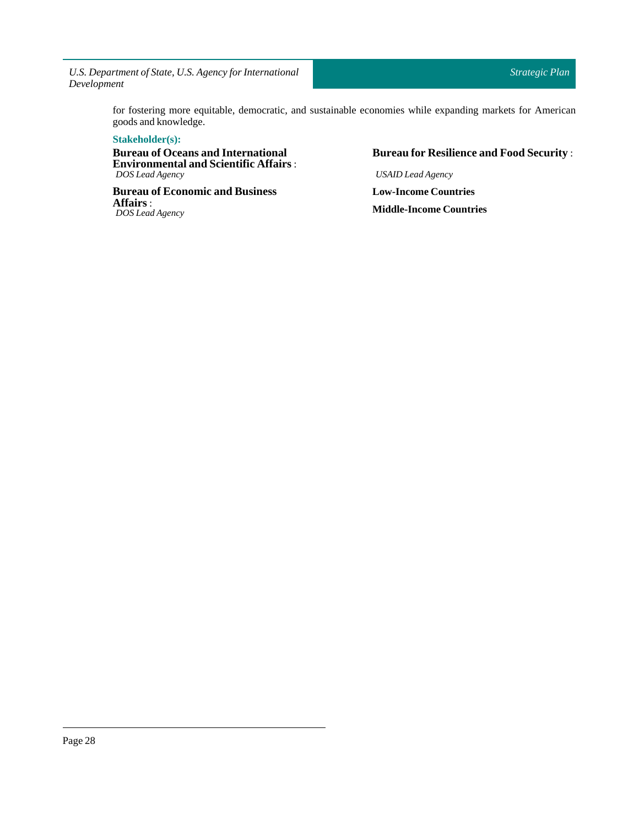> for fostering more equitable, democratic, and sustainable economies while expanding markets for American goods and knowledge.

### **Stakeholder(s):**

**Bureau of Oceans and International Environmental and Scientific Affairs** : *DOS Lead Agency*

**Bureau of Economic and Business Affairs**: *DOS Lead Agency*

### **Bureau for Resilience and Food Security** :

*USAID Lead Agency* **Low-Income Countries Middle-Income Countries**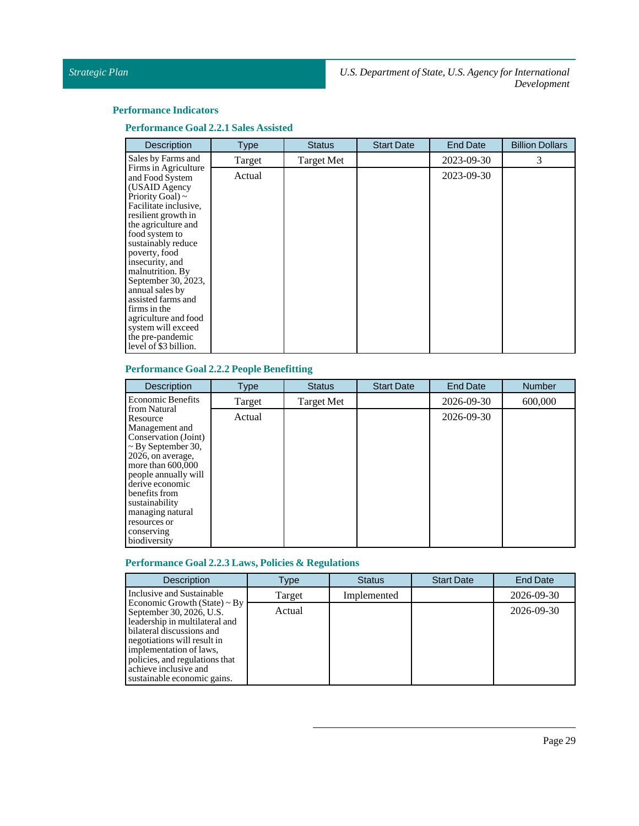### **Performance Indicators**

**Performance Goal 2.2.1Sales Assisted**

| <b>Description</b>                                                                                                                                                                                                                                                                                                                                                                                                                  | <b>Type</b> | <b>Status</b> | <b>Start Date</b> | <b>End Date</b> | <b>Billion Dollars</b> |
|-------------------------------------------------------------------------------------------------------------------------------------------------------------------------------------------------------------------------------------------------------------------------------------------------------------------------------------------------------------------------------------------------------------------------------------|-------------|---------------|-------------------|-----------------|------------------------|
| Sales by Farms and                                                                                                                                                                                                                                                                                                                                                                                                                  | Target      | Target Met    |                   | 2023-09-30      | 3                      |
| Firms in Agriculture<br>and Food System<br>(USAID Agency<br>Priority Goal) $\sim$<br>Facilitate inclusive,<br>resilient growth in<br>the agriculture and<br>food system to<br>sustainably reduce<br>poverty, food<br>insecurity, and<br>malnutrition. By<br>September 30, 2023,<br>annual sales by<br>assisted farms and<br>firms in the<br>agriculture and food<br>system will exceed<br>the pre-pandemic<br>level of \$3 billion. | Actual      |               |                   | 2023-09-30      |                        |

### **Performance Goal 2.2.2 People Benefitting**

| <b>Description</b>                                                                                                                                                                                                                                                                        | <b>Type</b> | <b>Status</b>     | <b>Start Date</b> | <b>End Date</b> | <b>Number</b> |
|-------------------------------------------------------------------------------------------------------------------------------------------------------------------------------------------------------------------------------------------------------------------------------------------|-------------|-------------------|-------------------|-----------------|---------------|
| <b>Economic Benefits</b>                                                                                                                                                                                                                                                                  | Target      | <b>Target Met</b> |                   | 2026-09-30      | 600,000       |
| from Natural<br>Resource<br>Management and<br>Conservation (Joint)<br>$\sim$ By September 30,<br>2026, on average,<br>more than $600,000$<br>people annually will<br>derive economic<br>benefits from<br>sustainability<br>managing natural<br>resources or<br>conserving<br>biodiversity | Actual      |                   |                   | 2026-09-30      |               |

### **Performance Goal 2.2.3 Laws, Policies & Regulations**

| <b>Description</b>                                                                                                                                                                                                                                                               | Type   | <b>Status</b> | <b>Start Date</b> | <b>End Date</b>  |
|----------------------------------------------------------------------------------------------------------------------------------------------------------------------------------------------------------------------------------------------------------------------------------|--------|---------------|-------------------|------------------|
| Inclusive and Sustainable                                                                                                                                                                                                                                                        | Target | Implemented   |                   | 2026-09-30       |
| Economic Growth (State) $\sim$ By<br>September 30, 2026, U.S.<br>leadership in multilateral and<br>bilateral discussions and<br>negotiations will result in<br>implementation of laws.<br>policies, and regulations that<br>achieve inclusive and<br>sustainable economic gains. | Actual |               |                   | $2026 - 09 - 30$ |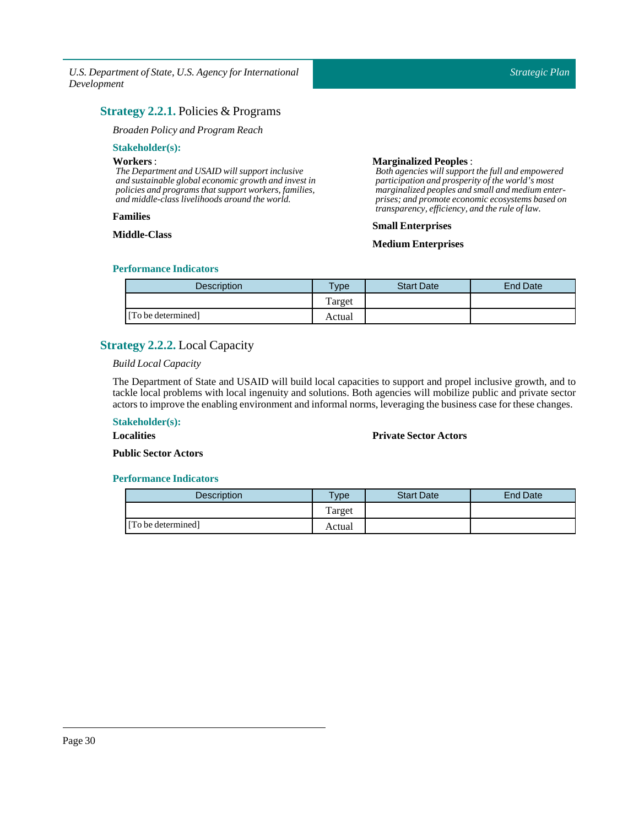### <span id="page-29-0"></span>**Strategy 2.2.1.** Policies & Programs

### *Broaden Policy and Program Reach*

### **Stakeholder(s):**

### **Workers**:

*The Department and USAID will support inclusive and sustainable global economic growth and invest in policies and programs that support workers, families, and middle-class livelihoods around the world.*

### **Families**

### **Middle-Class**

### **Marginalized Peoples** :

*Both agencies will support the full and empowered participation and prosperity of the world's most marginalized peoples and small and medium enterprises; and promote economic ecosystems based on transparency, efficiency, and the rule of law.*

### **Small Enterprises**

### **Medium Enterprises**

### **Performance Indicators**

| Description        | $v_{\rm p}$ | <b>Start Date</b> | End Date |
|--------------------|-------------|-------------------|----------|
|                    | Target      |                   |          |
| [To be determined] | Actual      |                   |          |

### <span id="page-29-1"></span>**Strategy 2.2.2.** Local Capacity

### *BuildLocal Capacity*

The Department of State and USAID will build local capacities to support and propel inclusive growth, and to tackle local problems with local ingenuity and solutions. Both agencies will mobilize public and private sector actors to improve the enabling environment and informal norms, leveraging the business case for these changes.

### **Stakeholder(s):**

**Localities**

### **Private Sector Actors**

**Public Sector Actors** 

| <b>Description</b> | $T$ <sub>V</sub> $pe$ | <b>Start Date</b> | End Date |
|--------------------|-----------------------|-------------------|----------|
|                    | Target                |                   |          |
| [To be determined] | Actual                |                   |          |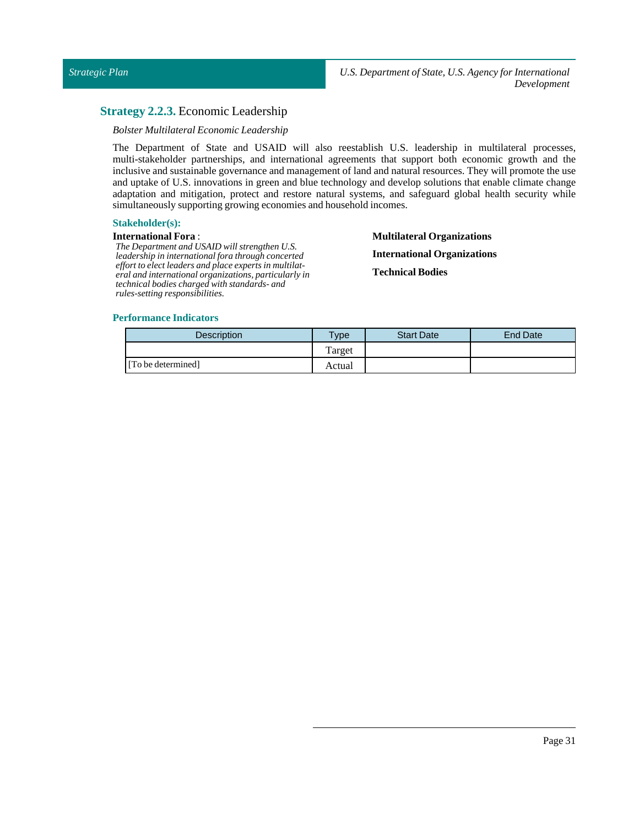### <span id="page-30-0"></span>**Strategy 2.2.3.** Economic Leadership

### *Bolster Multilateral EconomicLeadership*

The Department of State and USAID will also reestablish U.S. leadership in multilateral processes, multi-stakeholder partnerships, and international agreements that support both economic growth and the inclusive and sustainable governance and management of land and natural resources. They will promote the use and uptake of U.S. innovations in green and blue technology and develop solutions that enable climate change adaptation and mitigation, protect and restore natural systems, and safeguard global health security while simultaneously supporting growing economies and household incomes.

### **Stakeholder(s):**

### **International Fora** :

*The Department and USAID will strengthen U.S. leadership in international fora through concerted effort to elect leaders and place experts in multilateral and international organizations, particularly in technical bodies charged with standards- and rules-setting responsibilities.*

**Multilateral Organizations International Organizations Technical Bodies**

| Description        | Type   | <b>Start Date</b> | <b>End Date</b> |
|--------------------|--------|-------------------|-----------------|
|                    | Target |                   |                 |
| [To be determined] | Actual |                   |                 |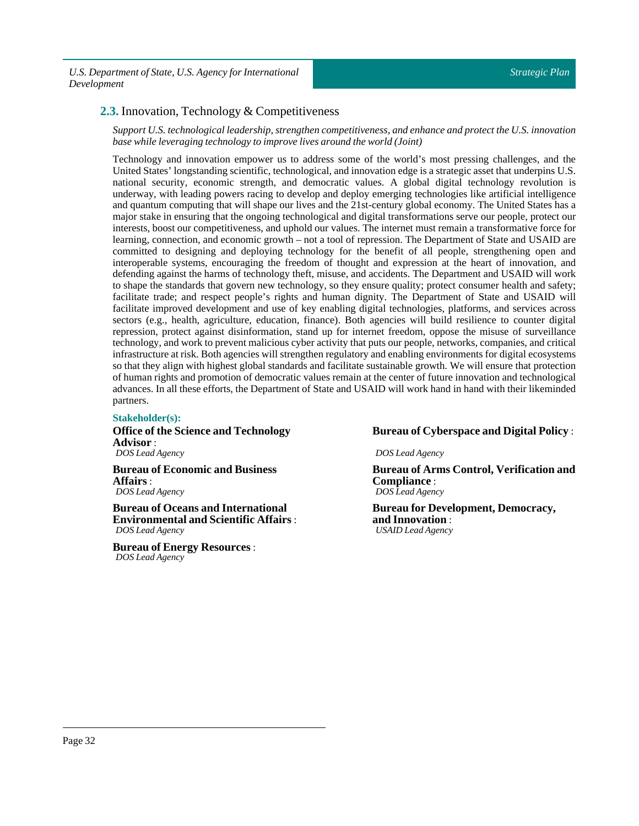### <span id="page-31-0"></span>**2.3.** Innovation, Technology & Competitiveness

*Support U.S.technologicalleadership, strengthen competitiveness, and enhance and protectthe U.S.innovation base while leveraging technology to improve lives around the world (Joint)*

Technology and innovation empower us to address some of the world's most pressing challenges, and the United States' longstanding scientific, technological, and innovation edge is a strategic asset that underpins U.S. national security, economic strength, and democratic values. A global digital technology revolution is underway, with leading powers racing to develop and deploy emerging technologies like artificial intelligence and quantum computing that will shape our lives and the 21st-century global economy. The United States has a major stake in ensuring that the ongoing technological and digital transformations serve our people, protect our interests, boost our competitiveness, and uphold our values. The internet must remain a transformative force for learning, connection, and economic growth – not a tool of repression. The Department of State and USAID are committed to designing and deploying technology for the benefit of all people, strengthening open and interoperable systems, encouraging the freedom of thought and expression at the heart of innovation, and defending against the harms of technology theft, misuse, and accidents. The Department and USAID will work to shape the standards that govern new technology, so they ensure quality; protect consumer health and safety; facilitate trade; and respect people's rights and human dignity. The Department of State and USAID will facilitate improved development and use of key enabling digital technologies, platforms, and services across sectors (e.g., health, agriculture, education, finance). Both agencies will build resilience to counter digital repression, protect against disinformation, stand up for internet freedom, oppose the misuse of surveillance technology, and work to prevent malicious cyber activity that puts our people, networks, companies, and critical infrastructure at risk. Both agencies will strengthen regulatory and enabling environments for digital ecosystems so that they align with highest global standards and facilitate sustainable growth. We will ensure that protection of human rights and promotion of democratic values remain at the center of future innovation and technological advances. In all these efforts, the Department of State and USAID will work hand in hand with their likeminded partners.

### **Stakeholder(s):**

**Office of the Science and Technology Advisor** : *DOS Lead Agency*

**Bureau of Economic and Business Affairs**: *DOS Lead Agency*

**Bureau of Oceans and International Environmental and Scientific Affairs** : *DOS Lead Agency*

**Bureau of Energy Resources**: *DOS Lead Agency*

### **Bureau of Cyberspace and Digital Policy** :

*DOS Lead Agency*

**Bureau of Arms Control, Verification and Compliance** : *DOS Lead Agency*

**Bureau for Development, Democracy, and Innovation** : *USAID Lead Agency*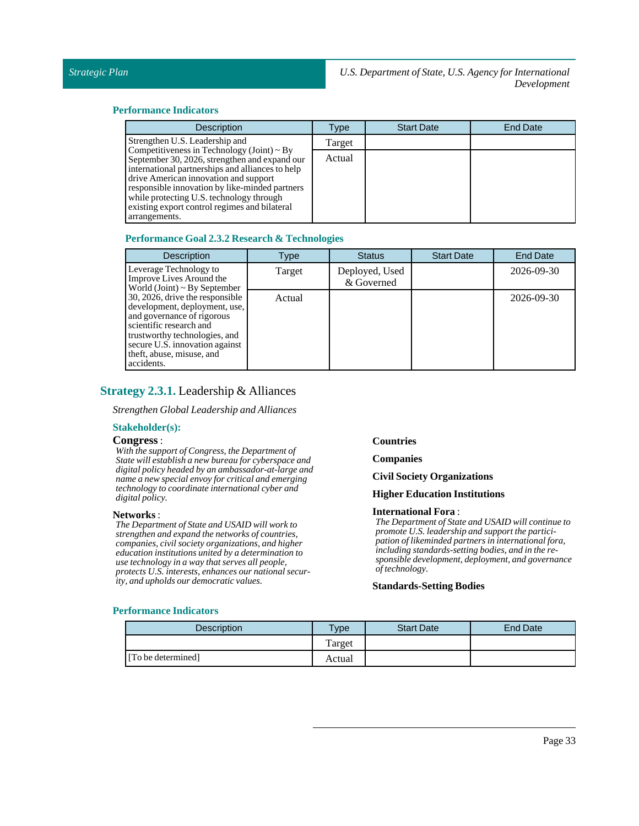### **Performance Indicators**

| <b>Description</b>                                                                                                                                                                                                                                                                                         | Type   | <b>Start Date</b> | <b>End Date</b> |
|------------------------------------------------------------------------------------------------------------------------------------------------------------------------------------------------------------------------------------------------------------------------------------------------------------|--------|-------------------|-----------------|
| Strengthen U.S. Leadership and<br>Competitiveness in Technology (Joint) $\sim$ By                                                                                                                                                                                                                          | Target |                   |                 |
| September 30, 2026, strengthen and expand our<br>international partnerships and alliances to help<br>drive American innovation and support<br>responsible innovation by like-minded partners<br>while protecting U.S. technology through<br>existing export control regimes and bilateral<br>arrangements. | Actual |                   |                 |

### **Performance Goal 2.3.2 Research & Technologies**

| <b>Description</b>                                                                                                                                                                                                                      | Type   | <b>Status</b>                | <b>Start Date</b> | <b>End Date</b> |
|-----------------------------------------------------------------------------------------------------------------------------------------------------------------------------------------------------------------------------------------|--------|------------------------------|-------------------|-----------------|
| Leverage Technology to<br>Improve Lives Around the<br>World (Joint) $\sim$ By September                                                                                                                                                 | Target | Deployed, Used<br>& Governed |                   | 2026-09-30      |
| 30, 2026, drive the responsible<br>development, deployment, use,<br>and governance of rigorous<br>scientific research and<br>trustworthy technologies, and<br>secure U.S. innovation against<br>theft, abuse, misuse, and<br>accidents. | Actual |                              |                   | 2026-09-30      |

### <span id="page-32-0"></span>**Strategy 2.3.1.** Leadership & Alliances

*Strengthen GlobalLeadership and Alliances*

### **Stakeholder(s):**

### **Congress**:

*With the support of Congress, the Department of State will establish a new bureau for cyberspace and digital policy headed by an ambassador-at-large and name a new special envoy for critical and emerging technology to coordinate international cyber and digital policy.*

#### **Networks** :

*The Department of State and USAID will work to strengthen and expand the networks of countries, companies, civil society organizations, and higher education institutions united by a determination to use technology in a way that serves all people, protects U.S. interests, enhances our national security, and upholds our democratic values.*

**Countries**

**Companies**

**CivilSociety Organizations**

### **Higher Education Institutions**

### **International Fora** :

*The Department of State and USAID will continue to promote U.S. leadership and support the participation of likeminded partners in international fora, including standards-setting bodies, and in the responsible development, deployment, and governance of technology.*

### **Standards-Setting Bodies**

| <b>Description</b> | $T$ <sub>V</sub> pe | <b>Start Date</b> | <b>End Date</b> |
|--------------------|---------------------|-------------------|-----------------|
|                    | m<br>Target         |                   |                 |
| [To be determined] | Actual              |                   |                 |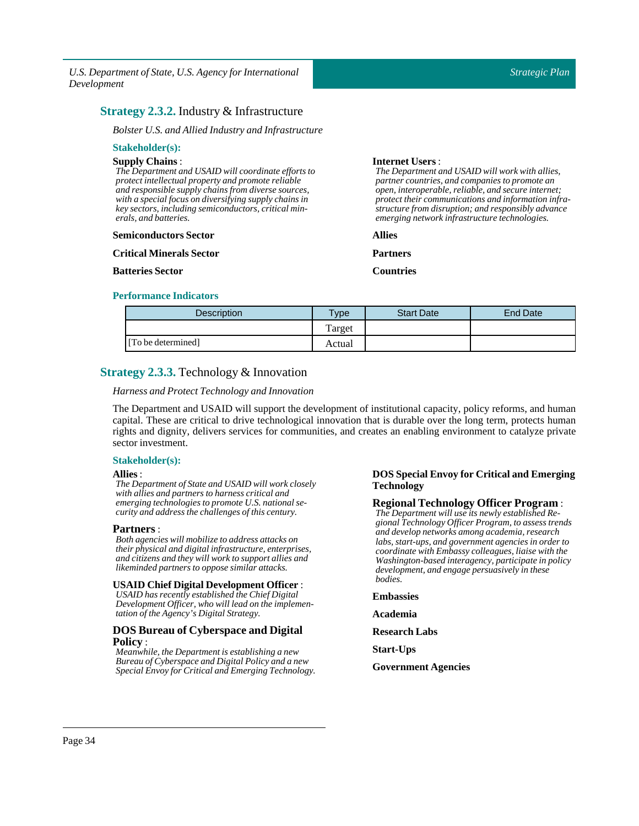### <span id="page-33-0"></span>**Strategy 2.3.2.** Industry & Infrastructure

*Bolster U.S. and Allied Industry and Infrastructure*

#### **Stakeholder(s): Supply Chains** : *The Department and USAID will coordinate efforts to protect intellectual property and promote reliable and responsible supply chains from diverse sources, with a special focus on diversifying supply chains in key sectors, including semiconductors, critical minerals, and batteries.* **Semiconductors Sector Critical Minerals Sector Batteries Sector Internet Users**: *The Department and USAID will work with allies, partner countries, and companies to promote an open, interoperable, reliable, and secure internet; protect their communications and information infrastructure from disruption; and responsibly advance emerging network infrastructure technologies.* **Allies Partners Countries**

### **Performance Indicators**

| <b>Description</b> | $T$ vpe | <b>Start Date</b> | <b>End Date</b> |
|--------------------|---------|-------------------|-----------------|
|                    | l'arget |                   |                 |
| [To be determined] | Actual  |                   |                 |

### <span id="page-33-1"></span>**Strategy 2.3.3.** Technology & Innovation

*Harness and ProtectTechnology and Innovation*

The Department and USAID will support the development of institutional capacity, policy reforms, and human capital. These are critical to drive technological innovation that is durable over the long term, protects human rights and dignity, delivers services for communities, and creates an enabling environment to catalyze private sector investment.

### **Stakeholder(s):**

### **Allies**:

*The Department of State and USAID will work closely with allies and partners to harness critical and emerging technologies to promote U.S. national security and address the challenges of this century.*

### **Partners** :

*Both agencies will mobilize to address attacks on their physical and digital infrastructure, enterprises, and citizens and they will work to support allies and likeminded partners to oppose similar attacks.*

### **USAID Chief Digital Development Officer** :

*USAID has recently established the Chief Digital Development Officer, who will lead on the implementation of the Agency's Digital Strategy.*

### **DOS Bureau of Cyberspace and Digital Policy** :

*Meanwhile, the Department is establishing a new Bureau of Cyberspace and Digital Policy and a new Special Envoy for Critical and Emerging Technology.*

### **DOSSpecial Envoy for Critical and Emerging Technology**

### **Regional Technology Officer Program** :

*The Department will use its newly established Regional Technology Officer Program, to assess trends and develop networks among academia, research labs, start-ups, and government agencies in order to coordinate with Embassy colleagues, liaise with the Washington-based interagency, participate in policy development, and engage persuasively in these bodies.*

### **Embassies**

**Academia**

- **Research Labs**
- **Start-Ups**
- **Government Agencies**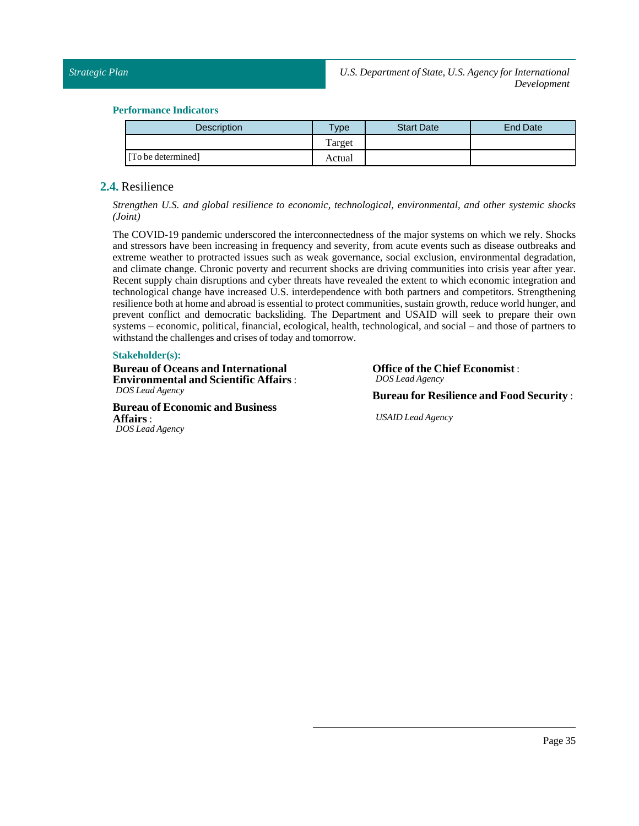### **Performance Indicators**

| Description        | <b>VDe</b> | <b>Start Date</b> | End Date |
|--------------------|------------|-------------------|----------|
|                    | Target     |                   |          |
| [To be determined] | Actual     |                   |          |

### <span id="page-34-0"></span>**2.4.** Resilience

*Strengthen U.S. and global resilience to economic, technological, environmental, and other systemic shocks (Joint)*

The COVID-19 pandemic underscored the interconnectedness of the major systems on which we rely. Shocks and stressors have been increasing in frequency and severity, from acute events such as disease outbreaks and extreme weather to protracted issues such as weak governance, social exclusion, environmental degradation, and climate change. Chronic poverty and recurrent shocks are driving communities into crisis year after year. Recent supply chain disruptions and cyber threats have revealed the extent to which economic integration and technological change have increased U.S. interdependence with both partners and competitors. Strengthening resilience both at home and abroad is essential to protect communities, sustain growth, reduce world hunger, and prevent conflict and democratic backsliding. The Department and USAID will seek to prepare their own systems – economic, political, financial, ecological, health, technological, and social – and those of partners to withstand the challenges and crises of today and tomorrow.

### **Stakeholder(s):**

**Bureau of Oceans and International Environmental and Scientific Affairs** : *DOS Lead Agency*

**Bureau of Economic and Business Affairs**: *DOS Lead Agency*

**Office of the Chief Economist** : *DOS Lead Agency*

**Bureau for Resilience and Food Security** :

*USAID Lead Agency*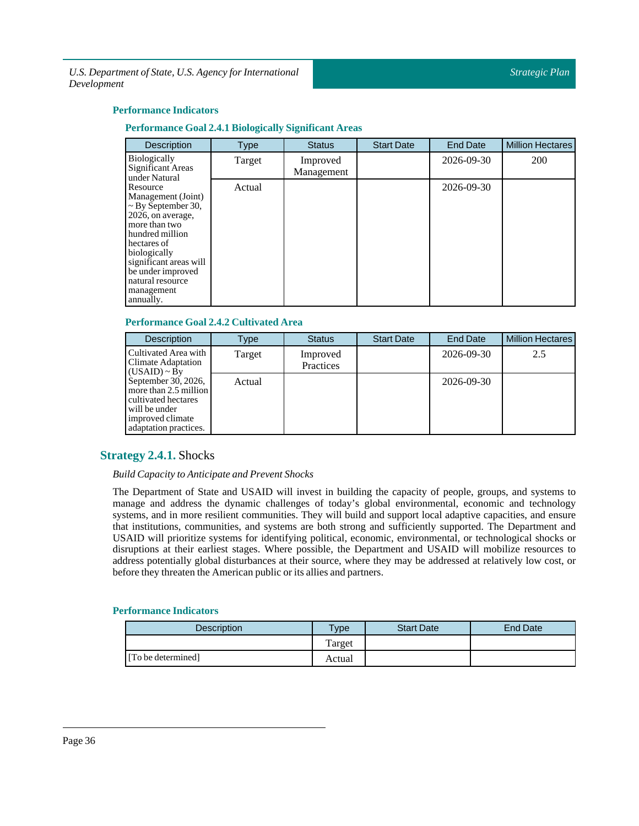### **Performance Indicators**

### **Performance Goal 2.4.1 Biologically Significant Areas**

| Description                                                                                                                                                                                                                                     | Type   | <b>Status</b>          | <b>Start Date</b> | <b>End Date</b> | <b>Million Hectares</b> |
|-------------------------------------------------------------------------------------------------------------------------------------------------------------------------------------------------------------------------------------------------|--------|------------------------|-------------------|-----------------|-------------------------|
| <b>Biologically</b><br>Significant Areas<br>under Natural                                                                                                                                                                                       | Target | Improved<br>Management |                   | 2026-09-30      | 200                     |
| Resource<br>Management (Joint)<br>$\sim$ By September 30,<br>2026, on average,<br>more than two<br>hundred million<br>hectares of<br>biologically<br>significant areas will<br>be under improved<br>natural resource<br>management<br>annually. | Actual |                        |                   | 2026-09-30      |                         |

### **Performance Goal 2.4.2 Cultivated Area**

| <b>Description</b>                                                                                                                | Type   | <b>Status</b>         | <b>Start Date</b> | <b>End Date</b> | <b>Million Hectares</b> |
|-----------------------------------------------------------------------------------------------------------------------------------|--------|-----------------------|-------------------|-----------------|-------------------------|
| Cultivated Area with<br>Climate Adaptation<br>$(USAID) \sim By$                                                                   | Target | Improved<br>Practices |                   | 2026-09-30      | 2.5                     |
| September 30, 2026,<br>more than 2.5 million<br>cultivated hectares<br>will be under<br>improved climate<br>adaptation practices. | Actual |                       |                   | 2026-09-30      |                         |

### <span id="page-35-0"></span>**Strategy 2.4.1.** Shocks

### *Build Capacity to Anticipate and Prevent Shocks*

The Department of State and USAID will invest in building the capacity of people, groups, and systems to manage and address the dynamic challenges of today's global environmental, economic and technology systems, and in more resilient communities. They will build and support local adaptive capacities, and ensure that institutions, communities, and systems are both strong and sufficiently supported. The Department and USAID will prioritize systems for identifying political, economic, environmental, or technological shocks or disruptions at their earliest stages. Where possible, the Department and USAID will mobilize resources to address potentially global disturbances at their source, where they may be addressed at relatively low cost, or before they threaten the American public or its allies and partners.

| Description        | <b>Type</b> | <b>Start Date</b> | End Date |
|--------------------|-------------|-------------------|----------|
|                    | Target      |                   |          |
| [To be determined] | Actual      |                   |          |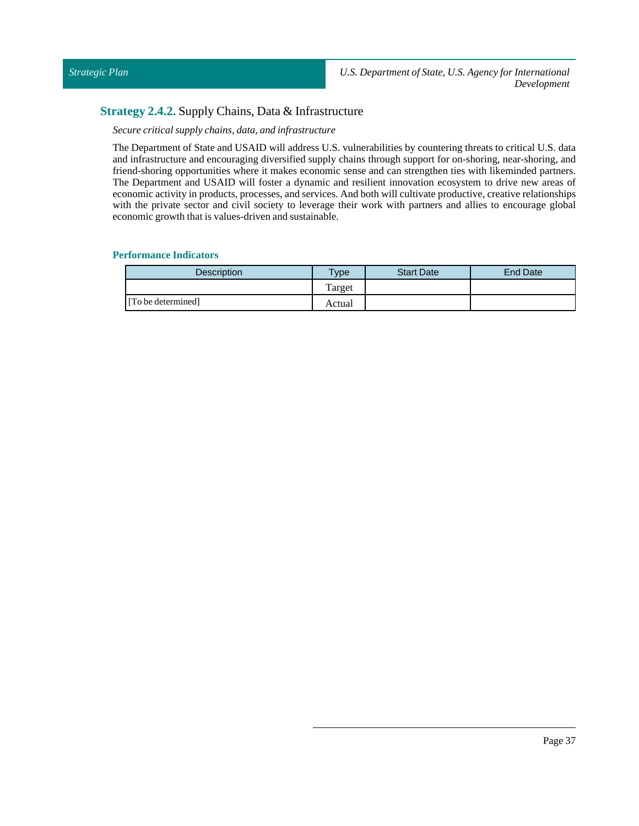### <span id="page-36-0"></span>**Strategy 2.4.2.** Supply Chains, Data & Infrastructure

*Secure critical supply chains, data, and infrastructure*

The Department of State and USAID will address U.S. vulnerabilities by countering threats to critical U.S. data and infrastructure and encouraging diversified supply chains through support for on-shoring, near-shoring, and friend-shoring opportunities where it makes economic sense and can strengthen ties with likeminded partners. The Department and USAID will foster a dynamic and resilient innovation ecosystem to drive new areas of economic activity in products, processes, and services. And both will cultivate productive, creative relationships with the private sector and civil society to leverage their work with partners and allies to encourage global economic growth that is values-driven and sustainable.

| <b>Description</b> | Type   | <b>Start Date</b> | <b>End Date</b> |
|--------------------|--------|-------------------|-----------------|
|                    | Target |                   |                 |
| [To be determined] | Actual |                   |                 |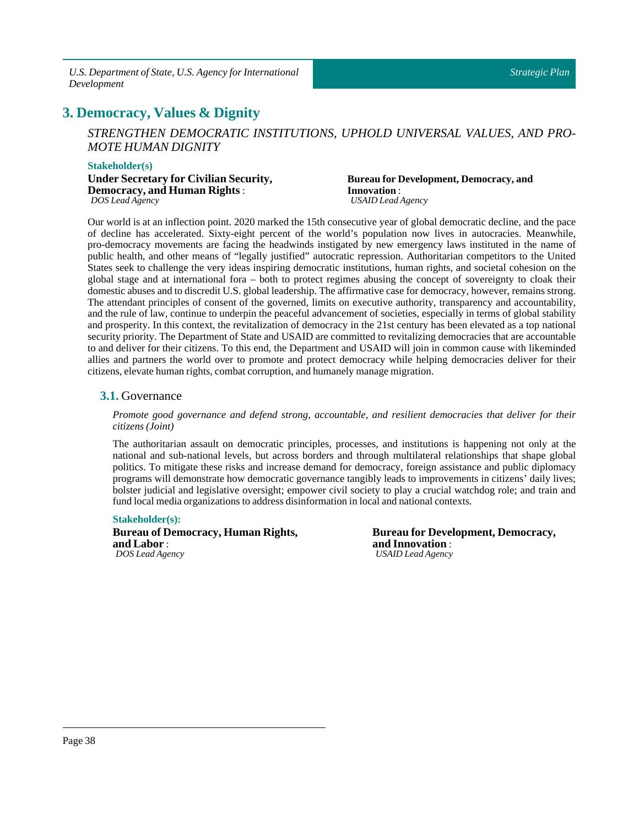### <span id="page-37-0"></span>PLACEHOLDER\_52 **3. Democracy, Values & Dignity**

*STRENGTHEN DEMOCRATIC INSTITUTIONS, UPHOLD UNIVERSAL VALUES, AND PRO-MOTE HUMAN DIGNITY*

### **Stakeholder(s)**

**Under Secretary for Civilian Security, Democracy, and Human Rights** : *DOS Lead Agency*

**Bureaufor Development, Democracy, and Innovation**: *USAID Lead Agency*

Our world is at an inflection point. 2020 marked the 15th consecutive year of global democratic decline, and the pace of decline has accelerated. Sixty-eight percent of the world's population now lives in autocracies. Meanwhile, pro-democracy movements are facing the headwinds instigated by new emergency laws instituted in the name of public health, and other means of "legally justified" autocratic repression. Authoritarian competitors to the United States seek to challenge the very ideas inspiring democratic institutions, human rights, and societal cohesion on the global stage and at international fora – both to protect regimes abusing the concept of sovereignty to cloak their domestic abuses and to discredit U.S. global leadership. The affirmative case for democracy, however, remains strong. The attendant principles of consent of the governed, limits on executive authority, transparency and accountability, and the rule of law, continue to underpin the peaceful advancement of societies, especially in terms of global stability and prosperity. In this context, the revitalization of democracy in the 21st century has been elevated as a top national security priority. The Department of State and USAID are committed to revitalizing democracies that are accountable to and deliver for their citizens. To this end, the Department and USAID will join in common cause with likeminded allies and partners the world over to promote and protect democracy while helping democracies deliver for their citizens, elevate human rights, combat corruption, and humanely manage migration.

### <span id="page-37-1"></span>**3.1.** Governance

*Promote good governance and defend strong, accountable, and resilient democracies that deliver for their citizens (Joint)*

The authoritarian assault on democratic principles, processes, and institutions is happening not only at the national and sub-national levels, but across borders and through multilateral relationships that shape global politics. To mitigate these risks and increase demand for democracy, foreign assistance and public diplomacy programs will demonstrate how democratic governance tangibly leads to improvements in citizens' daily lives; bolster judicial and legislative oversight; empower civil society to play a crucial watchdog role; and train and fund local media organizations to address disinformation in local and national contexts.

### **Stakeholder(s):**

**Bureau of Democracy, Human Rights, and Labor** : *DOS Lead Agency*

**Bureau for Development, Democracy, and Innovation** : *USAID Lead Agency*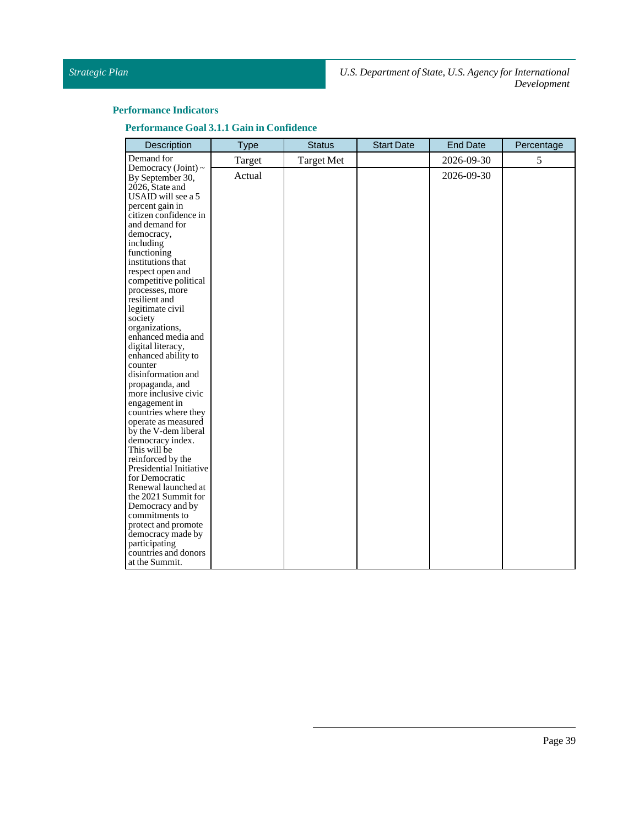### **Performance Indicators**

**Performance Goal 3.1.1 Gainin Confidence**

| Description                                                                                                                                                                                                                                                                                                                                                                                                                                                                                                                                                                                                                                                                                                                                    | <b>Type</b> | <b>Status</b>     | <b>Start Date</b> | <b>End Date</b> | Percentage |
|------------------------------------------------------------------------------------------------------------------------------------------------------------------------------------------------------------------------------------------------------------------------------------------------------------------------------------------------------------------------------------------------------------------------------------------------------------------------------------------------------------------------------------------------------------------------------------------------------------------------------------------------------------------------------------------------------------------------------------------------|-------------|-------------------|-------------------|-----------------|------------|
| Demand for                                                                                                                                                                                                                                                                                                                                                                                                                                                                                                                                                                                                                                                                                                                                     | Target      | <b>Target Met</b> |                   | 2026-09-30      | 5          |
| Democracy (Joint) $\sim$<br>By September 30,<br>2026, State and<br>USAID will see a 5<br>percent gain in<br>citizen confidence in<br>and demand for<br>democracy,<br>including<br>functioning<br>institutions that<br>respect open and<br>competitive political<br>processes, more<br>resilient and<br>legitimate civil<br>society<br>organizations.<br>enhanced media and<br>digital literacy,<br>enhanced ability to<br>counter<br>disinformation and<br>propaganda, and<br>more inclusive civic<br>engagement in<br>countries where they<br>operate as measured<br>by the V-dem liberal<br>democracy index.<br>This will be<br>reinforced by the<br>Presidential Initiative<br>for Democratic<br>Renewal launched at<br>the 2021 Summit for | Actual      |                   |                   | 2026-09-30      |            |
| Democracy and by<br>commitments to                                                                                                                                                                                                                                                                                                                                                                                                                                                                                                                                                                                                                                                                                                             |             |                   |                   |                 |            |
| protect and promote<br>democracy made by<br>participating<br>countries and donors                                                                                                                                                                                                                                                                                                                                                                                                                                                                                                                                                                                                                                                              |             |                   |                   |                 |            |
| at the Summit.                                                                                                                                                                                                                                                                                                                                                                                                                                                                                                                                                                                                                                                                                                                                 |             |                   |                   |                 |            |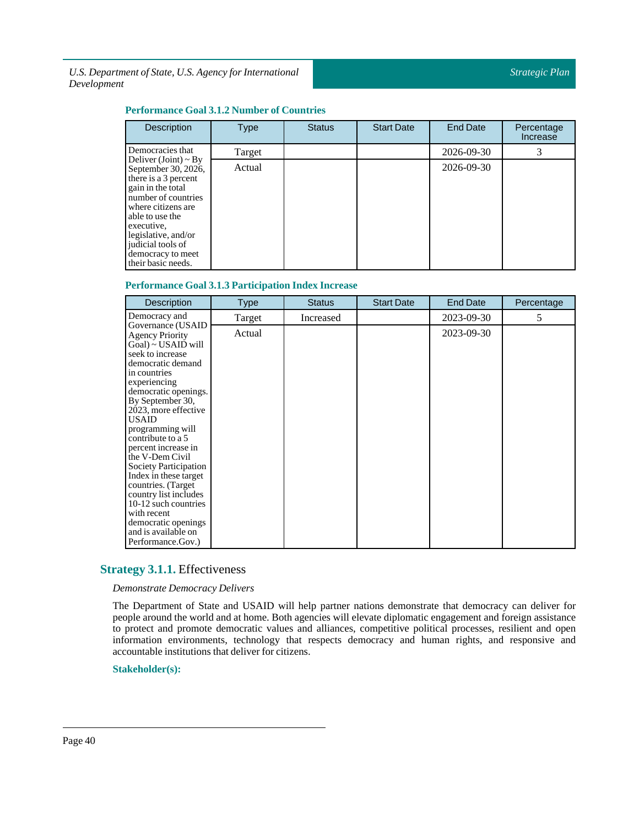### **Performance Goal 3.1.2 Number of Countries**

| Description                                                                                                                                                                                                                                                   | <b>Type</b> | <b>Status</b> | <b>Start Date</b> | <b>End Date</b> | Percentage<br>Increase |
|---------------------------------------------------------------------------------------------------------------------------------------------------------------------------------------------------------------------------------------------------------------|-------------|---------------|-------------------|-----------------|------------------------|
| Democracies that                                                                                                                                                                                                                                              | Target      |               |                   | 2026-09-30      |                        |
| Deliver (Joint) ~ By<br>September 30, 2026,<br>there is a 3 percent<br>gain in the total<br>number of countries<br>where citizens are<br>able to use the<br>executive,<br>legislative, and/or<br>judicial tools of<br>democracy to meet<br>their basic needs. | Actual      |               |                   | 2026-09-30      |                        |

### **Performance Goal 3.1.3 Participation Index Increase**

| <b>Description</b>                                                                                                                                                                                                                                                                                                                                                                                                                                                                                         | Type   | <b>Status</b> | <b>Start Date</b> | <b>End Date</b> | Percentage |
|------------------------------------------------------------------------------------------------------------------------------------------------------------------------------------------------------------------------------------------------------------------------------------------------------------------------------------------------------------------------------------------------------------------------------------------------------------------------------------------------------------|--------|---------------|-------------------|-----------------|------------|
| Democracy and                                                                                                                                                                                                                                                                                                                                                                                                                                                                                              | Target | Increased     |                   | 2023-09-30      | 5          |
| Governance (USAID<br><b>Agency Priority</b><br>$Goal$ ) ~ USAID will<br>seek to increase<br>democratic demand<br>in countries<br>experiencing<br>democratic openings.<br>By September 30,<br>2023, more effective<br><b>USAID</b><br>programming will<br>contribute to a 5<br>percent increase in<br>the V-Dem Civil<br>Society Participation<br>Index in these target<br>countries. (Target<br>country list includes<br>10-12 such countries<br>with recent<br>democratic openings<br>and is available on | Actual |               |                   | 2023-09-30      |            |
| Performance.Gov.)                                                                                                                                                                                                                                                                                                                                                                                                                                                                                          |        |               |                   |                 |            |

### <span id="page-39-0"></span>**Strategy 3.1.1.** Effectiveness

*Demonstrate Democracy Delivers*

The Department of State and USAID will help partner nations demonstrate that democracy can deliver for people around the world and at home. Both agencies will elevate diplomatic engagement and foreign assistance to protect and promote democratic values and alliances, competitive political processes, resilient and open information environments, technology that respects democracy and human rights, and responsive and accountable institutions that deliver for citizens.

**Stakeholder(s):**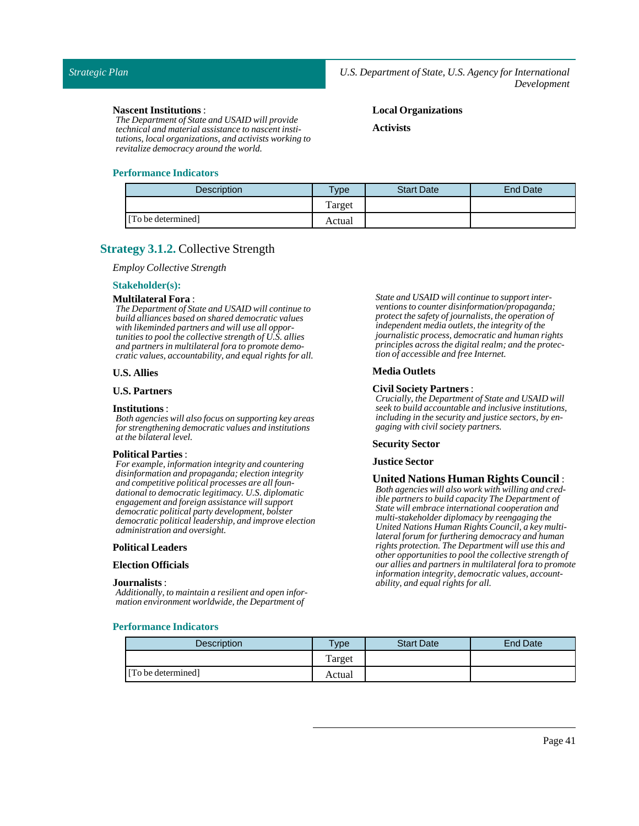**Local Organizations**

**Activists**

#### **Nascent Institutions**:

*The Department of State and USAID will provide technical and material assistance to nascent institutions, local organizations, and activists working to revitalize democracy around the world.*

### **Performance Indicators**

| <b>Description</b> | <b>Type</b> | <b>Start Date</b> | End Date |
|--------------------|-------------|-------------------|----------|
|                    | Target      |                   |          |
| [To be determined] | Actual      |                   |          |

### <span id="page-40-0"></span>**Strategy 3.1.2.** Collective Strength

*Employ Collective Strength*

#### **Stakeholder(s):**

### **Multilateral Fora** :

*The Department of State and USAID will continue to build alliances based on shared democratic values with likeminded partners and will use all opportunities to pool the collective strength of U.S. allies and partners in multilateral fora to promote democratic values, accountability, and equal rights for all.*

### **U.S. Allies**

### **U.S. Partners**

#### **Institutions** :

*Both agencies will also focus on supporting key areas for strengthening democratic values and institutions at the bilateral level.*

### **Political Parties**:

*For example, information integrity and countering disinformation and propaganda; election integrity and competitive political processes are all foundational to democratic legitimacy. U.S. diplomatic engagement and foreign assistance will support democratic political party development, bolster democratic political leadership, and improve election administration and oversight.*

#### **Political Leaders**

#### **Election Officials**

#### **Journalists** :

*Additionally, to maintain a resilient and open information environment worldwide, the Department of*

**Performance Indicators**

*State and USAID will continue to support interventions to counter disinformation/propaganda; protect the safety of journalists, the operation of independent media outlets, the integrity of the journalistic process, democratic and human rights principles across the digital realm; and the protection of accessible and free Internet.*

### **Media Outlets**

### **Civil Society Partners** :

*Crucially, the Department of State and USAID will seek to build accountable and inclusive institutions, including in the security and justice sectors, by engaging with civil society partners.*

#### **Security Sector**

#### **JusticeSector**

**United Nations Human Rights Council** : *Both agencies will also work with willing and credible partners to build capacity The Department of State will embrace international cooperation and multi-stakeholder diplomacy by reengaging the United Nations Human Rights Council, a key multilateral forum for furthering democracy and human rights protection. The Department will use this and other opportunities to pool the collective strength of our allies and partners in multilateral fora to promote information integrity, democratic values, accountability, and equal rights for all.*

| <b>Description</b> | $v$ <sub>ype</sub> | <b>Start Date</b> | <b>End Date</b> |
|--------------------|--------------------|-------------------|-----------------|
|                    | Target             |                   |                 |
| [To be determined] | Actual             |                   |                 |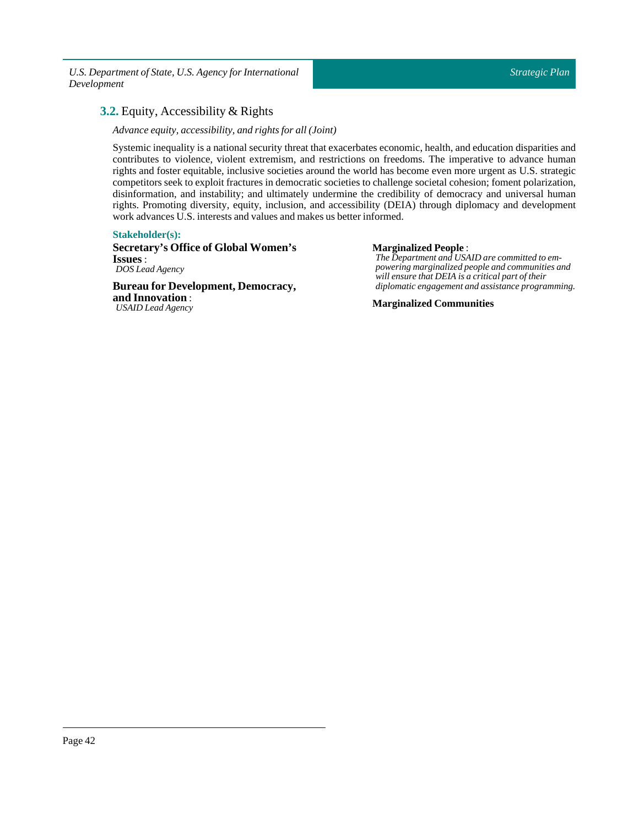### <span id="page-41-0"></span>**3.2.** Equity, Accessibility & Rights

*Advance equity, accessibility, and rights for all (Joint)*

Systemic inequality is a national security threat that exacerbates economic, health, and education disparities and contributes to violence, violent extremism, and restrictions on freedoms. The imperative to advance human rights and foster equitable, inclusive societies around the world has become even more urgent as U.S. strategic competitors seek to exploit fractures in democratic societies to challenge societal cohesion; foment polarization, disinformation, and instability; and ultimately undermine the credibility of democracy and universal human rights. Promoting diversity, equity, inclusion, and accessibility (DEIA) through diplomacy and development work advances U.S. interests and values and makes us better informed.

### **Stakeholder(s):**

**Secretary's Office of Global Women's Issues** : *DOS Lead Agency*

**Bureau for Development, Democracy, and Innovation** : *USAID Lead Agency*

### **Marginalized People** :

*The Department and USAID are committed to empowering marginalized people and communities and will ensure that DEIA is a critical part of their diplomatic engagement and assistance programming.*

**Marginalized Communities**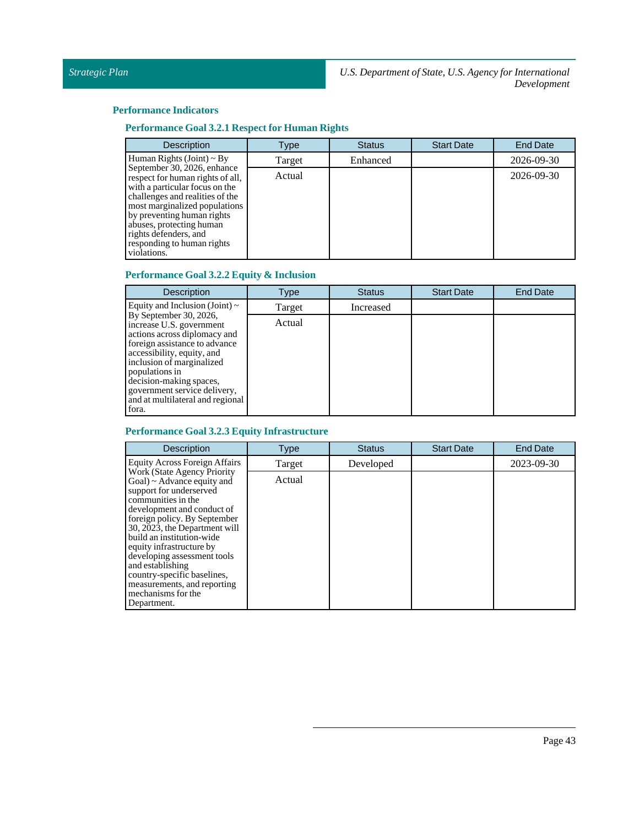### **Performance Indicators**

### **Performance Goal 3.2.1 Respect for Human Rights**

| <b>Description</b>                                                                                                                                                                                                                                                                                    | Type   | <b>Status</b> | <b>Start Date</b> | <b>End Date</b> |
|-------------------------------------------------------------------------------------------------------------------------------------------------------------------------------------------------------------------------------------------------------------------------------------------------------|--------|---------------|-------------------|-----------------|
| Human Rights (Joint) $\sim$ By                                                                                                                                                                                                                                                                        | Target | Enhanced      |                   | 2026-09-30      |
| September 30, 2026, enhance<br>respect for human rights of all,<br>with a particular focus on the<br>challenges and realities of the<br>most marginalized populations<br>by preventing human rights<br>abuses, protecting human<br>rights defenders, and<br>responding to human rights<br>violations. | Actual |               |                   | 2026-09-30      |

### **Performance Goal 3.2.2 Equity & Inclusion**

| <b>Description</b>                                                                                                                                                                                                                                                                                       | Type   | <b>Status</b> | <b>Start Date</b> | <b>End Date</b> |
|----------------------------------------------------------------------------------------------------------------------------------------------------------------------------------------------------------------------------------------------------------------------------------------------------------|--------|---------------|-------------------|-----------------|
| Equity and Inclusion (Joint) $\sim$                                                                                                                                                                                                                                                                      | Target | Increased     |                   |                 |
| By September 30, 2026,<br>increase U.S. government<br>actions across diplomacy and<br>foreign assistance to advance<br>accessibility, equity, and<br>inclusion of marginalized<br>populations in<br>decision-making spaces,<br>government service delivery,<br>and at multilateral and regional<br>fora. | Actual |               |                   |                 |

### **Performance Goal 3.2.3 Equity Infrastructure**

| <b>Description</b>                                                                                                                                                                                                                                                                                                                                                                                                                  | Type   | <b>Status</b> | <b>Start Date</b> | <b>End Date</b> |
|-------------------------------------------------------------------------------------------------------------------------------------------------------------------------------------------------------------------------------------------------------------------------------------------------------------------------------------------------------------------------------------------------------------------------------------|--------|---------------|-------------------|-----------------|
| <b>Equity Across Foreign Affairs</b>                                                                                                                                                                                                                                                                                                                                                                                                | Target | Developed     |                   | 2023-09-30      |
| <b>Work (State Agency Priority)</b><br>$Goal$ ) ~ Advance equity and<br>support for underserved<br>communities in the<br>development and conduct of<br>foreign policy. By September<br>30, 2023, the Department will<br>build an institution-wide<br>equity infrastructure by<br>developing assessment tools<br>and establishing<br>country-specific baselines,<br>measurements, and reporting<br>mechanisms for the<br>Department. | Actual |               |                   |                 |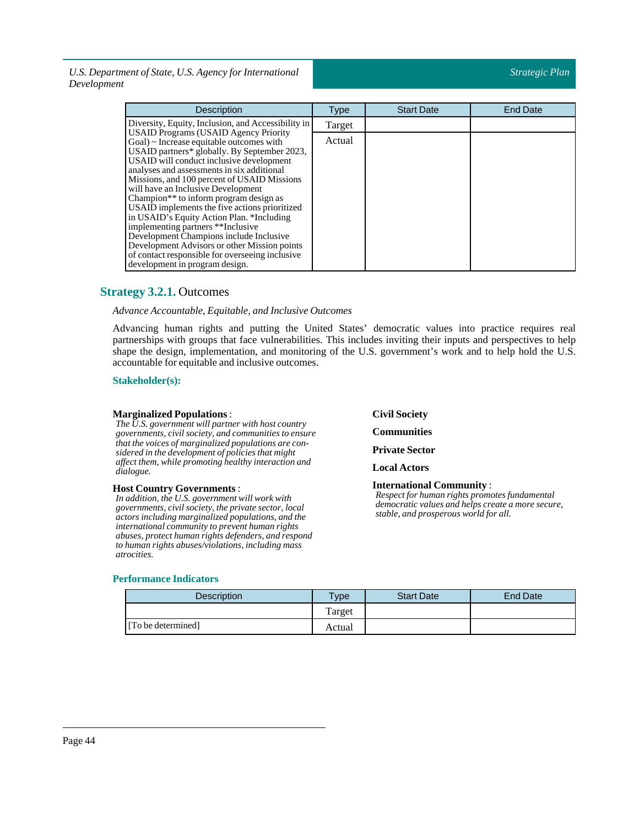| <b>Description</b>                                                                                                                                                                                                                                                                                                                                                                                                                                                                                                                                                                                                                                                                                     | <b>Type</b> | <b>Start Date</b> | <b>End Date</b> |
|--------------------------------------------------------------------------------------------------------------------------------------------------------------------------------------------------------------------------------------------------------------------------------------------------------------------------------------------------------------------------------------------------------------------------------------------------------------------------------------------------------------------------------------------------------------------------------------------------------------------------------------------------------------------------------------------------------|-------------|-------------------|-----------------|
| Diversity, Equity, Inclusion, and Accessibility in                                                                                                                                                                                                                                                                                                                                                                                                                                                                                                                                                                                                                                                     | Target      |                   |                 |
| <b>USAID Programs (USAID Agency Priority</b><br>$Goal$ $\sim$ Increase equitable outcomes with<br>USAID partners* globally. By September 2023,<br>USAID will conduct inclusive development<br>analyses and assessments in six additional<br>Missions, and 100 percent of USAID Missions<br>will have an Inclusive Development<br>Champion <sup>**</sup> to inform program design as<br>USAID implements the five actions prioritized<br>in USAID's Equity Action Plan. *Including<br>implementing partners **Inclusive<br>Development Champions include Inclusive<br>Development Advisors or other Mission points<br>of contact responsible for overseeing inclusive<br>development in program design. | Actual      |                   |                 |

### <span id="page-43-0"></span>**Strategy 3.2.1.** Outcomes

### *Advance Accountable, Equitable, and Inclusive Outcomes*

Advancing human rights and putting the United States' democratic values into practice requires real partnerships with groups that face vulnerabilities. This includes inviting their inputs and perspectives to help shape the design, implementation, and monitoring of the U.S. government's work and to help hold the U.S. accountable for equitable and inclusive outcomes.

### **Stakeholder(s):**

### **Marginalized Populations**:

*The U.S. government will partner with host country governments, civil society, and communities to ensure that the voices of marginalized populations are considered in the development of policies that might affect them, while promoting healthy interaction and dialogue.*

### **Host Country Governments**:

*In addition, the U.S. government will work with governments, civil society, the private sector, local actors including marginalized populations, and the international community to prevent human rights abuses, protect human rights defenders, and respond to human rights abuses/violations, including mass atrocities.*

### **Performance Indicators**

**CivilSociety**

**Communities**

**Private Sector** 

**Local Actors**

**International Community** : *Respect for human rights promotes fundamental democratic values and helps create a more secure, stable, and prosperous world for all.*

| Description        | <b>Type</b> | <b>Start Date</b> | <b>End Date</b> |
|--------------------|-------------|-------------------|-----------------|
|                    | Target      |                   |                 |
| [To be determined] | Actual      |                   |                 |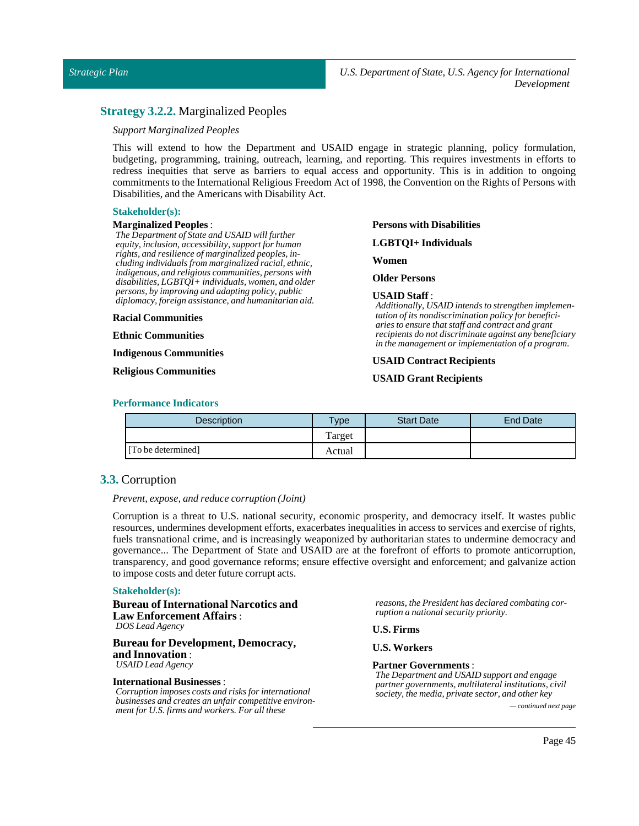### <span id="page-44-0"></span>**Strategy 3.2.2.** Marginalized Peoples

### *Support Marginalized Peoples*

This will extend to how the Department and USAID engage in strategic planning, policy formulation, budgeting, programming, training, outreach, learning, and reporting. This requires investments in efforts to redress inequities that serve as barriers to equal access and opportunity. This is in addition to ongoing commitments to the International Religious Freedom Act of 1998, the Convention on the Rights of Persons with Disabilities, and the Americans with Disability Act.

### **Stakeholder(s):**

#### **Marginalized Peoples** :

*The Department of State and USAID will further equity, inclusion, accessibility, support for human rights, and resilience of marginalized peoples, including individuals from marginalized racial, ethnic, indigenous, and religious communities, persons with disabilities, LGBTQI+ individuals, women, and older persons, by improving and adapting policy, public diplomacy, foreign assistance, and humanitarian aid.*

#### **Racial Communities**

**Ethnic Communities**

**Indigenous Communities**

### **Religious Communities**

**Persons with Disabilities**

**LGBTQI+ Individuals**

**Women**

### **Older Persons**

#### **USAID Staff** :

*Additionally, USAID intends to strengthen implementation of its nondiscrimination policy for beneficiaries to ensure that staff and contract and grant recipients do not discriminate against any beneficiary in the management or implementation of a program.*

### **USAID Contract Recipients**

### **USAID Grant Recipients**

### **Performance Indicators**

| <b>Description</b> | Type   | <b>Start Date</b> | End Date |
|--------------------|--------|-------------------|----------|
|                    | Target |                   |          |
| [To be determined] | Actual |                   |          |

### <span id="page-44-1"></span>**3.3.** Corruption

### *Prevent, expose, and reduce corruption (Joint)*

Corruption is a threat to U.S. national security, economic prosperity, and democracy itself. It wastes public resources, undermines development efforts, exacerbates inequalities in access to services and exercise of rights, fuels transnational crime, and is increasingly weaponized by authoritarian states to undermine democracy and governance... The Department of State and USAID are at the forefront of efforts to promote anticorruption, transparency, and good governance reforms; ensure effective oversight and enforcement; and galvanize action to impose costs and deter future corrupt acts.

#### **Stakeholder(s):**

### **Bureau of International Narcotics and Law Enforcement Affairs** : *DOS Lead Agency*

### **Bureau for Development, Democracy, and Innovation** :

*USAID Lead Agency*

### **International Businesses**:

*Corruption imposes costs and risks for international businesses and creates an unfair competitive environment for U.S. firms and workers. For all these — continued next page*

*reasons, the President has declared combating corruption a national security priority.*

**U.S. Firms**

### **U.S. Workers**

#### **Partner Governments**:

*The Department and USAID support and engage partner governments, multilateral institutions, civil society, the media, private sector, and other key*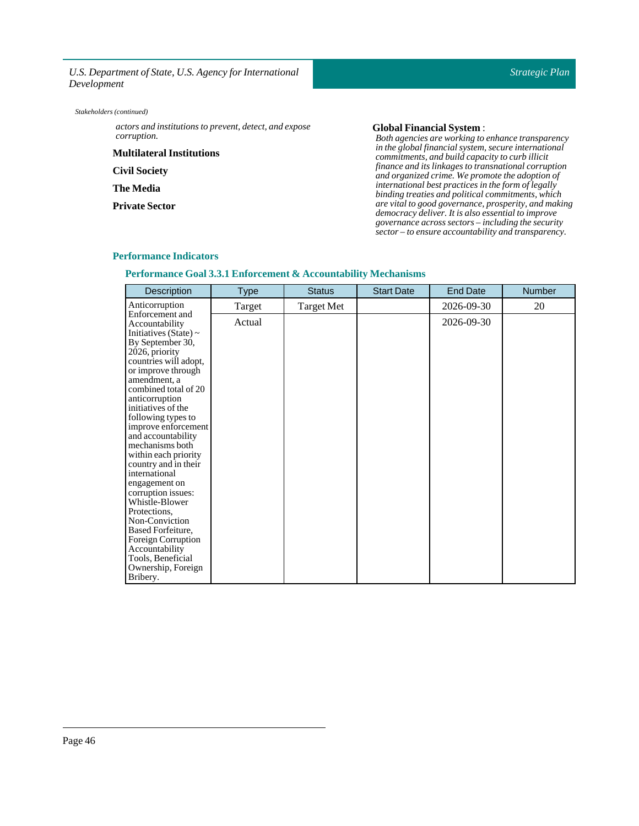*actors and institutions to prevent, detect, and expose corruption.*

**Multilateral Institutions**

**Civil Society** 

**The Media**

**Private Sector** 

### **Global FinancialSystem** :

*Both agencies are working to enhance transparency in the global financial system, secure international commitments, and build capacity to curb illicit finance and its linkages to transnational corruption and organized crime. We promote the adoption of international best practices in the form of legally binding treaties and political commitments, which are vital to good governance, prosperity, and making democracy deliver. It is also essential to improve governance across sectors – including the security sector – to ensure accountability and transparency.*

#### **Performance Indicators**

**Performance Goal 3.3.1 Enforcement & Accountability Mechanisms**

| <b>Description</b>                                                                                                                                                                                                                                                                                                                                                                                                                                                                                                                                         | Type   | <b>Status</b>     | <b>Start Date</b> | <b>End Date</b> | Number |
|------------------------------------------------------------------------------------------------------------------------------------------------------------------------------------------------------------------------------------------------------------------------------------------------------------------------------------------------------------------------------------------------------------------------------------------------------------------------------------------------------------------------------------------------------------|--------|-------------------|-------------------|-----------------|--------|
| Anticorruption                                                                                                                                                                                                                                                                                                                                                                                                                                                                                                                                             | Target | <b>Target Met</b> |                   | 2026-09-30      | 20     |
| Enforcement and<br>Accountability<br>Initiatives (State) $\sim$<br>By September 30,<br>2026, priority<br>countries will adopt,<br>or improve through<br>amendment, a<br>combined total of 20<br>anticorruption<br>initiatives of the<br>following types to<br>improve enforcement<br>and accountability<br>mechanisms both<br>within each priority<br>country and in their<br>international<br>engagement on<br>corruption issues:<br>Whistle-Blower<br>Protections,<br>Non-Conviction<br>Based Forfeiture,<br><b>Foreign Corruption</b><br>Accountability | Actual |                   |                   | 2026-09-30      |        |
| Tools, Beneficial<br>Ownership, Foreign<br>Bribery.                                                                                                                                                                                                                                                                                                                                                                                                                                                                                                        |        |                   |                   |                 |        |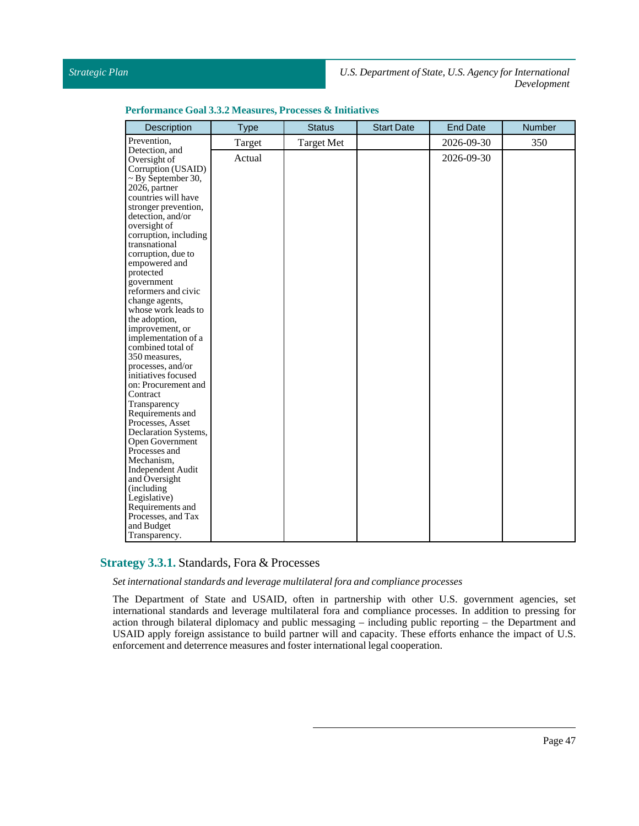### *Strategic Plan*

*U.S. Department of State, U.S. Agency for International Development*

| Performance Goal 3.3.2 Measures, Processes & Initiatives |  |  |  |  |  |  |
|----------------------------------------------------------|--|--|--|--|--|--|
|----------------------------------------------------------|--|--|--|--|--|--|

| Description                            | <b>Type</b> | <b>Status</b>     | <b>Start Date</b> | <b>End Date</b> | Number |
|----------------------------------------|-------------|-------------------|-------------------|-----------------|--------|
| Prevention,                            | Target      | <b>Target Met</b> |                   | 2026-09-30      | 350    |
| Detection, and                         | Actual      |                   |                   | 2026-09-30      |        |
| Oversight of                           |             |                   |                   |                 |        |
| Corruption (USAID)                     |             |                   |                   |                 |        |
| $\sim$ By September 30,                |             |                   |                   |                 |        |
| 2026, partner                          |             |                   |                   |                 |        |
| countries will have                    |             |                   |                   |                 |        |
| stronger prevention,                   |             |                   |                   |                 |        |
| detection, and/or<br>oversight of      |             |                   |                   |                 |        |
| corruption, including                  |             |                   |                   |                 |        |
| transnational                          |             |                   |                   |                 |        |
| corruption, due to                     |             |                   |                   |                 |        |
| empowered and                          |             |                   |                   |                 |        |
| protected                              |             |                   |                   |                 |        |
| government                             |             |                   |                   |                 |        |
| reformers and civic                    |             |                   |                   |                 |        |
| change agents,                         |             |                   |                   |                 |        |
| whose work leads to                    |             |                   |                   |                 |        |
| the adoption,                          |             |                   |                   |                 |        |
| improvement, or                        |             |                   |                   |                 |        |
| implementation of a                    |             |                   |                   |                 |        |
| combined total of                      |             |                   |                   |                 |        |
| 350 measures,                          |             |                   |                   |                 |        |
| processes, and/or                      |             |                   |                   |                 |        |
| initiatives focused                    |             |                   |                   |                 |        |
| on: Procurement and                    |             |                   |                   |                 |        |
| Contract                               |             |                   |                   |                 |        |
| Transparency                           |             |                   |                   |                 |        |
| Requirements and                       |             |                   |                   |                 |        |
| Processes, Asset                       |             |                   |                   |                 |        |
| Declaration Systems,                   |             |                   |                   |                 |        |
| Open Government                        |             |                   |                   |                 |        |
| Processes and                          |             |                   |                   |                 |        |
| Mechanism,<br><b>Independent Audit</b> |             |                   |                   |                 |        |
| and Oversight                          |             |                   |                   |                 |        |
| (including                             |             |                   |                   |                 |        |
| Legislative)                           |             |                   |                   |                 |        |
| Requirements and                       |             |                   |                   |                 |        |
| Processes, and Tax                     |             |                   |                   |                 |        |
| and Budget                             |             |                   |                   |                 |        |
| Transparency.                          |             |                   |                   |                 |        |

### <span id="page-46-0"></span>**Strategy 3.3.1.** Standards, Fora & Processes

*Setinternational standards and leverage multilateralfora and compliance processes*

The Department of State and USAID, often in partnership with other U.S. government agencies, set international standards and leverage multilateral fora and compliance processes. In addition to pressing for action through bilateral diplomacy and public messaging – including public reporting – the Department and USAID apply foreign assistance to build partner will and capacity. These efforts enhance the impact of U.S. enforcement and deterrence measures and foster international legal cooperation.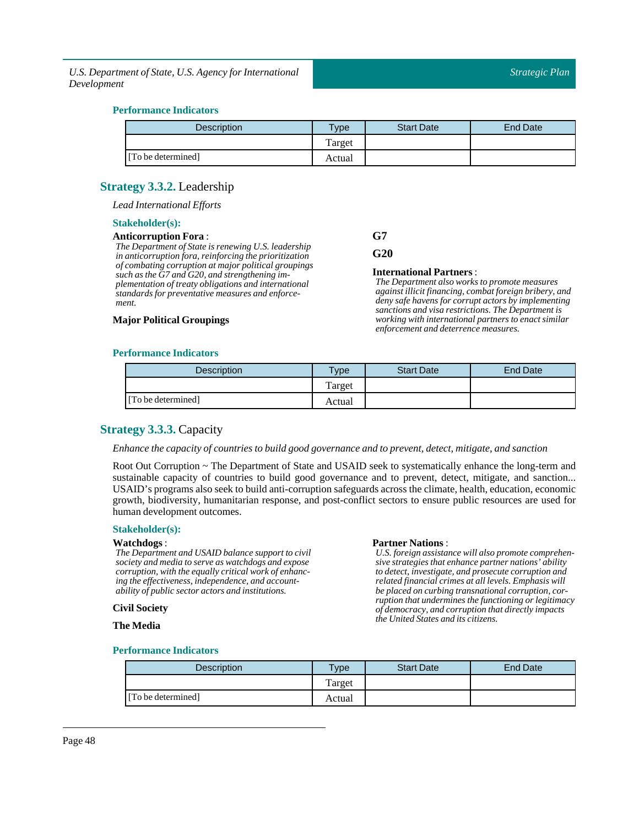### **Performance Indicators**

| <b>Description</b> | Type   | <b>Start Date</b> | End Date |
|--------------------|--------|-------------------|----------|
|                    | Target |                   |          |
| [To be determined] | Actual |                   |          |

### <span id="page-47-0"></span>**Strategy 3.3.2.** Leadership

*Lead International Efforts*

### **Stakeholder(s):**

### **Anticorruption Fora** :

*The Department of State is renewing U.S. leadership in anticorruption fora, reinforcing the prioritization of combating corruption at major political groupings such as the G7 and G20, and strengthening implementation of treaty obligations and international standards for preventative measures and enforcement.*

### **Major Political Groupings**

## **G7**

**G20**

### **International Partners**:

*The Department also works to promote measures against illicit financing, combat foreign bribery, and deny safe havens for corrupt actors by implementing sanctions and visa restrictions. The Department is working with international partners to enact similar enforcement and deterrence measures.*

### **Performance Indicators**

| <b>Description</b> | <b>Vpe</b> | <b>Start Date</b> | End Date |
|--------------------|------------|-------------------|----------|
|                    | Target     |                   |          |
| [To be determined] | Actual     |                   |          |

### <span id="page-47-1"></span>**Strategy 3.3.3.** Capacity

### *Enhance the capacity of countries to build good governance and to prevent, detect, mitigate, and sanction*

Root Out Corruption ~ The Department of State and USAID seek to systematically enhance the long-term and sustainable capacity of countries to build good governance and to prevent, detect, mitigate, and sanction... USAID's programs also seek to build anti-corruption safeguards across the climate, health, education, economic growth, biodiversity, humanitarian response, and post-conflict sectors to ensure public resources are used for human development outcomes.

### **Stakeholder(s):**

#### **Watchdogs**:

*The Department and USAID balance support to civil society and media to serve as watchdogs and expose corruption, with the equally critical work of enhancing the effectiveness, independence, and accountability of public sector actors and institutions.*

#### **Civil Society**

**The Media**

#### **Partner Nations** :

*U.S. foreign assistance will also promote comprehensive strategies that enhance partner nations' ability to detect, investigate, and prosecute corruption and related financial crimes at all levels. Emphasis will be placed on curbing transnational corruption, corruption that undermines the functioning or legitimacy of democracy, and corruption that directly impacts the United States and its citizens.*

| <b>Description</b> | <b>Type</b> | <b>Start Date</b> | End Date |
|--------------------|-------------|-------------------|----------|
|                    | Target      |                   |          |
| [To be determined] | Actual      |                   |          |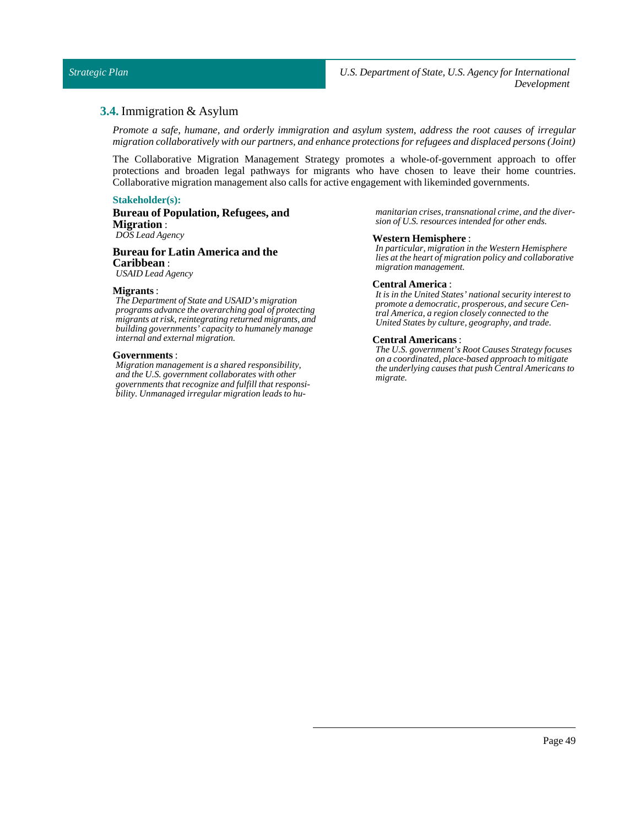### <span id="page-48-0"></span>**3.4.** Immigration & Asylum

*Promote a safe, humane, and orderly immigration and asylum system, address the root causes of irregular migration collaboratively with our partners, and enhance protections for refugees and displaced persons (Joint)*

The Collaborative Migration Management Strategy promotes a whole-of-government approach to offer protections and broaden legal pathways for migrants who have chosen to leave their home countries. Collaborative migration management also calls for active engagement with likeminded governments.

### **Stakeholder(s):**

**Bureau of Population, Refugees, and Migration** : *DOS Lead Agency*

### **Bureau for Latin America and the Caribbean** : *USAID Lead Agency*

### **Migrants** :

*The Department of State and USAID's migration programs advance the overarching goal of protecting migrants at risk, reintegrating returned migrants, and building governments' capacity to humanely manage internal and external migration.*

### **Governments**:

*Migration management is a shared responsibility, and the U.S. government collaborates with other governments that recognize and fulfill that responsibility. Unmanaged irregular migration leads to hu-* *manitarian crises, transnational crime, and the diversion of U.S. resources intended for other ends.*

#### **Western Hemisphere** :

*In particular, migration in the Western Hemisphere lies at the heart of migration policy and collaborative migration management.*

#### **Central America** :

*It is in the United States' national security interest to promote a democratic, prosperous, and secure Central America, a region closely connected to the United States by culture, geography, and trade.*

#### **Central Americans**:

*The U.S. government's Root Causes Strategy focuses on a coordinated, place-based approach to mitigate the underlying causes that push Central Americans to migrate.*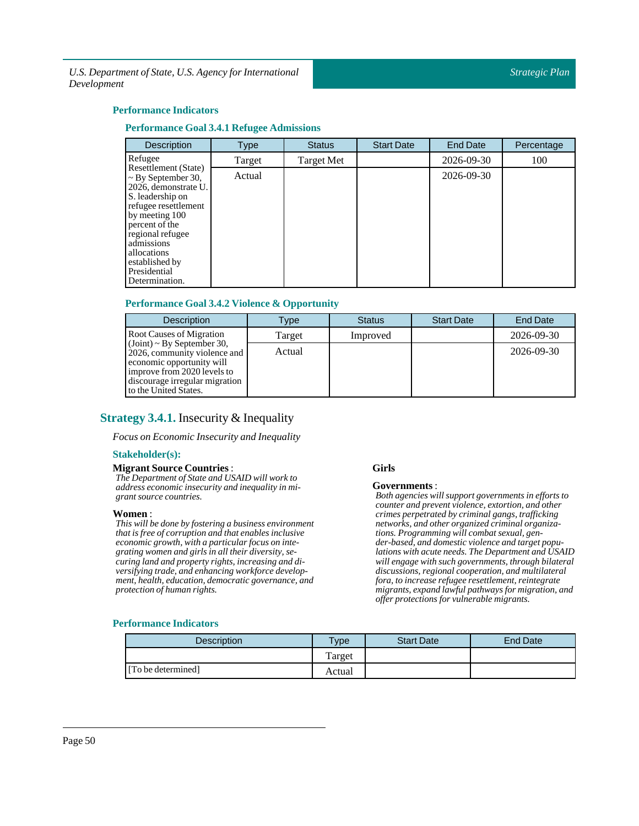### **Performance Indicators**

### **Performance Goal 3.4.1 Refugee Admissions**

| Description                                                                                                                                                                                                                                                  | <b>Type</b> | <b>Status</b> | <b>Start Date</b> | End Date   | Percentage |
|--------------------------------------------------------------------------------------------------------------------------------------------------------------------------------------------------------------------------------------------------------------|-------------|---------------|-------------------|------------|------------|
| Refugee                                                                                                                                                                                                                                                      | Target      | Target Met    |                   | 2026-09-30 | 100        |
| Resettlement (State)<br>$\sim$ By September 30,<br>2026, demonstrate U.<br>S. leadership on<br>refugee resettlement<br>by meeting 100<br>percent of the<br>regional refugee<br>admissions<br>allocations<br>established by<br>Presidential<br>Determination. | Actual      |               |                   | 2026-09-30 |            |

### **Performance Goal 3.4.2 Violence & Opportunity**

| <b>Description</b>                                                                                                                                                                      | Type   | <b>Status</b> | <b>Start Date</b> | End Date   |
|-----------------------------------------------------------------------------------------------------------------------------------------------------------------------------------------|--------|---------------|-------------------|------------|
| <b>Root Causes of Migration</b>                                                                                                                                                         | Target | Improved      |                   | 2026-09-30 |
| $(Joint) \sim By September 30$ ,<br>2026, community violence and<br>economic opportunity will<br>improve from 2020 levels to<br>discourage irregular migration<br>to the United States. | Actual |               |                   | 2026-09-30 |

### <span id="page-49-0"></span>**Strategy 3.4.1.** Insecurity & Inequality

*Focus on Economic Insecurity and Inequality*

### **Stakeholder(s):**

### **Migrant Source Countries:**

*The Department of State and USAID will work to address economic insecurity and inequality in migrant source countries.*

#### **Women**:

*This will be done by fostering a business environment that is free of corruption and that enables inclusive economic growth, with a particular focus on integrating women and girls in all their diversity, securing land and property rights, increasing and diversifying trade, and enhancing workforce development, health, education, democratic governance, and protection of human rights.*

#### **Girls**

#### **Governments**:

*Both agencies will support governments in efforts to counter and prevent violence, extortion, and other crimes perpetrated by criminal gangs, trafficking networks, and other organized criminal organizations. Programming will combat sexual, gender-based, and domestic violence and target populations with acute needs. The Department and USAID will engage with such governments, through bilateral discussions, regional cooperation, and multilateral fora, to increase refugee resettlement, reintegrate migrants, expand lawful pathways for migration, and offer protections for vulnerable migrants.*

| <b>Description</b> | <b>Type</b> | <b>Start Date</b> | End Date |
|--------------------|-------------|-------------------|----------|
|                    | Target      |                   |          |
| [To be determined] | Actual      |                   |          |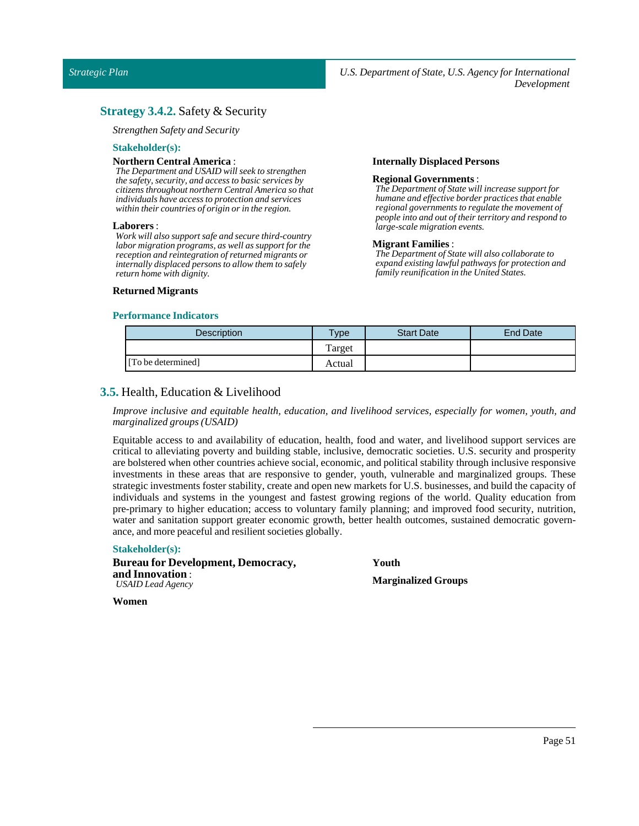### <span id="page-50-0"></span>**Strategy 3.4.2.** Safety & Security

*Strengthen Safety and Security*

### **Stakeholder(s):**

#### **Northern Central America** :

*The Department and USAID will seek to strengthen the safety, security, and access to basic services by citizens throughout northern Central America so that individuals have access to protection and services within their countries of origin or in the region.*

#### **Laborers** :

*Work will also support safe and secure third-country labor migration programs, as well as support for the reception and reintegration of returned migrants or internally displaced persons to allow them to safely return home with dignity.*

### **Returned Migrants**

### **Internally Displaced Persons**

### **Regional Governments** :

*The Department of State will increase support for humane and effective border practices that enable regional governments to regulate the movement of people into and out of their territory and respond to large-scale migration events.*

#### **Migrant Families**:

*The Department of State will also collaborate to expand existing lawful pathways for protection and family reunification in the United States.*

### **Performance Indicators**

| <b>Description</b> | <b>Type</b> | <b>Start Date</b> | <b>End Date</b> |
|--------------------|-------------|-------------------|-----------------|
|                    | Target      |                   |                 |
| [To be determined] | Actual      |                   |                 |

### <span id="page-50-1"></span>**3.5.** Health, Education & Livelihood

*Improve inclusive and equitable health, education, and livelihood services, especially for women, youth, and marginalized groups (USAID)*

Equitable access to and availability of education, health, food and water, and livelihood support services are critical to alleviating poverty and building stable, inclusive, democratic societies. U.S. security and prosperity are bolstered when other countries achieve social, economic, and political stability through inclusive responsive investments in these areas that are responsive to gender, youth, vulnerable and marginalized groups. These strategic investments foster stability, create and open new markets for U.S. businesses, and build the capacity of individuals and systems in the youngest and fastest growing regions of the world. Quality education from pre-primary to higher education; access to voluntary family planning; and improved food security, nutrition, water and sanitation support greater economic growth, better health outcomes, sustained democratic governance, and more peaceful and resilient societies globally.

### **Stakeholder(s):**

**Bureau for Development, Democracy, and Innovation** : *USAID Lead Agency*

**Youth**

**Marginalized Groups**

**Women**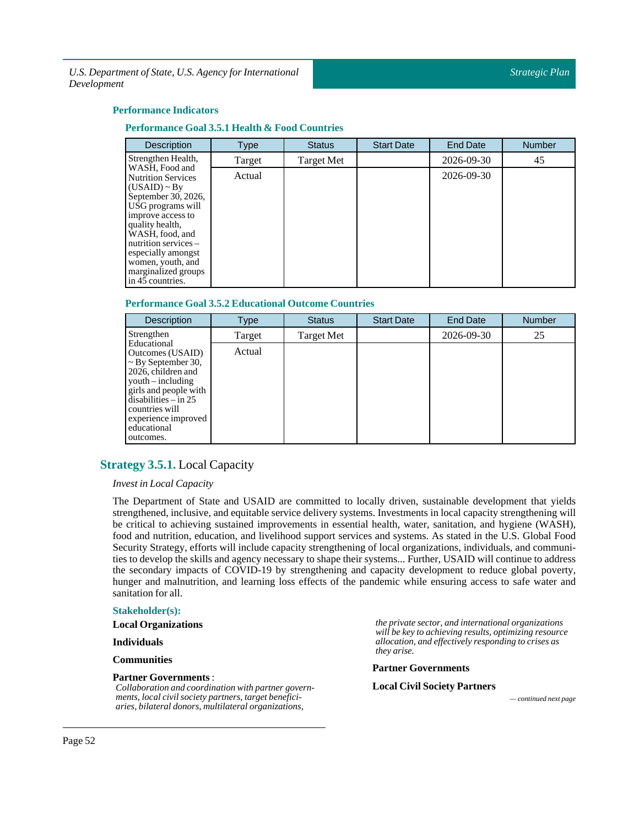### **Performance Indicators**

### **Performance Goal 3.5.1 Health & Food Countries**

| <b>Description</b>                                                                                                                                                                                                                                                                      | <b>Type</b> | <b>Status</b> | <b>Start Date</b> | <b>End Date</b> | <b>Number</b> |
|-----------------------------------------------------------------------------------------------------------------------------------------------------------------------------------------------------------------------------------------------------------------------------------------|-------------|---------------|-------------------|-----------------|---------------|
| Strengthen Health,                                                                                                                                                                                                                                                                      | Target      | Target Met    |                   | 2026-09-30      | 45            |
| WASH, Food and<br><b>Nutrition Services</b><br>$(USAID) \sim By$<br>September 30, 2026,<br>USG programs will<br>improve access to<br>quality health,<br>WASH, food, and<br>nutrition services $-$<br>especially amongst<br>women, youth, and<br>marginalized groups<br>in 45 countries. | Actual      |               |                   | 2026-09-30      |               |

### **Performance Goal 3.5.2 Educational Outcome Countries**

| <b>Description</b>                                                                                                                                                                                                                            | Type   | <b>Status</b> | <b>Start Date</b> | <b>End Date</b> | <b>Number</b> |
|-----------------------------------------------------------------------------------------------------------------------------------------------------------------------------------------------------------------------------------------------|--------|---------------|-------------------|-----------------|---------------|
| Strengthen                                                                                                                                                                                                                                    | Target | Target Met    |                   | 2026-09-30      | 25            |
| Educational<br>Outcomes (USAID)<br>$\sim$ By September 30,<br>2026, children and<br>$\text{vouth} - \text{including}$<br>girls and people with<br>$disabilities - in 25$<br>countries will<br>experience improved<br>educational<br>outcomes. | Actual |               |                   |                 |               |

### <span id="page-51-0"></span>**Strategy 3.5.1.** Local Capacity

*InvestinLocal Capacity*

The Department of State and USAID are committed to locally driven, sustainable development that yields strengthened, inclusive, and equitable service delivery systems. Investments in local capacity strengthening will be critical to achieving sustained improvements in essential health, water, sanitation, and hygiene (WASH), food and nutrition, education, and livelihood support services and systems. As stated in the U.S. Global Food Security Strategy, efforts will include capacity strengthening of local organizations, individuals, and communities to develop the skills and agency necessary to shape their systems... Further, USAID will continue to address the secondary impacts of COVID-19 by strengthening and capacity development to reduce global poverty, hunger and malnutrition, and learning loss effects of the pandemic while ensuring access to safe water and sanitation for all.

#### **Stakeholder(s):**

**Local Organizations**

**Individuals**

**Communities**

### **Partner Governments**:

*Collaboration and coordination with partner governments, local civil society partners, target beneficiaries, bilateral donors, multilateral organizations,*

*the private sector, and international organizations will be key to achieving results, optimizing resource allocation, and effectively responding to crises as they arise.*

#### **Partner Governments**

### **Local CivilSociety Partners**

*— continued next page*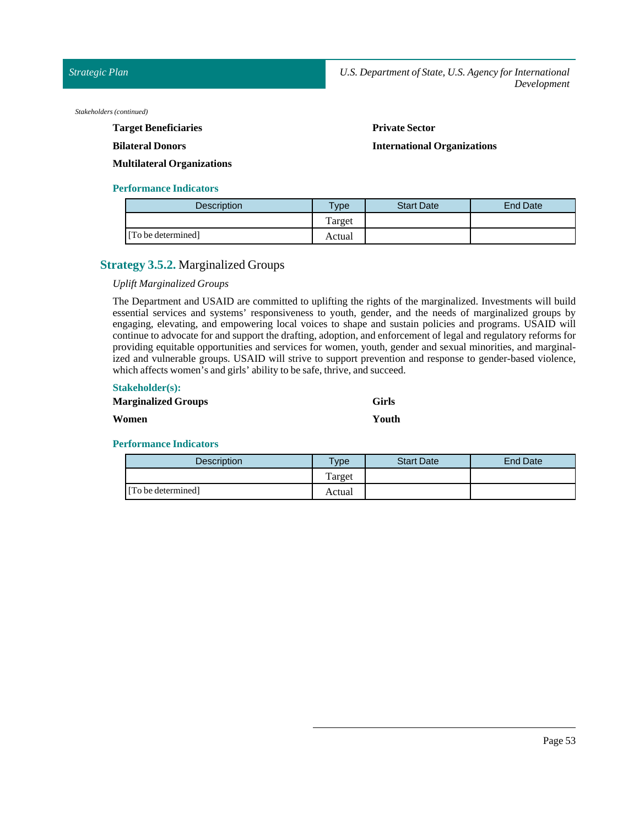*Stakeholders (continued)*

**Target Beneficiaries**

### **Bilateral Donors**

**Private Sector** 

**International Organizations**

**Multilateral Organizations**

### **Performance Indicators**

| <b>Description</b> | Type   | <b>Start Date</b> | <b>End Date</b> |
|--------------------|--------|-------------------|-----------------|
|                    | Target |                   |                 |
| [To be determined] | Actual |                   |                 |

### <span id="page-52-0"></span>**Strategy 3.5.2.** Marginalized Groups

### *Uplift Marginalized Groups*

The Department and USAID are committed to uplifting the rights of the marginalized. Investments will build essential services and systems' responsiveness to youth, gender, and the needs of marginalized groups by engaging, elevating, and empowering local voices to shape and sustain policies and programs. USAID will continue to advocate for and support the drafting, adoption, and enforcement of legal and regulatory reforms for providing equitable opportunities and services for women, youth, gender and sexual minorities, and marginalized and vulnerable groups. USAID will strive to support prevention and response to gender-based violence, which affects women's and girls' ability to be safe, thrive, and succeed.

### **Stakeholder(s):**

| <b>Marginalized Groups</b> | <b>Girls</b> |
|----------------------------|--------------|
| Women                      | Youth        |

| <b>Description</b> | $T$ <sub>ype</sub> | <b>Start Date</b> | End Date |
|--------------------|--------------------|-------------------|----------|
|                    | Target             |                   |          |
| [To be determined] | Actual             |                   |          |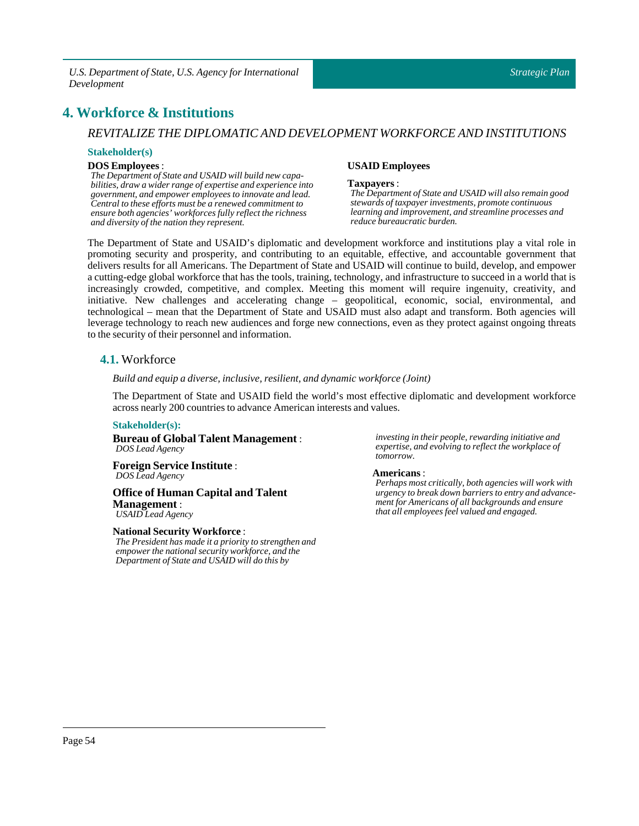## <span id="page-53-0"></span>**4. Workforce & Institutions**

### *REVITALIZE THE DIPLOMATIC AND DEVELOPMENT WORKFORCE AND INSTITUTIONS*

### **Stakeholder(s)**

### **DOS Employees**:

*The Department of State and USAID will build new capabilities, draw a wider range of expertise and experience into government, and empower employees to innovate and lead. Central to these efforts must be a renewed commitment to ensure both agencies' workforces fully reflect the richness and diversity of the nation they represent.*

### **USAID Employees**

#### **Taxpayers** :

*The Department of State and USAID will also remain good stewards of taxpayer investments, promote continuous learning and improvement, and streamline processes and reduce bureaucratic burden.*

The Department of State and USAID's diplomatic and development workforce and institutions play a vital role in promoting security and prosperity, and contributing to an equitable, effective, and accountable government that delivers results for all Americans. The Department of State and USAID will continue to build, develop, and empower a cutting-edge global workforce that has the tools, training, technology, and infrastructure to succeed in a world that is increasingly crowded, competitive, and complex. Meeting this moment will require ingenuity, creativity, and initiative. New challenges and accelerating change – geopolitical, economic, social, environmental, and technological – mean that the Department of State and USAID must also adapt and transform. Both agencies will leverage technology to reach new audiences and forge new connections, even as they protect against ongoing threats to the security of their personnel and information.

### <span id="page-53-1"></span>**4.1.** Workforce

*Build and equip a diverse,inclusive, resilient, and dynamic workforce (Joint)*

The Department of State and USAID field the world's most effective diplomatic and development workforce across nearly 200 countries to advance American interests and values.

### **Stakeholder(s):**

**Bureau of Global Talent Management** : *DOS Lead Agency*

**Foreign Service Institute** : *DOS Lead Agency*

### **Office of Human Capital and Talent Management** : *USAID Lead Agency*

### **NationalSecurity Workforce** :

*The President has made it a priority to strengthen and empower the national security workforce, and the Department of State and USAID will do this by*

*investing in their people, rewarding initiative and expertise, and evolving to reflect the workplace of tomorrow.*

### **Americans** :

*Perhaps most critically, both agencies will work with urgency to break down barriers to entry and advancement for Americans of all backgrounds and ensure that all employees feel valued and engaged.*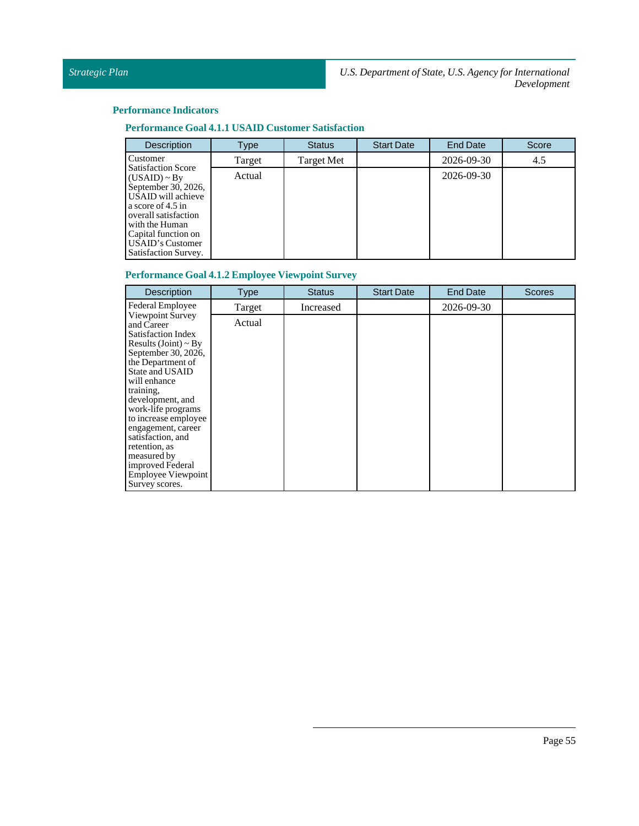### **Performance Indicators**

### **Performance Goal 4.1.1 <b>USAID** Customer Satisfaction

| <b>Description</b>                                                                                                                                                                                                            | Type   | <b>Status</b>     | <b>Start Date</b> | <b>End Date</b> | Score |
|-------------------------------------------------------------------------------------------------------------------------------------------------------------------------------------------------------------------------------|--------|-------------------|-------------------|-----------------|-------|
| Customer                                                                                                                                                                                                                      | Target | <b>Target Met</b> |                   | 2026-09-30      | 4.5   |
| <b>Satisfaction Score</b><br>$(USAID) \sim By$<br>September 30, 2026,<br>USAID will achieve<br>a score of 4.5 in<br>overall satisfaction<br>with the Human<br>Capital function on<br>USAID's Customer<br>Satisfaction Survey. | Actual |                   |                   | 2026-09-30      |       |

### **Performance Goal 4.1.2 Employee Viewpoint Survey**

| Description                                                                                                                                                                                                                                                                                                                                                                                   | <b>Type</b> | <b>Status</b> | <b>Start Date</b> | <b>End Date</b> | <b>Scores</b> |
|-----------------------------------------------------------------------------------------------------------------------------------------------------------------------------------------------------------------------------------------------------------------------------------------------------------------------------------------------------------------------------------------------|-------------|---------------|-------------------|-----------------|---------------|
| Federal Employee                                                                                                                                                                                                                                                                                                                                                                              | Target      | Increased     |                   | 2026-09-30      |               |
| Viewpoint Survey<br>and Career<br>Satisfaction Index<br>Results (Joint) $\sim$ By<br>September 30, 2026,<br>the Department of<br><b>State and USAID</b><br>will enhance<br>training,<br>development, and<br>work-life programs<br>to increase employee<br>engagement, career<br>satisfaction, and<br>retention, as<br>measured by<br>improved Federal<br>Employee Viewpoint<br>Survey scores. | Actual      |               |                   |                 |               |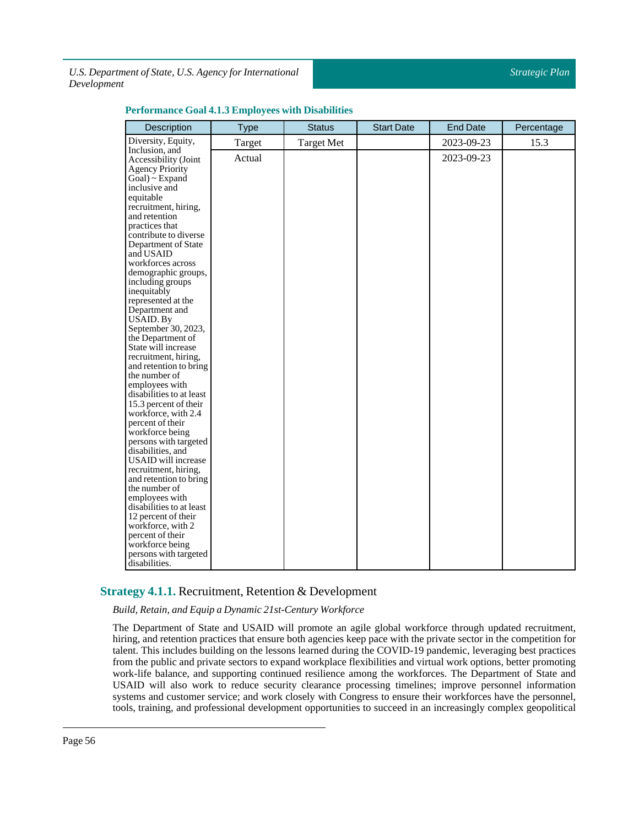| Description                                                                                                                                                                                                                                                                                                                                                                                                                                                                                                                                                                                                                                                                                                                                                                                                                                   | <b>Type</b> | <b>Status</b>     | <b>Start Date</b> | <b>End Date</b> | Percentage |
|-----------------------------------------------------------------------------------------------------------------------------------------------------------------------------------------------------------------------------------------------------------------------------------------------------------------------------------------------------------------------------------------------------------------------------------------------------------------------------------------------------------------------------------------------------------------------------------------------------------------------------------------------------------------------------------------------------------------------------------------------------------------------------------------------------------------------------------------------|-------------|-------------------|-------------------|-----------------|------------|
| Diversity, Equity,                                                                                                                                                                                                                                                                                                                                                                                                                                                                                                                                                                                                                                                                                                                                                                                                                            | Target      | <b>Target Met</b> |                   | 2023-09-23      | 15.3       |
| Inclusion, and<br>Accessibility (Joint<br><b>Agency Priority</b><br>Goal) ~ Expand<br>inclusive and<br>equitable<br>recruitment, hiring,<br>and retention<br>practices that<br>contribute to diverse<br>Department of State<br>and USAID<br>workforces across<br>demographic groups,<br>including groups<br>inequitably<br>represented at the<br>Department and<br>USAID. By<br>September 30, 2023,<br>the Department of<br>State will increase<br>recruitment, hiring,<br>and retention to bring<br>the number of<br>employees with<br>disabilities to at least<br>15.3 percent of their<br>workforce, with 2.4<br>percent of their<br>workforce being<br>persons with targeted<br>disabilities, and<br>USAID will increase<br>recruitment, hiring,<br>and retention to bring<br>the number of<br>employees with<br>disabilities to at least | Actual      |                   |                   | 2023-09-23      |            |
| 12 percent of their<br>workforce, with 2<br>percent of their                                                                                                                                                                                                                                                                                                                                                                                                                                                                                                                                                                                                                                                                                                                                                                                  |             |                   |                   |                 |            |
| workforce being<br>persons with targeted<br>disabilities.                                                                                                                                                                                                                                                                                                                                                                                                                                                                                                                                                                                                                                                                                                                                                                                     |             |                   |                   |                 |            |

### **Performance Goal 4.1.3 Employees with Disabilities**

### <span id="page-55-0"></span>**Strategy 4.1.1.** Recruitment, Retention & Development

*Build, Retain, and Equip a Dynamic 21st-Century Workforce*

The Department of State and USAID will promote an agile global workforce through updated recruitment, hiring, and retention practices that ensure both agencies keep pace with the private sector in the competition for talent. This includes building on the lessons learned during the COVID-19 pandemic, leveraging best practices from the public and private sectors to expand workplace flexibilities and virtual work options, better promoting work-life balance, and supporting continued resilience among the workforces. The Department of State and USAID will also work to reduce security clearance processing timelines; improve personnel information systems and customer service; and work closely with Congress to ensure their workforces have the personnel, tools, training, and professional development opportunities to succeed in an increasingly complex geopolitical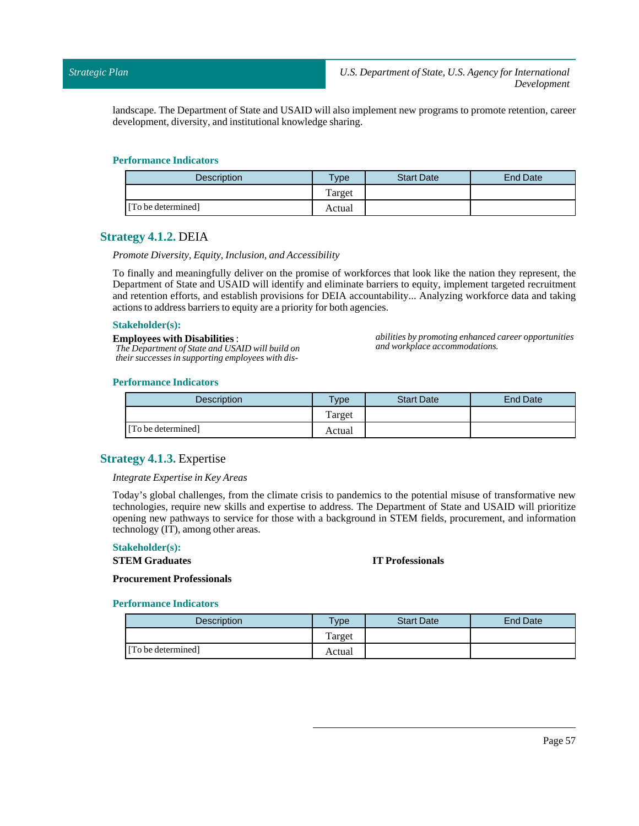landscape. The Department of State and USAID will also implement new programs to promote retention, career development, diversity, and institutional knowledge sharing.

### **Performance Indicators**

| <b>Description</b> | <b>Type</b> | <b>Start Date</b> | <b>End Date</b> |
|--------------------|-------------|-------------------|-----------------|
|                    | Target      |                   |                 |
| [To be determined] | Actual      |                   |                 |

### <span id="page-56-0"></span>**Strategy 4.1.2.** DEIA

### *Promote Diversity, Equity, Inclusion, and Accessibility*

To finally and meaningfully deliver on the promise of workforces that look like the nation they represent, the Department of State and USAID will identify and eliminate barriers to equity, implement targeted recruitment and retention efforts, and establish provisions for DEIA accountability... Analyzing workforce data and taking actions to address barriers to equity are a priority for both agencies.

### **Stakeholder(s):**

**Employees with Disabilities** : *The Department of State and USAID will build on their successes in supporting employees with dis-* *abilities by promoting enhanced career opportunities and workplace accommodations.*

### **Performance Indicators**

| <b>Description</b> | $T$ <sub>V</sub> $pe$ | <b>Start Date</b> | <b>End Date</b> |
|--------------------|-----------------------|-------------------|-----------------|
|                    | Target                |                   |                 |
| [To be determined] | Actual                |                   |                 |

### <span id="page-56-1"></span>**Strategy 4.1.3.** Expertise

### *Integrate Expertise in Key Areas*

Today's global challenges, from the climate crisis to pandemics to the potential misuse of transformative new technologies, require new skills and expertise to address. The Department of State and USAID will prioritize opening new pathways to service for those with a background in STEM fields, procurement, and information technology (IT), among other areas.

### **Stakeholder(s):**

#### **STEM Graduates**

### **IT Professionals**

**Procurement Professionals**

| <b>Description</b> | $T$ <sub>V</sub> pe | <b>Start Date</b> | End Date |
|--------------------|---------------------|-------------------|----------|
|                    | Target              |                   |          |
| [To be determined] | Actual              |                   |          |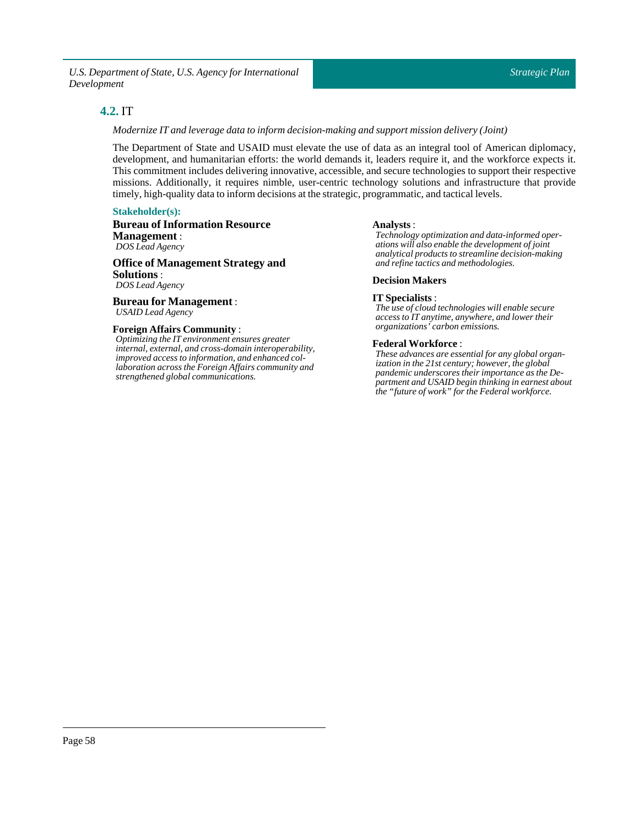### <span id="page-57-0"></span>**4.2.** IT

*Modernize ITand leverage data to inform decision-making and support mission delivery (Joint)*

The Department of State and USAID must elevate the use of data as an integral tool of American diplomacy, development, and humanitarian efforts: the world demands it, leaders require it, and the workforce expects it. This commitment includes delivering innovative, accessible, and secure technologies to support their respective missions. Additionally, it requires nimble, user-centric technology solutions and infrastructure that provide timely, high-quality data to inform decisions at the strategic, programmatic, and tactical levels.

### **Stakeholder(s):**

**Bureau of Information Resource Management** : *DOS Lead Agency*

**Office of Management Strategy and Solutions** : *DOS Lead Agency*

**Bureau for Management** : *USAID Lead Agency*

### **Foreign Affairs Community** :

*Optimizing the IT environment ensures greater internal, external, and cross-domain interoperability, improved access to information, and enhanced collaboration across the Foreign Affairs community and strengthened global communications.*

### **Analysts**:

*Technology optimization and data-informed operations will also enable the development of joint analytical products to streamline decision-making and refine tactics and methodologies.*

### **Decision Makers**

### **IT Specialists** :

*The use of cloud technologies will enable secure access to IT anytime, anywhere, and lower their organizations' carbon emissions.*

### **Federal Workforce** :

*These advances are essential for any global organization in the 21st century; however, the global pandemic underscores their importance as the Department and USAID begin thinking in earnest about the "future of work" for the Federal workforce.*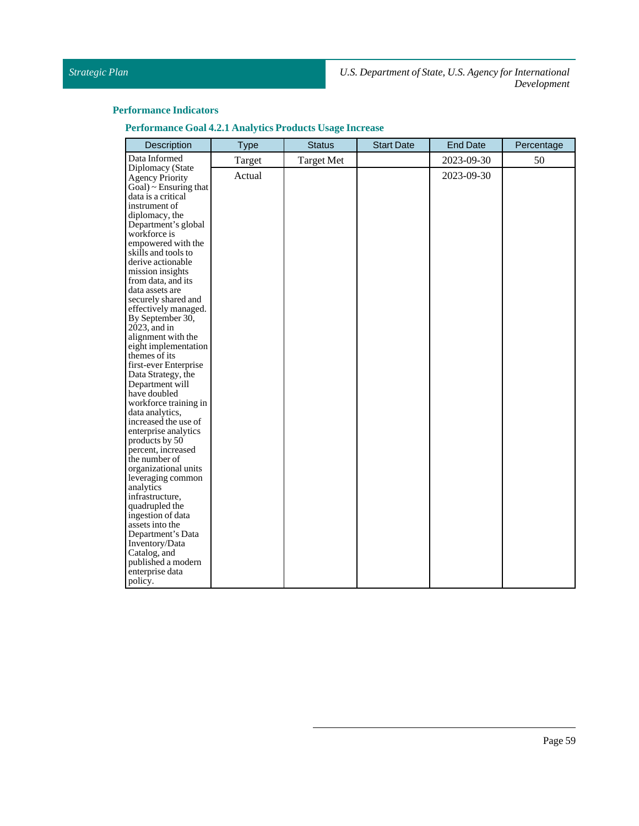| <b>Performance Goal 4.2.1 Analytics Products Usage Increase</b> |  |  |  |  |
|-----------------------------------------------------------------|--|--|--|--|
|                                                                 |  |  |  |  |

| Description                                                                                                                                                                                                                                                                                                                                                                                                                                                                                                                                                                                                                                                                                                                                                                                                                                 | <b>Type</b> | <b>Status</b>     | <b>Start Date</b> | <b>End Date</b> | Percentage |
|---------------------------------------------------------------------------------------------------------------------------------------------------------------------------------------------------------------------------------------------------------------------------------------------------------------------------------------------------------------------------------------------------------------------------------------------------------------------------------------------------------------------------------------------------------------------------------------------------------------------------------------------------------------------------------------------------------------------------------------------------------------------------------------------------------------------------------------------|-------------|-------------------|-------------------|-----------------|------------|
| Data Informed                                                                                                                                                                                                                                                                                                                                                                                                                                                                                                                                                                                                                                                                                                                                                                                                                               | Target      | <b>Target Met</b> |                   | 2023-09-30      | 50         |
| Diplomacy (State<br><b>Agency Priority</b><br>$Goal$ $\sim$ Ensuring that<br>data is a critical<br>instrument of<br>diplomacy, the<br>Department's global<br>workforce is<br>empowered with the<br>skills and tools to<br>derive actionable<br>mission insights<br>from data, and its<br>data assets are<br>securely shared and<br>effectively managed.<br>By September 30,<br>$2023$ , and in<br>alignment with the<br>eight implementation<br>themes of its<br>first-ever Enterprise<br>Data Strategy, the<br>Department will<br>have doubled<br>workforce training in<br>data analytics,<br>increased the use of<br>enterprise analytics<br>products by 50<br>percent, increased<br>the number of<br>organizational units<br>leveraging common<br>analytics<br>infrastructure,<br>quadrupled the<br>ingestion of data<br>assets into the | Actual      |                   |                   | 2023-09-30      |            |
| Department's Data<br>Inventory/Data<br>Catalog, and                                                                                                                                                                                                                                                                                                                                                                                                                                                                                                                                                                                                                                                                                                                                                                                         |             |                   |                   |                 |            |
| published a modern<br>enterprise data<br>policy.                                                                                                                                                                                                                                                                                                                                                                                                                                                                                                                                                                                                                                                                                                                                                                                            |             |                   |                   |                 |            |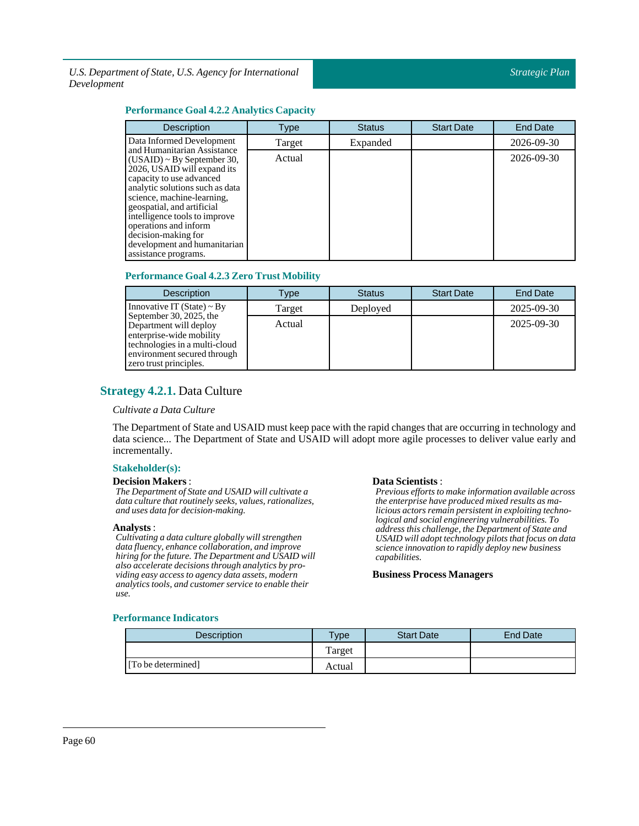### **Performance Goal 4.2.2 Analytics Capacity**

| <b>Description</b>                                                                                                                                                                                                                                                                                                                                                | Type   | <b>Status</b> | <b>Start Date</b> | <b>End Date</b>  |
|-------------------------------------------------------------------------------------------------------------------------------------------------------------------------------------------------------------------------------------------------------------------------------------------------------------------------------------------------------------------|--------|---------------|-------------------|------------------|
| Data Informed Development                                                                                                                                                                                                                                                                                                                                         | Target | Expanded      |                   | 2026-09-30       |
| and Humanitarian Assistance<br>$(USAID) \sim By September 30,$<br>2026, USAID will expand its<br>capacity to use advanced<br>analytic solutions such as data<br>science, machine-learning,<br>geospatial, and artificial<br>intelligence tools to improve<br>operations and inform<br>decision-making for<br>development and humanitarian<br>assistance programs. | Actual |               |                   | $2026 - 09 - 30$ |

### **Performance Goal 4.2.3 Zero Trust Mobility**

| <b>Description</b>                                                                                                                                                      | Type   | <b>Status</b> | <b>Start Date</b> | End Date   |
|-------------------------------------------------------------------------------------------------------------------------------------------------------------------------|--------|---------------|-------------------|------------|
| Innovative IT (State) $\sim$ By                                                                                                                                         | Target | Deployed      |                   | 2025-09-30 |
| September 30, 2025, the<br>Department will deploy<br>enterprise-wide mobility<br>technologies in a multi-cloud<br>environment secured through<br>zero trust principles. | Actual |               |                   | 2025-09-30 |

### <span id="page-59-0"></span>**Strategy 4.2.1.** Data Culture

### *Cultivate a Data Culture*

The Department of State and USAID must keep pace with the rapid changes that are occurring in technology and data science... The Department of State and USAID will adopt more agile processes to deliver value early and incrementally.

### **Stakeholder(s):**

### **Decision Makers**:

*The Department of State and USAID will cultivate a data culture that routinely seeks, values, rationalizes, and uses data for decision-making.*

### **Analysts**:

*Cultivating a data culture globally will strengthen data fluency, enhance collaboration, and improve hiring for the future. The Department and USAID will also accelerate decisions through analytics by providing easy access to agency data assets, modern analytics tools, and customer service to enable their use.*

### Data Scientists :

*Previous efforts to make information available across the enterprise have produced mixed results as malicious actors remain persistent in exploiting technological and social engineering vulnerabilities. To address this challenge, the Department of State and USAID will adopt technology pilots that focus on data science innovation to rapidly deploy new business capabilities.*

### **Business Process Managers**

| <b>Description</b> | <b>Type</b> | <b>Start Date</b> | End Date |
|--------------------|-------------|-------------------|----------|
|                    | Target      |                   |          |
| [To be determined] | Actual      |                   |          |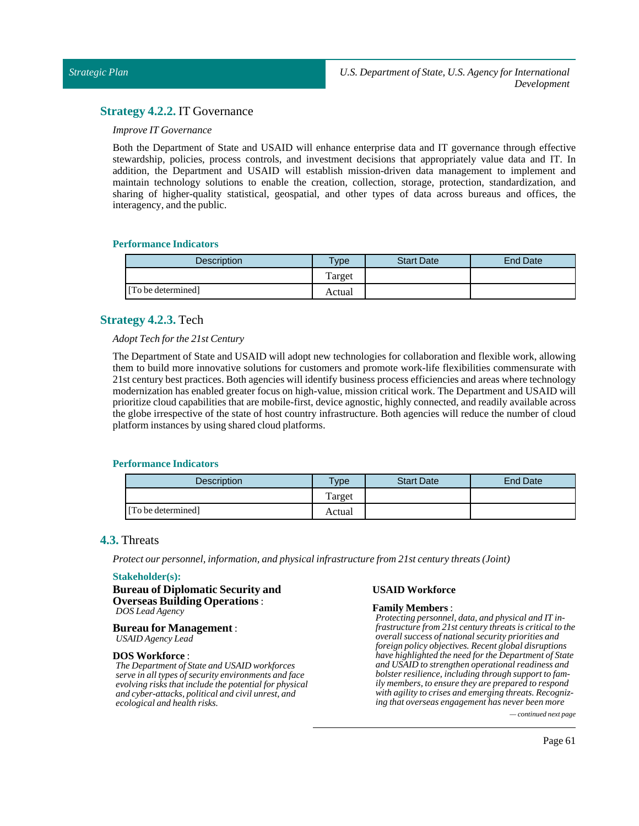### <span id="page-60-0"></span>**Strategy 4.2.2.** IT Governance

### *Improve IT Governance*

Both the Department of State and USAID will enhance enterprise data and IT governance through effective stewardship, policies, process controls, and investment decisions that appropriately value data and IT. In addition, the Department and USAID will establish mission-driven data management to implement and maintain technology solutions to enable the creation, collection, storage, protection, standardization, and sharing of higher-quality statistical, geospatial, and other types of data across bureaus and offices, the interagency, and the public.

### **Performance Indicators**

| <b>Description</b> | $T$ <sub>ype</sub> | <b>Start Date</b> | End Date |
|--------------------|--------------------|-------------------|----------|
|                    | Target             |                   |          |
| [To be determined] | Actual             |                   |          |

### <span id="page-60-1"></span>**Strategy 4.2.3.** Tech

### *AdoptTech for the 21st Century*

The Department of State and USAID will adopt new technologies for collaboration and flexible work, allowing them to build more innovative solutions for customers and promote work-life flexibilities commensurate with 21st century best practices. Both agencies will identify business process efficiencies and areas where technology modernization has enabled greater focus on high-value, mission critical work. The Department and USAID will prioritize cloud capabilities that are mobile-first, device agnostic, highly connected, and readily available across the globe irrespective of the state of host country infrastructure. Both agencies will reduce the number of cloud platform instances by using shared cloud platforms.

### **Performance Indicators**

| Description        | <b>Type</b> | <b>Start Date</b> | <b>End Date</b> |
|--------------------|-------------|-------------------|-----------------|
|                    | Target      |                   |                 |
| [To be determined] | Actual      |                   |                 |

### <span id="page-60-2"></span>**4.3.** Threats

*Protect our personnel,information, and physicalinfrastructure from 21st century threats (Joint)*

### **Stakeholder(s):**

**Bureau of Diplomatic Security and Overseas Building Operations**: *DOS Lead Agency*

#### **Bureau for Management** : *USAID Agency Lead*

### **DOS Workforce** :

*The Department of State and USAID workforces serve in all types of security environments and face evolving risks that include the potential for physical and cyber-attacks, political and civil unrest, and ecological and health risks.*

### **USAID Workforce**

### **Family Members** :

*Protecting personnel, data, and physical and IT infrastructure from 21st century threats is critical to the overall success of national security priorities and foreign policy objectives. Recent global disruptions have highlighted the need for the Department of State and USAID to strengthen operational readiness and bolster resilience, including through support to family members, to ensure they are prepared to respond with agility to crises and emerging threats. Recognizing that overseas engagement has never been more*

*— continued next page*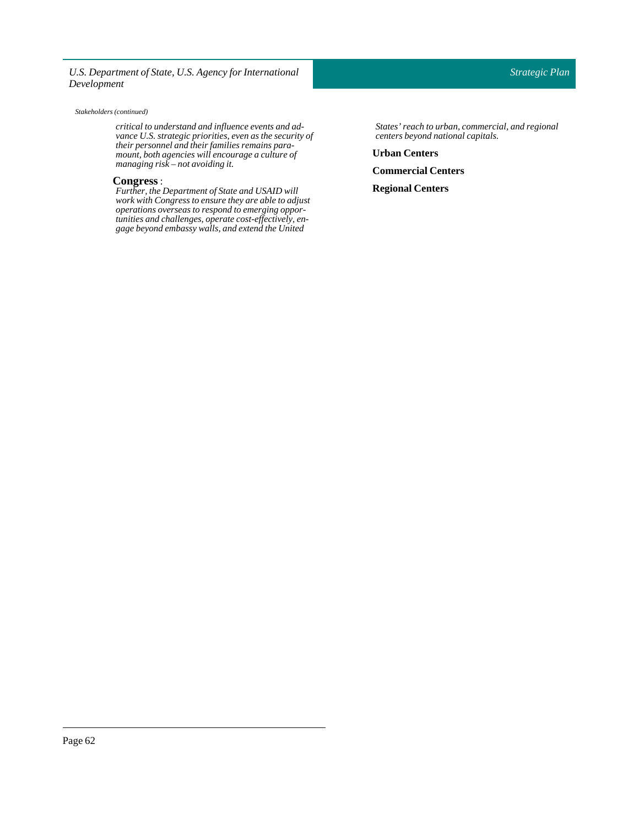#### *Stakeholders (continued)*

*critical to understand and influence events and advance U.S. strategic priorities, even as the security of their personnel and their families remains paramount, both agencies will encourage a culture of managing risk – not avoiding it.*

### **Congress**:

*Further, the Department of State and USAID will work with Congress to ensure they are able to adjust operations overseas to respond to emerging opportunities and challenges, operate cost-effectively, engage beyond embassy walls, and extend the United*

*States'reach to urban, commercial, and regional centers beyond national capitals.*

**Urban Centers**

**Commercial Centers**

**Regional Centers**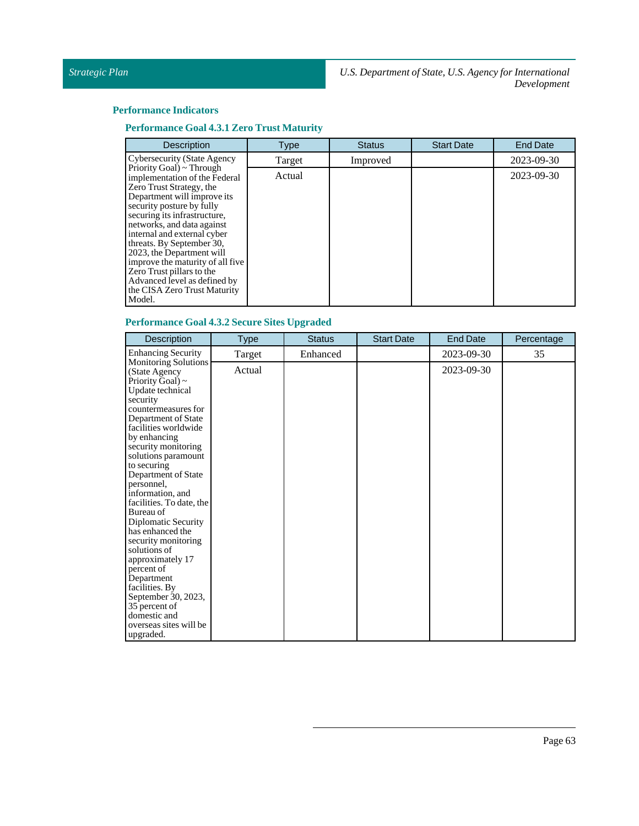### **Performance Indicators**

**Performance Goal 4.3.1 Zero Trust Maturity**

| <b>Description</b>                                                                                                                                                                                                                                                                                                                                                                                                                                  | <b>Type</b> | <b>Status</b> | <b>Start Date</b> | <b>End Date</b> |
|-----------------------------------------------------------------------------------------------------------------------------------------------------------------------------------------------------------------------------------------------------------------------------------------------------------------------------------------------------------------------------------------------------------------------------------------------------|-------------|---------------|-------------------|-----------------|
| <b>Cybersecurity (State Agency</b>                                                                                                                                                                                                                                                                                                                                                                                                                  | Target      | Improved      |                   | 2023-09-30      |
| Priority Goal) ~ Through<br>implementation of the Federal<br>Zero Trust Strategy, the<br>Department will improve its<br>security posture by fully<br>securing its infrastructure,<br>networks, and data against<br>internal and external cyber<br>threats. By September 30,<br>2023, the Department will<br>improve the maturity of all five<br>Zero Trust pillars to the<br>Advanced level as defined by<br>the CISA Zero Trust Maturity<br>Model. | Actual      |               |                   | 2023-09-30      |

### **Performance Goal 4.3.2SecureSites Upgraded**

| <b>Enhancing Security</b><br>2023-09-30<br>Target<br>Enhanced<br>35<br><b>Monitoring Solutions</b><br>2023-09-30<br>Actual<br>(State Agency<br>Priority Goal) $\sim$<br>Update technical<br>security<br>countermeasures for<br>Department of State<br>facilities worldwide<br>by enhancing<br>security monitoring<br>solutions paramount<br>to securing<br>Department of State<br>personnel,<br>information, and<br>facilities. To date, the<br>Bureau of<br>Diplomatic Security<br>has enhanced the | Description         |
|------------------------------------------------------------------------------------------------------------------------------------------------------------------------------------------------------------------------------------------------------------------------------------------------------------------------------------------------------------------------------------------------------------------------------------------------------------------------------------------------------|---------------------|
|                                                                                                                                                                                                                                                                                                                                                                                                                                                                                                      |                     |
| solutions of<br>approximately 17<br>percent of<br>Department                                                                                                                                                                                                                                                                                                                                                                                                                                         | security monitoring |
| facilities. By<br>September 30, 2023,<br>35 percent of                                                                                                                                                                                                                                                                                                                                                                                                                                               |                     |
| domestic and<br>overseas sites will be<br>upgraded.                                                                                                                                                                                                                                                                                                                                                                                                                                                  |                     |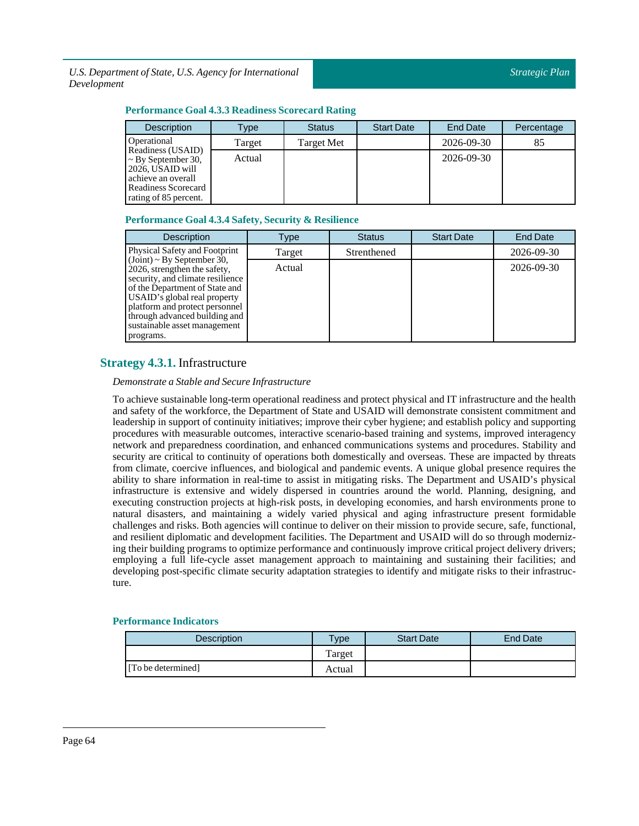### **Performance Goal 4.3.3 Readiness Scorecard Rating**

| <b>Description</b>                                                                     | Type:  | <b>Status</b> | <b>Start Date</b> | End Date   | Percentage |
|----------------------------------------------------------------------------------------|--------|---------------|-------------------|------------|------------|
| Operational                                                                            | Target | Target Met    |                   | 2026-09-30 | 85         |
| Readiness (USAID)<br>$\sim$ By September 30,<br>2026, USAID will<br>achieve an overall | Actual |               |                   | 2026-09-30 |            |
| Readiness Scorecard<br>rating of 85 percent.                                           |        |               |                   |            |            |

### **Performance Goal 4.3.4Safety,Security & Resilience**

| <b>Description</b>                                                                                                                                                                                                                                                                    | Type   | <b>Status</b> | <b>Start Date</b> | <b>End Date</b> |
|---------------------------------------------------------------------------------------------------------------------------------------------------------------------------------------------------------------------------------------------------------------------------------------|--------|---------------|-------------------|-----------------|
| Physical Safety and Footprint                                                                                                                                                                                                                                                         | Target | Strenthened   |                   | 2026-09-30      |
| $(Joint) \sim By September 30,$<br>2026, strengthen the safety,<br>security, and climate resilience<br>of the Department of State and<br>USAID's global real property<br>platform and protect personnel<br>through advanced building and<br>sustainable asset management<br>programs. | Actual |               |                   | 2026-09-30      |

### <span id="page-63-0"></span>**Strategy 4.3.1.** Infrastructure

### *Demonstrate a Stable and Secure Infrastructure*

To achieve sustainable long-term operational readiness and protect physical and IT infrastructure and the health and safety of the workforce, the Department of State and USAID will demonstrate consistent commitment and leadership in support of continuity initiatives; improve their cyber hygiene; and establish policy and supporting procedures with measurable outcomes, interactive scenario-based training and systems, improved interagency network and preparedness coordination, and enhanced communications systems and procedures. Stability and security are critical to continuity of operations both domestically and overseas. These are impacted by threats from climate, coercive influences, and biological and pandemic events. A unique global presence requires the ability to share information in real-time to assist in mitigating risks. The Department and USAID's physical infrastructure is extensive and widely dispersed in countries around the world. Planning, designing, and executing construction projects at high-risk posts, in developing economies, and harsh environments prone to natural disasters, and maintaining a widely varied physical and aging infrastructure present formidable challenges and risks. Both agencies will continue to deliver on their mission to provide secure, safe, functional, and resilient diplomatic and development facilities. The Department and USAID will do so through modernizing their building programs to optimize performance and continuously improve critical project delivery drivers; employing a full life-cycle asset management approach to maintaining and sustaining their facilities; and developing post-specific climate security adaptation strategies to identify and mitigate risks to their infrastructure.

| <b>Description</b> | <b>Type</b> | <b>Start Date</b> | <b>End Date</b> |
|--------------------|-------------|-------------------|-----------------|
|                    | Target      |                   |                 |
| [To be determined] | Actual      |                   |                 |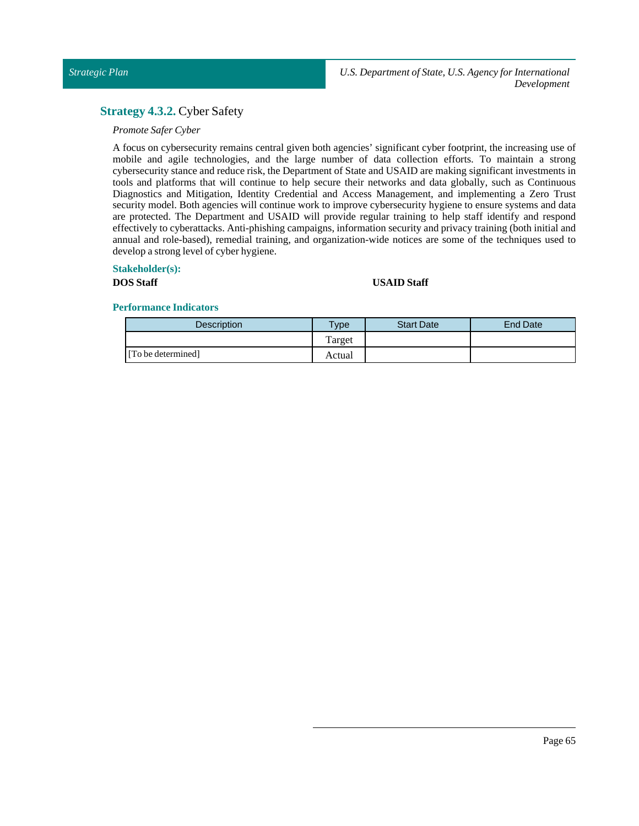### <span id="page-64-0"></span>**Strategy 4.3.2.** Cyber Safety

### *Promote Safer Cyber*

A focus on cybersecurity remains central given both agencies' significant cyber footprint, the increasing use of mobile and agile technologies, and the large number of data collection efforts. To maintain a strong cybersecurity stance and reduce risk, the Department of State and USAID are making significant investments in tools and platforms that will continue to help secure their networks and data globally, such as Continuous Diagnostics and Mitigation, Identity Credential and Access Management, and implementing a Zero Trust security model. Both agencies will continue work to improve cybersecurity hygiene to ensure systems and data are protected. The Department and USAID will provide regular training to help staff identify and respond effectively to cyberattacks. Anti-phishing campaigns, information security and privacy training (both initial and annual and role-based), remedial training, and organization-wide notices are some of the techniques used to develop a strong level of cyber hygiene.

### **Stakeholder(s):**

### **DOSStaff USAID Staff**

| <b>Description</b> | <b>Type</b> | <b>Start Date</b> | End Date |
|--------------------|-------------|-------------------|----------|
|                    | Target      |                   |          |
| [To be determined] | Actual      |                   |          |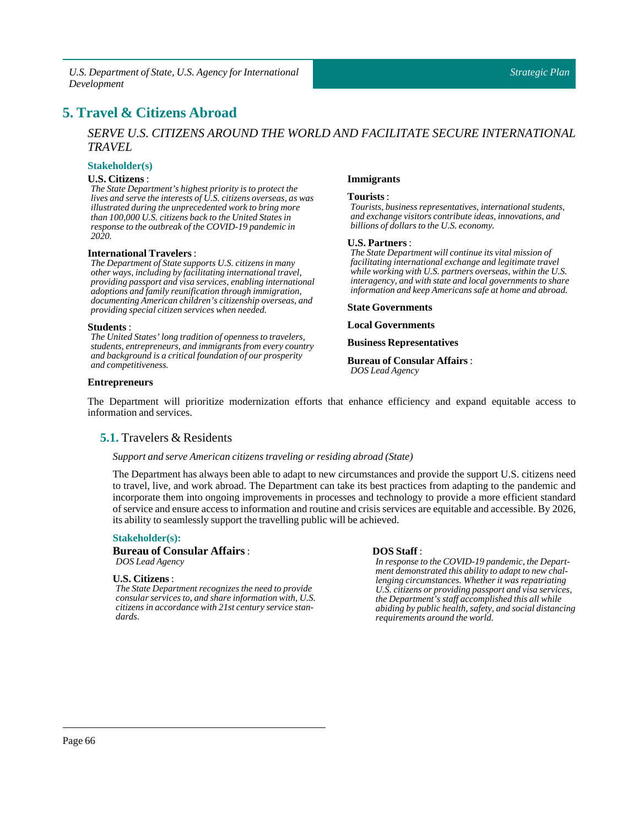## <span id="page-65-0"></span>**5. Travel & Citizens Abroad**

### *SERVE U.S. CITIZENS AROUND THE WORLD AND FACILITATE SECURE INTERNATIONAL TRAVEL*

**Immigrants Tourists**:

**U.S. Partners**:

**State Governments Local Governments**

*DOS Lead Agency*

**Business Representatives Bureauof Consular Affairs** :

*Tourists, business representatives, international students, and exchange visitors contribute ideas, innovations, and*

*The State Department will continue its vital mission of facilitating international exchange and legitimate travel while working with U.S. partners overseas, within the U.S. interagency, and with state and local governments to share information and keep Americans safe at home and abroad.*

*billions of dollars to the U.S. economy.*

### **Stakeholder(s)**

#### **U.S. Citizens** :

*The State Department's highest priority is to protect the lives and serve the interests of U.S. citizens overseas, as was illustrated during the unprecedented work to bring more than 100,000 U.S. citizens back to the United States in response to the outbreak of the COVID-19 pandemic in 2020.*

### **International Travelers**:

*The Department of State supports U.S. citizens in many other ways, including by facilitating international travel, providing passport and visa services, enabling international adoptions and family reunification through immigration, documenting American children's citizenship overseas, and providing special citizen services when needed.*

#### **Students** :

*The United States' long tradition of openness to travelers, students, entrepreneurs, and immigrants from every country and background is a critical foundation of our prosperity and competitiveness.*

#### **Entrepreneurs**

### <span id="page-65-1"></span>The Department will prioritize modernization efforts that enhance efficiency and expand equitable access to information and services.

### **5.1.** Travelers & Residents

#### *Support and serve American citizens traveling or residing abroad (State)*

The Department has always been able to adapt to new circumstances and provide the support U.S. citizens need to travel, live, and work abroad. The Department can take its best practices from adapting to the pandemic and incorporate them into ongoing improvements in processes and technology to provide a more efficient standard of service and ensure access to information and routine and crisis services are equitable and accessible. By 2026, its ability to seamlessly support the travelling public will be achieved.

#### **Stakeholder(s):**

#### **Bureau of Consular Affairs**: *DOS Lead Agency*

### **U.S. Citizens** :

*The State Department recognizes the need to provide consular services to, and share information with, U.S. citizens in accordance with 21st century service standards.*

### **DOSStaff** :

*In response to the COVID-19 pandemic, the Department demonstrated this ability to adapt to new challenging circumstances. Whether it was repatriating U.S. citizens or providing passport and visa services, the Department's staff accomplished this all while abiding by public health, safety, and social distancing requirements around the world.*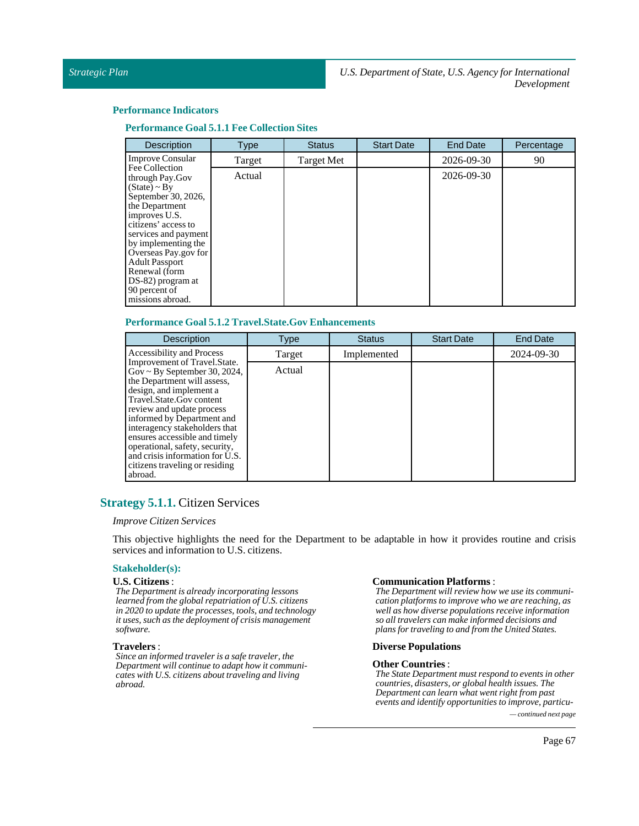### **Performance Indicators**

**Performance Goal 5.1.1 Fee** Collection Sites

| <b>Description</b>                          | <b>Type</b> | <b>Status</b> | <b>Start Date</b> | <b>End Date</b> | Percentage |
|---------------------------------------------|-------------|---------------|-------------------|-----------------|------------|
| <b>Improve Consular</b>                     | Target      | Target Met    |                   | 2026-09-30      | 90         |
| Fee Collection<br>through Pay.Gov           | Actual      |               |                   | 2026-09-30      |            |
| $(State) \sim By$                           |             |               |                   |                 |            |
| September 30, 2026,<br>the Department       |             |               |                   |                 |            |
| improves U.S.                               |             |               |                   |                 |            |
| citizens' access to                         |             |               |                   |                 |            |
| services and payment                        |             |               |                   |                 |            |
| by implementing the<br>Overseas Pay.gov for |             |               |                   |                 |            |
| <b>Adult Passport</b>                       |             |               |                   |                 |            |
| Renewal (form                               |             |               |                   |                 |            |
| DS-82) program at                           |             |               |                   |                 |            |
| 90 percent of                               |             |               |                   |                 |            |
| missions abroad.                            |             |               |                   |                 |            |

### **Performance Goal 5.1.2 Travel.State.Gov Enhancements**

| <b>Description</b>                                                                                                                                                                                                                                                                                                                                                                                                   | Type   | <b>Status</b> | <b>Start Date</b> | <b>End Date</b> |
|----------------------------------------------------------------------------------------------------------------------------------------------------------------------------------------------------------------------------------------------------------------------------------------------------------------------------------------------------------------------------------------------------------------------|--------|---------------|-------------------|-----------------|
| Accessibility and Process                                                                                                                                                                                                                                                                                                                                                                                            | Target | Implemented   |                   | 2024-09-30      |
| Improvement of Travel.State.<br>$\text{Gov} \sim \text{By September 30, 2024},$<br>the Department will assess,<br>design, and implement a<br>Travel.State.Gov content<br>review and update process<br>informed by Department and<br>interagency stakeholders that<br>ensures accessible and timely<br>operational, safety, security,<br>and crisis information for U.S.<br>citizens traveling or residing<br>abroad. | Actual |               |                   |                 |

### <span id="page-66-0"></span>**Strategy 5.1.1.** Citizen Services

### *Improve Citizen Services*

This objective highlights the need for the Department to be adaptable in how it provides routine and crisis services and information to U.S. citizens.

### **Stakeholder(s):**

#### **U.S. Citizens** :

*The Department is already incorporating lessons learned from the global repatriation of U.S. citizens in 2020 to update the processes, tools, and technology it uses, such as the deployment of crisis management software.*

#### **Travelers** :

*Since an informed traveler is a safe traveler, the Department will continue to adapt how it communicates with U.S. citizens about traveling and living abroad.*

### **Communication Platforms** :

*The Department will review how we use its communication platforms to improve who we are reaching, as well as how diverse populations receive information so all travelers can make informed decisions and plans for traveling to and from the United States.*

### **Diverse Populations**

#### **Other Countries**:

*The State Department must respond to events in other countries, disasters, or global health issues. The Department can learn what went right from past events and identify opportunities to improve, particu-*

*— continued next page*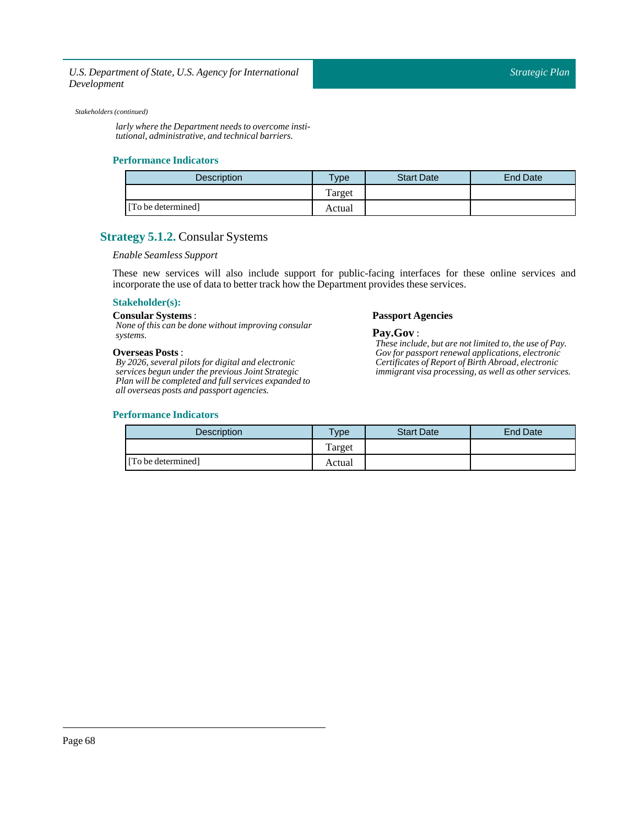#### *Stakeholders (continued)*

*larly where the Department needs to overcome institutional, administrative, and technical barriers.*

### **Performance Indicators**

| <b>Description</b> | Type   | <b>Start Date</b> | End Date |
|--------------------|--------|-------------------|----------|
|                    | Target |                   |          |
| [To be determined] | Actual |                   |          |

### <span id="page-67-0"></span>**Strategy 5.1.2.** Consular Systems

### *Enable Seamless Support*

These new services will also include support for public-facing interfaces for these online services and incorporate the use of data to better track how the Department provides these services.

### **Stakeholder(s):**

### Consular Systems :

*None of this can be done without improving consular systems.*

#### **Overseas Posts** :

*By 2026, several pilots for digital and electronic services begun under the previous Joint Strategic Plan will be completed and full services expanded to all overseas posts and passport agencies.*

#### **Performance Indicators**

## **Passport Agencies**

**Pay.Gov** : *These include, but are not limited to, the use of Pay. Gov for passport renewal applications, electronic Certificates of Report of Birth Abroad, electronic immigrant visa processing, as well as other services.*

| <b>Description</b> | <b>Type</b> | <b>Start Date</b> | End Date |
|--------------------|-------------|-------------------|----------|
|                    | Target      |                   |          |
| [To be determined] | Actual      |                   |          |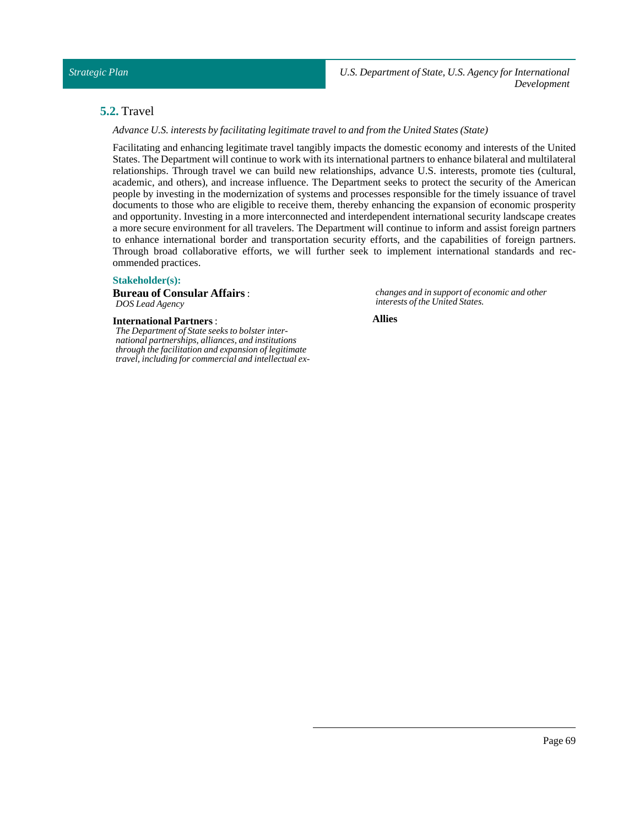### <span id="page-68-0"></span>**5.2.** Travel

*Advance U.S.interests by facilitating legitimate travelto and from the United States (State)*

Facilitating and enhancing legitimate travel tangibly impacts the domestic economy and interests of the United States. The Department will continue to work with its international partners to enhance bilateral and multilateral relationships. Through travel we can build new relationships, advance U.S. interests, promote ties (cultural, academic, and others), and increase influence. The Department seeks to protect the security of the American people by investing in the modernization of systems and processes responsible for the timely issuance of travel documents to those who are eligible to receive them, thereby enhancing the expansion of economic prosperity and opportunity. Investing in a more interconnected and interdependent international security landscape creates a more secure environment for all travelers. The Department will continue to inform and assist foreign partners to enhance international border and transportation security efforts, and the capabilities of foreign partners. Through broad collaborative efforts, we will further seek to implement international standards and recommended practices.

### **Stakeholder(s):**

**Bureau of Consular Affairs**: *DOS Lead Agency*

**International Partners**:

*The Department of State seeks to bolster international partnerships, alliances, and institutions through the facilitation and expansion of legitimate travel, including for commercial and intellectual ex-* *changes and in support of economic and other interests of the United States.*

**Allies**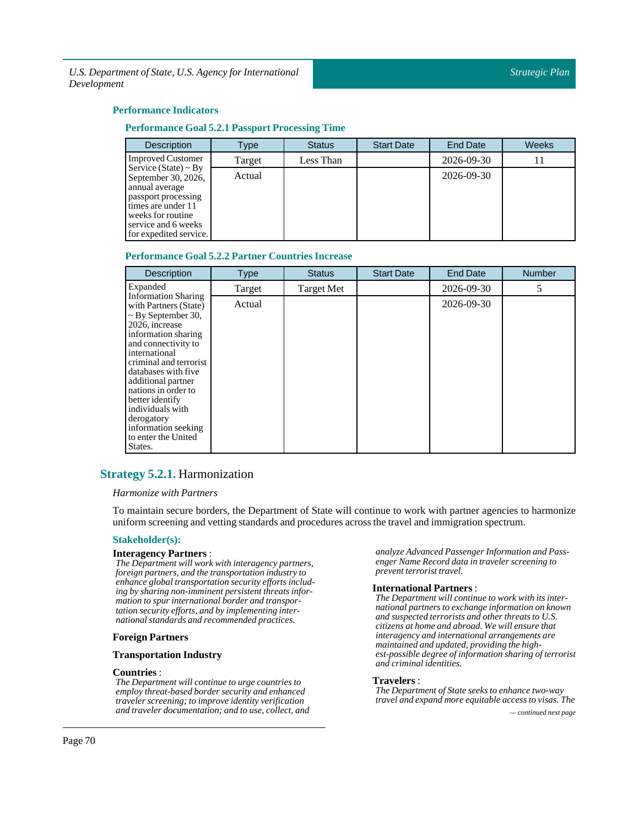### **Performance Indicators**

### **Performance Goal 5.2.1 Passport Processing Time**

| <b>Description</b>                                                                                                                                                                    | Type   | <b>Status</b> | <b>Start Date</b> | <b>End Date</b> | Weeks |
|---------------------------------------------------------------------------------------------------------------------------------------------------------------------------------------|--------|---------------|-------------------|-----------------|-------|
| <b>Improved Customer</b>                                                                                                                                                              | Target | Less Than     |                   | 2026-09-30      |       |
| Service (State) $\sim$ By<br>September 30, 2026,<br>annual average<br>passport processing<br>times are under 11<br>weeks for routine<br>service and 6 weeks<br>for expedited service. | Actual |               |                   | 2026-09-30      |       |

#### **Performance Goal 5.2.2 Partner Countries Increase**

| <b>Description</b>                                                                                                                                                                                                                                                                                                                                                          | <b>Type</b> | <b>Status</b>     | <b>Start Date</b> | <b>End Date</b> | <b>Number</b> |
|-----------------------------------------------------------------------------------------------------------------------------------------------------------------------------------------------------------------------------------------------------------------------------------------------------------------------------------------------------------------------------|-------------|-------------------|-------------------|-----------------|---------------|
| Expanded                                                                                                                                                                                                                                                                                                                                                                    | Target      | <b>Target Met</b> |                   | 2026-09-30      | 5             |
| <b>Information Sharing</b><br>with Partners (State)<br>$\sim$ By September 30,<br>2026, increase<br>information sharing<br>and connectivity to<br>international<br>criminal and terrorist<br>databases with five<br>additional partner<br>nations in order to<br>better identify<br>individuals with<br>derogatory<br>information seeking<br>to enter the United<br>States. | Actual      |                   |                   | 2026-09-30      |               |

### <span id="page-69-0"></span>**Strategy 5.2.1.** Harmonization

### *Harmonize with Partners*

To maintain secure borders, the Department of State will continue to work with partner agencies to harmonize uniform screening and vetting standards and procedures across the travel and immigration spectrum.

#### **Stakeholder(s):**

#### **Interagency Partners** :

*The Department will work with interagency partners, foreign partners, and the transportation industry to enhance global transportation security efforts including by sharing non-imminent persistent threats information to spur international border and transportation security efforts, and by implementing international standards and recommended practices.*

### **Foreign Partners**

### **Transportation Industry**

### **Countries** :

*The Department will continue to urge countries to employ threat-based border security and enhanced traveler screening; to improve identity verification and traveler documentation; and to use, collect, and — continued next page*

*analyze Advanced Passenger Information and Passenger Name Record data in traveler screening to prevent terrorist travel.*

#### **International Partners**:

*The Department will continue to work with its international partners to exchange information on known and suspected terrorists and other threats to U.S. citizens at home and abroad. We will ensure that interagency and international arrangements are maintained and updated, providing the highest-possible degree of information sharing of terrorist and criminal identities.*

### **Travelers** :

*The Department of State seeks to enhance two-way travel and expand more equitable access to visas. The*